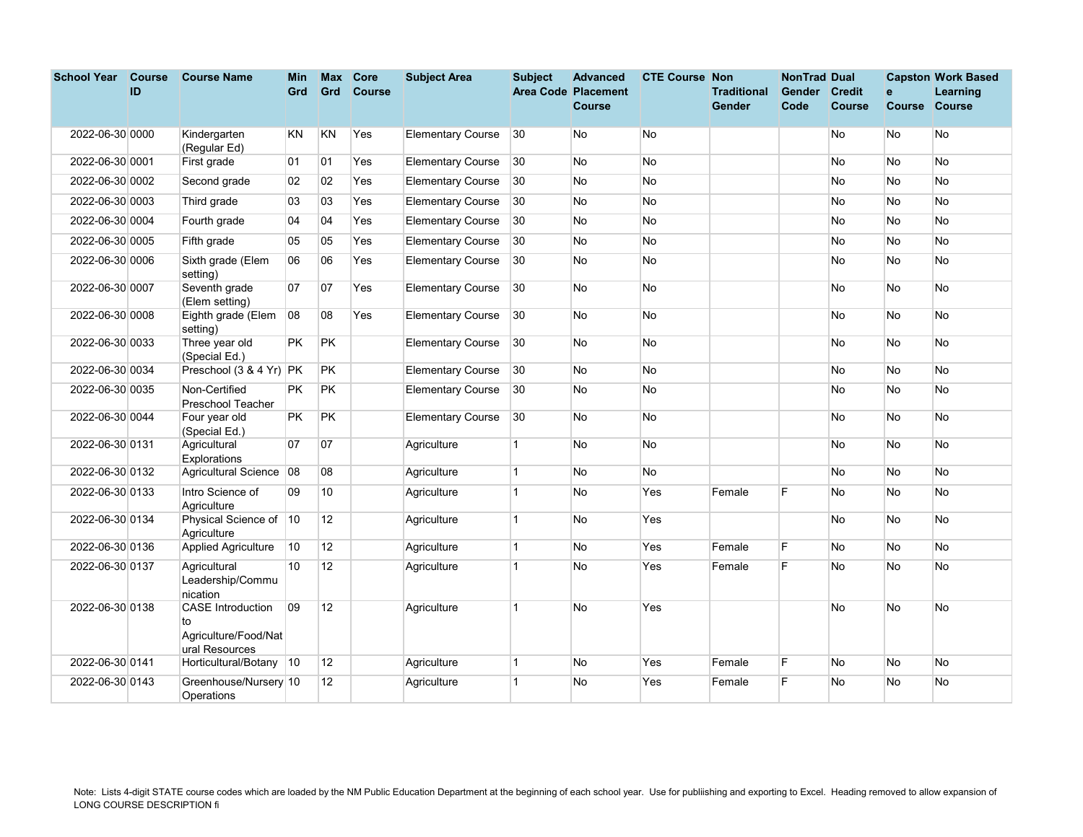| <b>School Year</b> | <b>Course</b> | <b>Course Name</b>                                                       | Min       | Max             | <b>Core</b>   | <b>Subject Area</b>      | <b>Subject</b> | <b>Advanced</b>            | <b>CTE Course Non</b> |                    | <b>NonTrad Dual</b> |               |               | <b>Capston Work Based</b> |
|--------------------|---------------|--------------------------------------------------------------------------|-----------|-----------------|---------------|--------------------------|----------------|----------------------------|-----------------------|--------------------|---------------------|---------------|---------------|---------------------------|
|                    | ID            |                                                                          | Grd       | Grd             | <b>Course</b> |                          |                | <b>Area Code Placement</b> |                       | <b>Traditional</b> | Gender              | <b>Credit</b> | $\mathbf{e}$  | Learning                  |
|                    |               |                                                                          |           |                 |               |                          |                | <b>Course</b>              |                       | Gender             | Code                | <b>Course</b> | <b>Course</b> | <b>Course</b>             |
| 2022-06-30 0000    |               | Kindergarten                                                             | <b>KN</b> | KN              | Yes           | <b>Elementary Course</b> | 30             | No                         | <b>No</b>             |                    |                     | No            | No            | No                        |
|                    |               | (Regular Ed)                                                             |           |                 |               |                          |                |                            |                       |                    |                     |               |               |                           |
| 2022-06-30 0001    |               | First grade                                                              | 01        | 01              | Yes           | <b>Elementary Course</b> | 30             | No                         | <b>No</b>             |                    |                     | No            | <b>No</b>     | No                        |
| 2022-06-30 0002    |               | Second grade                                                             | 02        | 02              | Yes           | <b>Elementary Course</b> | 30             | No                         | <b>No</b>             |                    |                     | No            | No            | No                        |
| 2022-06-30 0003    |               | Third grade                                                              | 03        | 03              | Yes           | <b>Elementary Course</b> | 30             | No                         | <b>No</b>             |                    |                     | No            | No            | No                        |
| 2022-06-30 0004    |               | Fourth grade                                                             | 04        | 04              | Yes           | <b>Elementary Course</b> | 30             | <b>No</b>                  | No                    |                    |                     | <b>No</b>     | <b>No</b>     | <b>No</b>                 |
| 2022-06-30 0005    |               | Fifth grade                                                              | 05        | 05              | Yes           | <b>Elementary Course</b> | 30             | No                         | <b>No</b>             |                    |                     | No            | No            | No                        |
| 2022-06-30 0006    |               | Sixth grade (Elem<br>setting)                                            | 06        | 06              | Yes           | <b>Elementary Course</b> | 30             | No                         | <b>No</b>             |                    |                     | No            | No            | No                        |
| 2022-06-30 0007    |               | Seventh grade<br>(Elem setting)                                          | 07        | 07              | Yes           | <b>Elementary Course</b> | $ 30\rangle$   | No                         | No                    |                    |                     | No            | <b>No</b>     | No                        |
| 2022-06-30 0008    |               | Eighth grade (Elem<br>setting)                                           | 08        | 08              | Yes           | <b>Elementary Course</b> | 30             | No                         | <b>No</b>             |                    |                     | No            | No            | No                        |
| 2022-06-30 0033    |               | Three year old<br>(Special Ed.)                                          | <b>PK</b> | PK              |               | <b>Elementary Course</b> | 30             | No                         | <b>No</b>             |                    |                     | No            | <b>No</b>     | No                        |
| 2022-06-30 0034    |               | Preschool (3 & 4 Yr)                                                     | PK        | PK              |               | <b>Elementary Course</b> | 30             | No                         | <b>No</b>             |                    |                     | No            | <b>No</b>     | No                        |
| 2022-06-30 0035    |               | Non-Certified<br>Preschool Teacher                                       | PK.       | <b>PK</b>       |               | <b>Elementary Course</b> | 30             | No                         | No                    |                    |                     | No            | No            | No                        |
| 2022-06-30 0044    |               | Four year old<br>(Special Ed.)                                           | <b>PK</b> | PK              |               | <b>Elementary Course</b> | 30             | No                         | <b>No</b>             |                    |                     | No            | No            | No                        |
| 2022-06-30 0131    |               | Agricultural<br>Explorations                                             | 07        | 07              |               | Agriculture              | $\mathbf{1}$   | No                         | No                    |                    |                     | No            | No            | No                        |
| 2022-06-30 0132    |               | Agricultural Science                                                     | 08        | 08              |               | Agriculture              | $\mathbf{1}$   | No                         | <b>No</b>             |                    |                     | No            | No            | No                        |
| 2022-06-30 0133    |               | Intro Science of<br>Aariculture                                          | 09        | 10              |               | Agriculture              | $\overline{1}$ | No                         | Yes                   | Female             | E                   | No            | <b>No</b>     | No                        |
| 2022-06-30 0134    |               | Physical Science of 10<br>Agriculture                                    |           | 12 <sup>°</sup> |               | Agriculture              | $\mathbf{1}$   | No                         | Yes                   |                    |                     | No            | No            | No                        |
| 2022-06-30 0136    |               | <b>Applied Agriculture</b>                                               | 10        | 12              |               | Agriculture              | $\mathbf{1}$   | No                         | Yes                   | Female             | F                   | No            | <b>No</b>     | No                        |
| 2022-06-30 0137    |               | Agricultural<br>Leadership/Commu<br>nication                             | 10        | 12 <sup>2</sup> |               | Agriculture              | $\mathbf{1}$   | No                         | Yes                   | Female             | E                   | No            | No            | No.                       |
| 2022-06-30 0138    |               | <b>CASE</b> Introduction<br>to<br>Agriculture/Food/Nat<br>ural Resources | 09        | 12              |               | Agriculture              | $\mathbf{1}$   | No                         | Yes                   |                    |                     | No            | <b>No</b>     | No                        |
| 2022-06-30 0141    |               | Horticultural/Botany 10                                                  |           | 12              |               | Agriculture              | $\overline{1}$ | No                         | Yes                   | Female             | F                   | No            | <b>No</b>     | <b>No</b>                 |
| 2022-06-30 0143    |               | Greenhouse/Nursery 10<br>Operations                                      |           | 12              |               | Agriculture              | $\mathbf{1}$   | No                         | Yes                   | Female             | F                   | No            | No            | No                        |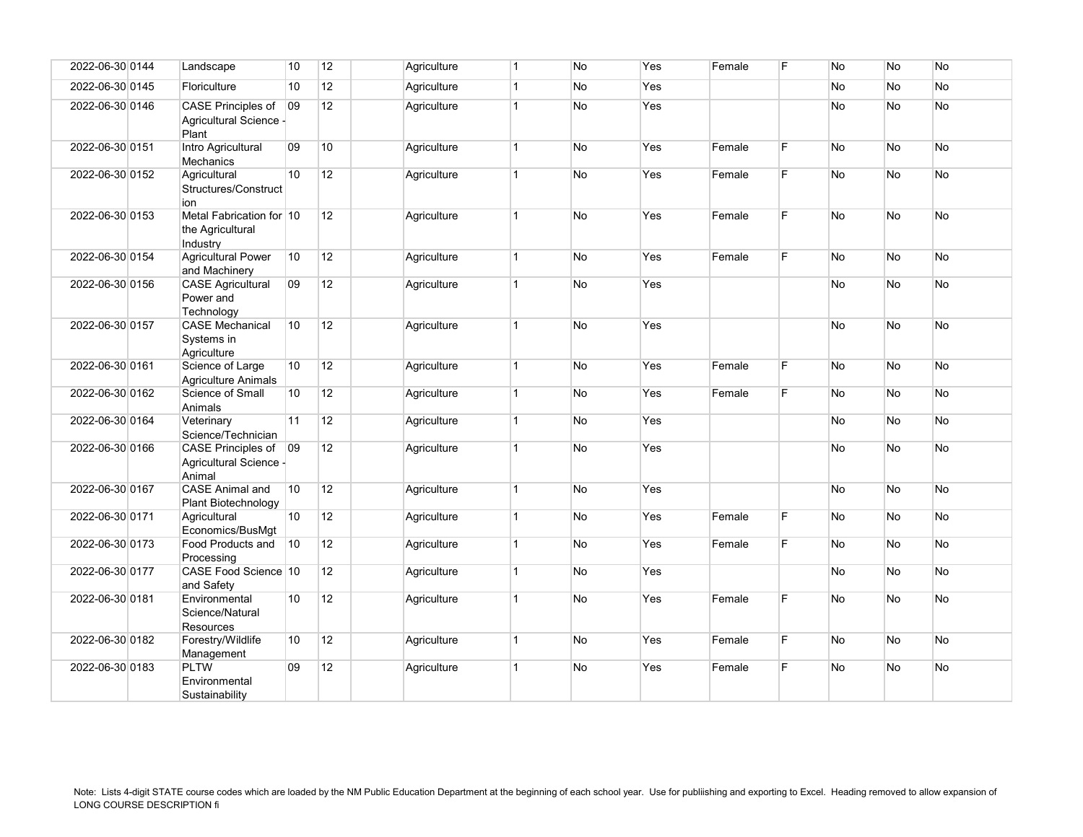| 2022-06-30 0144 | Landscape                                                 | 10 | 12              | Agriculture | $\overline{1}$ | <b>No</b> | Yes | Female | F  | <b>No</b> | <b>No</b> | <b>No</b> |
|-----------------|-----------------------------------------------------------|----|-----------------|-------------|----------------|-----------|-----|--------|----|-----------|-----------|-----------|
| 2022-06-30 0145 | Floriculture                                              | 10 | 12              | Agriculture | $\overline{1}$ | No        | Yes |        |    | No        | <b>No</b> | No        |
| 2022-06-30 0146 | CASE Principles of<br>Agricultural Science -<br>Plant     | 09 | 12              | Agriculture | $\overline{1}$ | No        | Yes |        |    | No        | <b>No</b> | <b>No</b> |
| 2022-06-30 0151 | Intro Agricultural<br>Mechanics                           | 09 | 10 <sup>°</sup> | Agriculture | $\overline{1}$ | No        | Yes | Female | F  | No        | <b>No</b> | <b>No</b> |
| 2022-06-30 0152 | Agricultural<br>Structures/Construct<br>ion               | 10 | 12              | Agriculture | $\overline{1}$ | No        | Yes | Female | F. | No        | No        | No        |
| 2022-06-30 0153 | Metal Fabrication for 10<br>the Agricultural<br>Industry  |    | 12              | Agriculture | $\mathbf{1}$   | No        | Yes | Female | F. | No        | No        | <b>No</b> |
| 2022-06-30 0154 | <b>Agricultural Power</b><br>and Machinery                | 10 | 12              | Agriculture | $\overline{1}$ | No        | Yes | Female | F  | No        | <b>No</b> | No.       |
| 2022-06-30 0156 | <b>CASE Agricultural</b><br>Power and<br>Technology       | 09 | 12              | Agriculture | $\overline{1}$ | No        | Yes |        |    | No        | <b>No</b> | No        |
| 2022-06-30 0157 | <b>CASE Mechanical</b><br>Systems in<br>Agriculture       | 10 | 12              | Agriculture | $\mathbf{1}$   | <b>No</b> | Yes |        |    | <b>No</b> | <b>No</b> | No.       |
| 2022-06-30 0161 | Science of Large<br><b>Agriculture Animals</b>            | 10 | 12              | Agriculture | $\overline{1}$ | No        | Yes | Female | F. | <b>No</b> | <b>No</b> | No.       |
| 2022-06-30 0162 | Science of Small<br>Animals                               | 10 | 12              | Agriculture | $\vert$ 1      | No        | Yes | Female | F  | No        | <b>No</b> | No.       |
| 2022-06-30 0164 | Veterinary<br>Science/Technician                          | 11 | 12              | Agriculture | $\vert$ 1      | No        | Yes |        |    | No        | <b>No</b> | No.       |
| 2022-06-30 0166 | CASE Principles of 09<br>Agricultural Science -<br>Animal |    | 12              | Agriculture | $\mathbf{1}$   | No        | Yes |        |    | No        | No        | No        |
| 2022-06-30 0167 | <b>CASE Animal and</b><br>Plant Biotechnology             | 10 | 12              | Agriculture | $\vert$ 1      | No        | Yes |        |    | No        | No        | No        |
| 2022-06-30 0171 | Agricultural<br>Economics/BusMgt                          | 10 | 12              | Agriculture | $\overline{1}$ | No        | Yes | Female | F. | No        | <b>No</b> | No.       |
| 2022-06-30 0173 | Food Products and<br>Processing                           | 10 | 12 <sup>2</sup> | Agriculture | $\vert$ 1      | No        | Yes | Female | F. | No        | <b>No</b> | No.       |
| 2022-06-30 0177 | CASE Food Science 10<br>and Safety                        |    | 12 <sup>2</sup> | Agriculture | $\vert$ 1      | No        | Yes |        |    | No        | <b>No</b> | No.       |
| 2022-06-30 0181 | Environmental<br>Science/Natural<br><b>Resources</b>      | 10 | 12              | Agriculture | $\overline{1}$ | No        | Yes | Female | F  | <b>No</b> | No        | No.       |
| 2022-06-30 0182 | Forestry/Wildlife<br>Management                           | 10 | 12              | Agriculture | $\vert$ 1      | No        | Yes | Female | F  | No        | <b>No</b> | <b>No</b> |
| 2022-06-30 0183 | <b>PLTW</b><br>Environmental<br>Sustainability            | 09 | 12              | Agriculture | $\overline{1}$ | No        | Yes | Female | F. | No        | No        | No.       |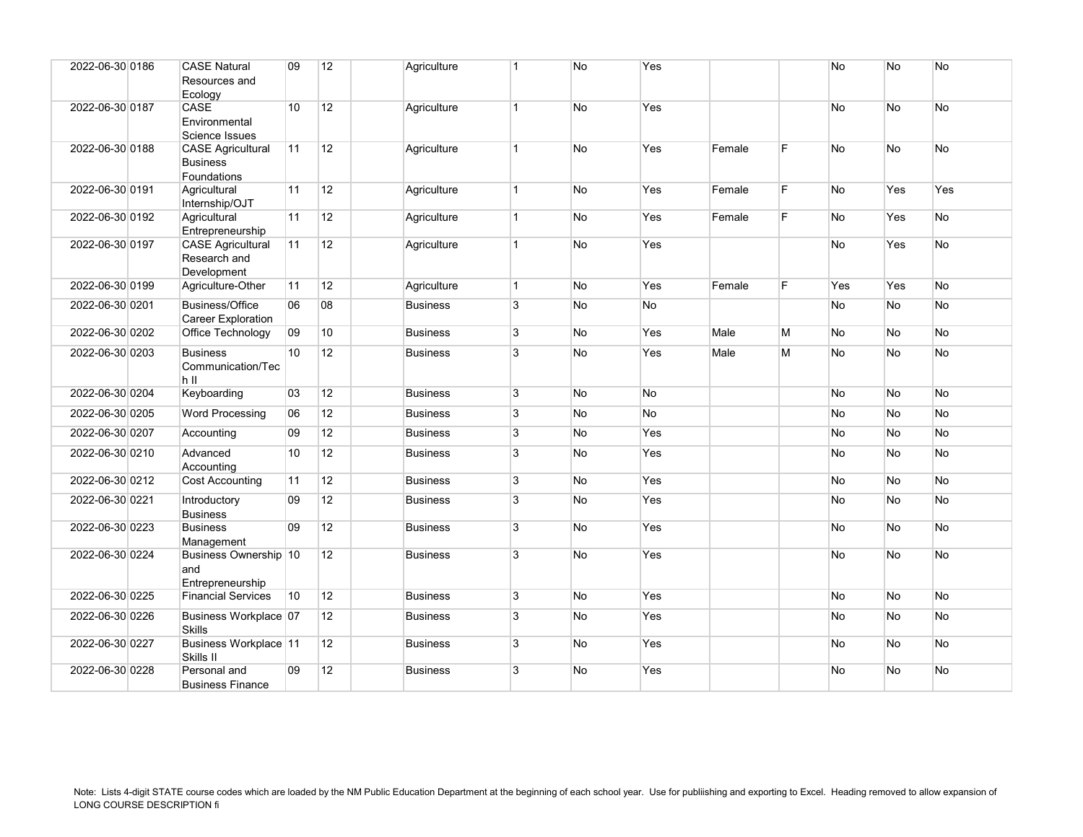| 2022-06-30 0186 | <b>CASE Natural</b><br>Resources and<br>Ecology            | 09              | 12              | Agriculture     | $\overline{1}$ | No        | Yes       |        |   | <b>No</b> | <b>No</b> | No         |
|-----------------|------------------------------------------------------------|-----------------|-----------------|-----------------|----------------|-----------|-----------|--------|---|-----------|-----------|------------|
| 2022-06-30 0187 | CASE<br>Environmental<br>Science Issues                    | 10              | 12              | Agriculture     | $\mathbf{1}$   | No        | Yes       |        |   | No        | <b>No</b> | No         |
| 2022-06-30 0188 | <b>CASE Agricultural</b><br><b>Business</b><br>Foundations | 11              | 12              | Agriculture     | $\mathbf{1}$   | <b>No</b> | Yes       | Female | F | <b>No</b> | <b>No</b> | <b>No</b>  |
| 2022-06-30 0191 | Agricultural<br>Internship/OJT                             | 11              | 12              | Agriculture     | $\mathbf{1}$   | <b>No</b> | Yes       | Female | F | No.       | Yes       | <b>Yes</b> |
| 2022-06-30 0192 | Agricultural<br>Entrepreneurship                           | 11              | 12              | Agriculture     | $\mathbf{1}$   | No        | Yes       | Female | F | No        | Yes       | No         |
| 2022-06-30 0197 | <b>CASE Agricultural</b><br>Research and<br>Development    | 11              | 12              | Agriculture     | $\mathbf{1}$   | No        | Yes       |        |   | No.       | Yes       | No         |
| 2022-06-30 0199 | Agriculture-Other                                          | 11              | 12              | Agriculture     | $\overline{1}$ | No        | Yes       | Female | E | Yes       | Yes       | No         |
| 2022-06-30 0201 | <b>Business/Office</b><br><b>Career Exploration</b>        | 06              | 08              | <b>Business</b> | 3              | No        | No        |        |   | No        | <b>No</b> | No         |
| 2022-06-30 0202 | Office Technology                                          | 09              | 10 <sup>°</sup> | <b>Business</b> | 3              | No        | Yes       | Male   | M | <b>No</b> | <b>No</b> | No         |
| 2022-06-30 0203 | <b>Business</b><br>Communication/Tec<br>h II               | 10 <sup>1</sup> | 12              | <b>Business</b> | 3              | No        | Yes       | Male   | M | No        | No        | No         |
| 2022-06-30 0204 | Keyboarding                                                | 03              | 12              | <b>Business</b> | 3              | <b>No</b> | <b>No</b> |        |   | No.       | <b>No</b> | <b>No</b>  |
| 2022-06-30 0205 | <b>Word Processing</b>                                     | 06              | 12              | <b>Business</b> | 3              | No        | <b>No</b> |        |   | No        | <b>No</b> | No         |
| 2022-06-30 0207 | Accounting                                                 | 09              | 12              | <b>Business</b> | 3              | No        | Yes       |        |   | No.       | <b>No</b> | No         |
| 2022-06-30 0210 | Advanced<br>Accounting                                     | 10              | 12              | <b>Business</b> | 3              | No        | Yes       |        |   | <b>No</b> | No        | No         |
| 2022-06-30 0212 | <b>Cost Accounting</b>                                     | 11              | 12              | <b>Business</b> | $\overline{3}$ | No        | Yes       |        |   | No        | <b>No</b> | No         |
| 2022-06-30 0221 | Introductory<br><b>Business</b>                            | 09              | 12              | <b>Business</b> | 3              | <b>No</b> | Yes       |        |   | No.       | No        | <b>No</b>  |
| 2022-06-30 0223 | <b>Business</b><br>Management                              | 09              | 12              | <b>Business</b> | 3              | No        | Yes       |        |   | No        | <b>No</b> | No         |
| 2022-06-30 0224 | Business Ownership 10<br>and<br>Entrepreneurship           |                 | 12              | <b>Business</b> | 3              | No        | Yes       |        |   | No        | <b>No</b> | No         |
| 2022-06-30 0225 | <b>Financial Services</b>                                  | 10              | 12              | <b>Business</b> | 3              | <b>No</b> | Yes       |        |   | No        | <b>No</b> | <b>No</b>  |
| 2022-06-30 0226 | Business Workplace 07<br><b>Skills</b>                     |                 | 12              | <b>Business</b> | 3              | No        | Yes       |        |   | No        | No        | No         |
| 2022-06-30 0227 | Business Workplace 11<br>Skills II                         |                 | 12              | <b>Business</b> | 3              | No        | Yes       |        |   | No        | No        | No         |
| 2022-06-30 0228 | Personal and<br><b>Business Finance</b>                    | 09              | 12              | <b>Business</b> | 3              | No        | Yes       |        |   | No        | No        | No         |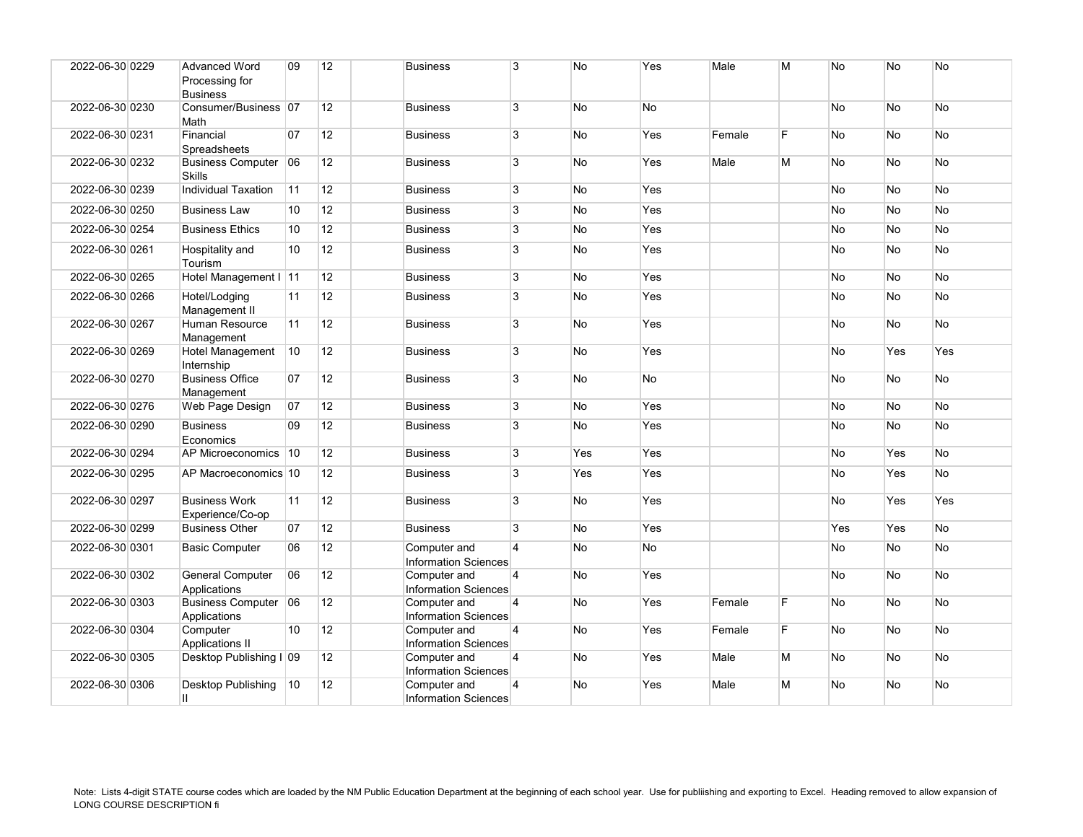| 2022-06-30 0229 | <b>Advanced Word</b><br>Processing for<br><b>Business</b> | 09 | 12              | <b>Business</b>                             | 3              | <b>No</b> | Yes       | Male   | M | No        | <b>No</b>      | No        |
|-----------------|-----------------------------------------------------------|----|-----------------|---------------------------------------------|----------------|-----------|-----------|--------|---|-----------|----------------|-----------|
| 2022-06-30 0230 | Consumer/Business 07<br>Math                              |    | 12 <sup>2</sup> | <b>Business</b>                             | 3              | No        | <b>No</b> |        |   | No        | No             | No        |
| 2022-06-30 0231 | Financial<br>Spreadsheets                                 | 07 | 12              | <b>Business</b>                             | 3              | No        | Yes       | Female | E | No        | No             | No        |
| 2022-06-30 0232 | Business Computer 06<br><b>Skills</b>                     |    | 12 <sup>2</sup> | <b>Business</b>                             | 3              | <b>No</b> | Yes       | Male   | M | <b>No</b> | N <sub>o</sub> | <b>No</b> |
| 2022-06-30 0239 | <b>Individual Taxation</b>                                | 11 | 12              | <b>Business</b>                             | 3              | No        | Yes       |        |   | No        | No             | No        |
| 2022-06-30 0250 | <b>Business Law</b>                                       | 10 | 12              | <b>Business</b>                             | 3              | No        | Yes       |        |   | No        | No             | No        |
| 2022-06-30 0254 | <b>Business Ethics</b>                                    | 10 | 12 <sup>2</sup> | <b>Business</b>                             | 3              | No        | Yes       |        |   | No        | No             | <b>No</b> |
| 2022-06-30 0261 | Hospitality and<br>Tourism                                | 10 | 12              | <b>Business</b>                             | 3              | No        | Yes       |        |   | No        | No             | No        |
| 2022-06-30 0265 | Hotel Management I 11                                     |    | 12              | <b>Business</b>                             | 3              | No        | Yes       |        |   | No        | No             | No        |
| 2022-06-30 0266 | Hotel/Lodging<br>Management II                            | 11 | 12              | <b>Business</b>                             | 3              | No        | Yes       |        |   | No        | No             | No        |
| 2022-06-30 0267 | Human Resource<br>Management                              | 11 | 12              | <b>Business</b>                             | 3              | No        | Yes       |        |   | No        | No             | No        |
| 2022-06-30 0269 | Hotel Management<br>Internship                            | 10 | 12              | <b>Business</b>                             | $\overline{3}$ | No        | Yes       |        |   | No        | Yes            | Yes       |
| 2022-06-30 0270 | <b>Business Office</b><br>Management                      | 07 | 12              | <b>Business</b>                             | 3              | No        | No        |        |   | No        | No             | No        |
| 2022-06-30 0276 | Web Page Design                                           | 07 | 12              | <b>Business</b>                             | $\overline{3}$ | No        | Yes       |        |   | No        | No             | No        |
| 2022-06-30 0290 | <b>Business</b><br>Economics                              | 09 | 12              | <b>Business</b>                             | 3              | <b>No</b> | Yes       |        |   | <b>No</b> | <b>No</b>      | <b>No</b> |
| 2022-06-30 0294 | AP Microeconomics   10                                    |    | 12 <sup>2</sup> | <b>Business</b>                             | $\overline{3}$ | Yes       | Yes       |        |   | No        | Yes            | No        |
| 2022-06-30 0295 | AP Macroeconomics 10                                      |    | 12 <sup>2</sup> | <b>Business</b>                             | 3              | Yes       | Yes       |        |   | No        | Yes            | No        |
| 2022-06-30 0297 | <b>Business Work</b><br>Experience/Co-op                  | 11 | 12              | <b>Business</b>                             | 3              | No        | Yes       |        |   | No        | Yes            | Yes       |
| 2022-06-30 0299 | <b>Business Other</b>                                     | 07 | 12              | <b>Business</b>                             | 3              | <b>No</b> | Yes       |        |   | Yes       | Yes            | <b>No</b> |
| 2022-06-30 0301 | <b>Basic Computer</b>                                     | 06 | 12 <sup>2</sup> | Computer and<br><b>Information Sciences</b> | $\overline{4}$ | No        | <b>No</b> |        |   | No        | <b>No</b>      | No        |
| 2022-06-30 0302 | <b>General Computer</b><br>Applications                   | 06 | 12 <sup>2</sup> | Computer and<br><b>Information Sciences</b> | $\overline{4}$ | <b>No</b> | Yes       |        |   | <b>No</b> | <b>No</b>      | <b>No</b> |
| 2022-06-30 0303 | Business Computer 06<br>Applications                      |    | 12 <sup>2</sup> | Computer and<br><b>Information Sciences</b> | $\overline{4}$ | No        | Yes       | Female | F | No        | No             | No        |
| 2022-06-30 0304 | Computer<br>Applications II                               | 10 | 12              | Computer and<br><b>Information Sciences</b> | 4              | No        | Yes       | Female | E | No        | No             | No        |
| 2022-06-30 0305 | Desktop Publishing I 09                                   |    | 12 <sup>2</sup> | Computer and<br><b>Information Sciences</b> | $\overline{4}$ | No        | Yes       | Male   | M | No        | <b>No</b>      | No        |
| 2022-06-30 0306 | Desktop Publishing<br>Ш                                   | 10 | 12 <sup>2</sup> | Computer and<br>Information Sciences        | $\overline{4}$ | No        | Yes       | Male   | M | <b>No</b> | No             | No        |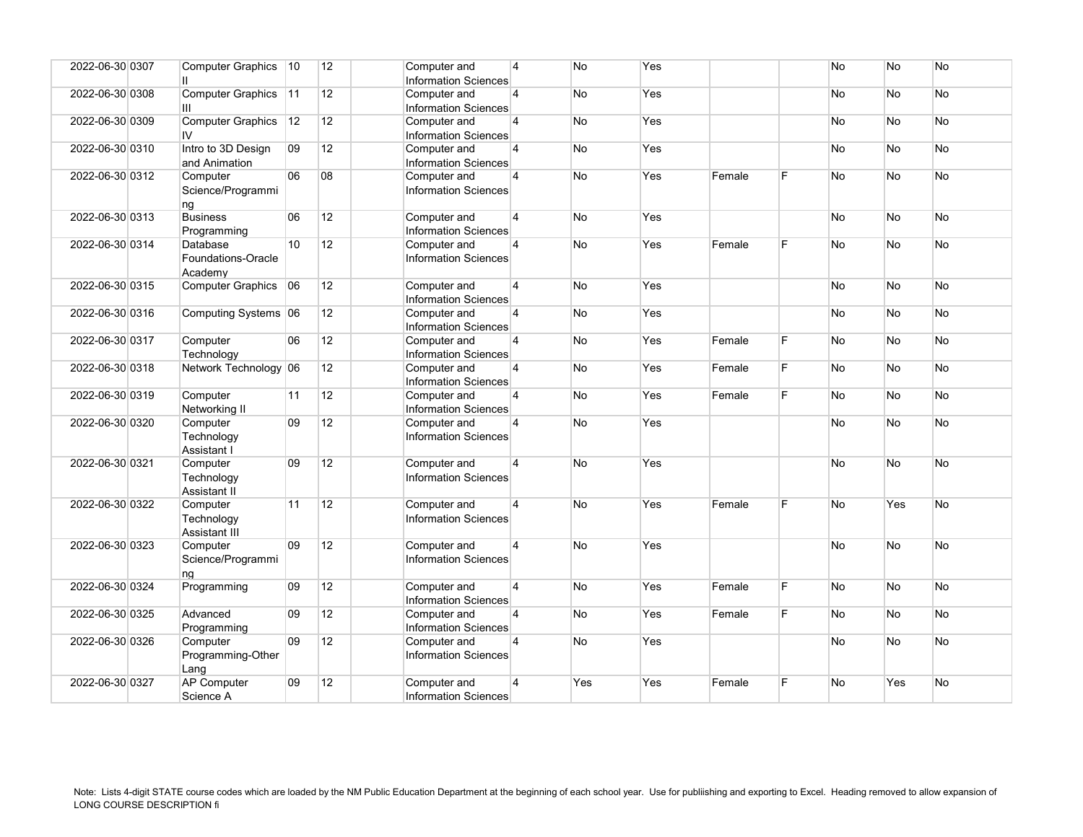| 2022-06-30 0307 | Computer Graphics   10<br>П               |    | 12              | Computer and<br><b>Information Sciences</b> | $\overline{4}$ | <b>No</b> | Yes |        |   | No        | No        | No        |
|-----------------|-------------------------------------------|----|-----------------|---------------------------------------------|----------------|-----------|-----|--------|---|-----------|-----------|-----------|
| 2022-06-30 0308 | Computer Graphics 11<br>Ш                 |    | 12 <sup>°</sup> | Computer and<br><b>Information Sciences</b> | 4              | No        | Yes |        |   | No        | No        | No        |
| 2022-06-30 0309 | Computer Graphics 12<br>IV                |    | 12 <sup>2</sup> | Computer and<br><b>Information Sciences</b> | $\overline{4}$ | No        | Yes |        |   | No        | No        | No        |
| 2022-06-30 0310 | Intro to 3D Design<br>and Animation       | 09 | 12 <sup>2</sup> | Computer and<br>Information Sciences        | $\overline{4}$ | No        | Yes |        |   | No        | <b>No</b> | <b>No</b> |
| 2022-06-30 0312 | Computer<br>Science/Programmi<br>ng       | 06 | 08              | Computer and<br><b>Information Sciences</b> | $\overline{4}$ | No        | Yes | Female | F | No        | No        | No        |
| 2022-06-30 0313 | <b>Business</b><br>Programming            | 06 | 12              | Computer and<br><b>Information Sciences</b> | $\overline{4}$ | No        | Yes |        |   | No        | No        | No        |
| 2022-06-30 0314 | Database<br>Foundations-Oracle<br>Academy | 10 | 12              | Computer and<br><b>Information Sciences</b> | 4              | No        | Yes | Female | F | No        | No        | No        |
| 2022-06-30 0315 | Computer Graphics 06                      |    | 12 <sup>2</sup> | Computer and<br><b>Information Sciences</b> | $\overline{4}$ | No        | Yes |        |   | No        | <b>No</b> | No        |
| 2022-06-30 0316 | Computing Systems 06                      |    | 12              | Computer and<br><b>Information Sciences</b> | $\overline{4}$ | No        | Yes |        |   | No        | No        | No        |
| 2022-06-30 0317 | Computer<br>Technology                    | 06 | 12              | Computer and<br><b>Information Sciences</b> | $\overline{4}$ | No        | Yes | Female | F | No        | No        | <b>No</b> |
| 2022-06-30 0318 | Network Technology 06                     |    | 12 <sup>2</sup> | Computer and<br><b>Information Sciences</b> | $\overline{4}$ | No        | Yes | Female | E | No        | <b>No</b> | No        |
| 2022-06-30 0319 | Computer<br>Networking II                 | 11 | 12              | Computer and<br><b>Information Sciences</b> | $\overline{4}$ | No        | Yes | Female | F | No        | No        | No        |
| 2022-06-30 0320 | Computer<br>Technology<br>Assistant I     | 09 | 12              | Computer and<br><b>Information Sciences</b> | $\overline{4}$ | No        | Yes |        |   | No        | No        | No        |
| 2022-06-30 0321 | Computer<br>Technology<br>Assistant II    | 09 | 12 <sup>2</sup> | Computer and<br><b>Information Sciences</b> | $\overline{4}$ | No        | Yes |        |   | No        | <b>No</b> | No        |
| 2022-06-30 0322 | Computer<br>Technology<br>Assistant III   | 11 | 12              | Computer and<br><b>Information Sciences</b> | $\overline{4}$ | No        | Yes | Female | E | <b>No</b> | Yes       | <b>No</b> |
| 2022-06-30 0323 | Computer<br>Science/Programmi<br>ng       | 09 | 12              | Computer and<br><b>Information Sciences</b> | $\overline{4}$ | <b>No</b> | Yes |        |   | No        | <b>No</b> | No        |
| 2022-06-30 0324 | Programming                               | 09 | 12              | Computer and<br><b>Information Sciences</b> | $\overline{4}$ | No        | Yes | Female | F | No        | <b>No</b> | <b>No</b> |
| 2022-06-30 0325 | Advanced<br>Programming                   | 09 | 12              | Computer and<br><b>Information Sciences</b> | $\overline{4}$ | No        | Yes | Female | F | No        | No        | No        |
| 2022-06-30 0326 | Computer<br>Programming-Other<br>Lang     | 09 | 12              | Computer and<br><b>Information Sciences</b> | $\overline{4}$ | No        | Yes |        |   | No        | No        | No        |
| 2022-06-30 0327 | <b>AP Computer</b><br>Science A           | 09 | 12              | Computer and<br>Information Sciences        | $\overline{4}$ | Yes       | Yes | Female | F | No        | Yes       | No        |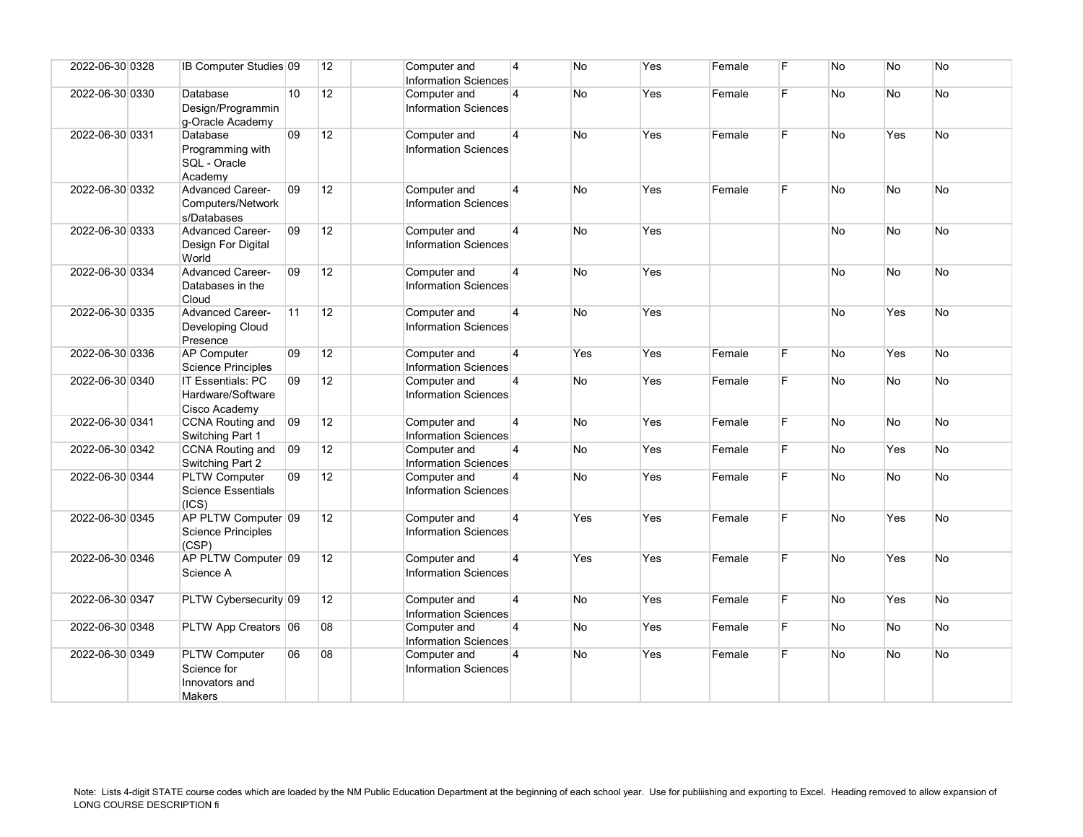| 2022-06-30 0328 | <b>IB Computer Studies 09</b>                                   |    | 12              | Computer and<br><b>Information Sciences</b> | $\overline{4}$ | No         | Yes | Female | F  | No        | No        | No        |
|-----------------|-----------------------------------------------------------------|----|-----------------|---------------------------------------------|----------------|------------|-----|--------|----|-----------|-----------|-----------|
| 2022-06-30 0330 | Database<br>Design/Programmin<br>g-Oracle Academy               | 10 | 12              | Computer and<br><b>Information Sciences</b> | $\overline{4}$ | No         | Yes | Female | F  | No        | <b>No</b> | <b>No</b> |
| 2022-06-30 0331 | Database<br>Programming with<br>SQL - Oracle<br>Academv         | 09 | 12              | Computer and<br><b>Information Sciences</b> | $\overline{4}$ | <b>No</b>  | Yes | Female | F  | <b>No</b> | Yes       | <b>No</b> |
| 2022-06-30 0332 | <b>Advanced Career-</b><br>Computers/Network<br>s/Databases     | 09 | 12              | Computer and<br><b>Information Sciences</b> | $\overline{4}$ | No         | Yes | Female | E  | <b>No</b> | No        | <b>No</b> |
| 2022-06-30 0333 | <b>Advanced Career-</b><br>Design For Digital<br>World          | 09 | 12              | Computer and<br><b>Information Sciences</b> | $\overline{4}$ | No         | Yes |        |    | No        | <b>No</b> | <b>No</b> |
| 2022-06-30 0334 | <b>Advanced Career-</b><br>Databases in the<br>Cloud            | 09 | 12              | Computer and<br><b>Information Sciences</b> | $\overline{4}$ | No         | Yes |        |    | No        | <b>No</b> | <b>No</b> |
| 2022-06-30 0335 | <b>Advanced Career-</b><br>Developing Cloud<br>Presence         | 11 | 12 <sup>2</sup> | Computer and<br><b>Information Sciences</b> | $\overline{4}$ | No         | Yes |        |    | No        | Yes       | <b>No</b> |
| 2022-06-30 0336 | <b>AP Computer</b><br>Science Principles                        | 09 | 12              | Computer and<br><b>Information Sciences</b> | $\overline{4}$ | <b>Yes</b> | Yes | Female | F. | No        | Yes       | <b>No</b> |
| 2022-06-30 0340 | <b>IT Essentials: PC</b><br>Hardware/Software<br>Cisco Academy  | 09 | 12              | Computer and<br><b>Information Sciences</b> | $\overline{4}$ | No         | Yes | Female | F  | No        | <b>No</b> | <b>No</b> |
| 2022-06-30 0341 | CCNA Routing and<br>Switching Part 1                            | 09 | 12              | Computer and<br><b>Information Sciences</b> | $\overline{4}$ | No         | Yes | Female | F  | No        | No        | No        |
| 2022-06-30 0342 | <b>CCNA Routing and</b><br>Switching Part 2                     | 09 | 12              | Computer and<br>Information Sciences        | $\overline{4}$ | No         | Yes | Female | F. | No        | Yes       | <b>No</b> |
| 2022-06-30 0344 | <b>PLTW Computer</b><br><b>Science Essentials</b><br>(ICS)      | 09 | 12              | Computer and<br>Information Sciences        | $\overline{4}$ | No         | Yes | Female | F. | No        | <b>No</b> | No        |
| 2022-06-30 0345 | AP PLTW Computer 09<br><b>Science Principles</b><br>(CSP)       |    | 12 <sup>2</sup> | Computer and<br><b>Information Sciences</b> | $\overline{4}$ | Yes        | Yes | Female | F. | <b>No</b> | Yes       | No        |
| 2022-06-30 0346 | AP PLTW Computer 09<br>Science A                                |    | 12              | Computer and<br>Information Sciences        | $\overline{4}$ | <b>Yes</b> | Yes | Female | F. | <b>No</b> | Yes       | No        |
| 2022-06-30 0347 | PLTW Cybersecurity 09                                           |    | 12 <sup>2</sup> | Computer and<br><b>Information Sciences</b> | $\overline{4}$ | No         | Yes | Female | F. | No        | Yes       | <b>No</b> |
| 2022-06-30 0348 | PLTW App Creators 06                                            |    | 08              | Computer and<br><b>Information Sciences</b> | $\overline{4}$ | No         | Yes | Female | F. | No        | <b>No</b> | <b>No</b> |
| 2022-06-30 0349 | <b>PLTW Computer</b><br>Science for<br>Innovators and<br>Makers | 06 | 08              | Computer and<br><b>Information Sciences</b> | $\overline{4}$ | No         | Yes | Female | E  | No        | No        | No        |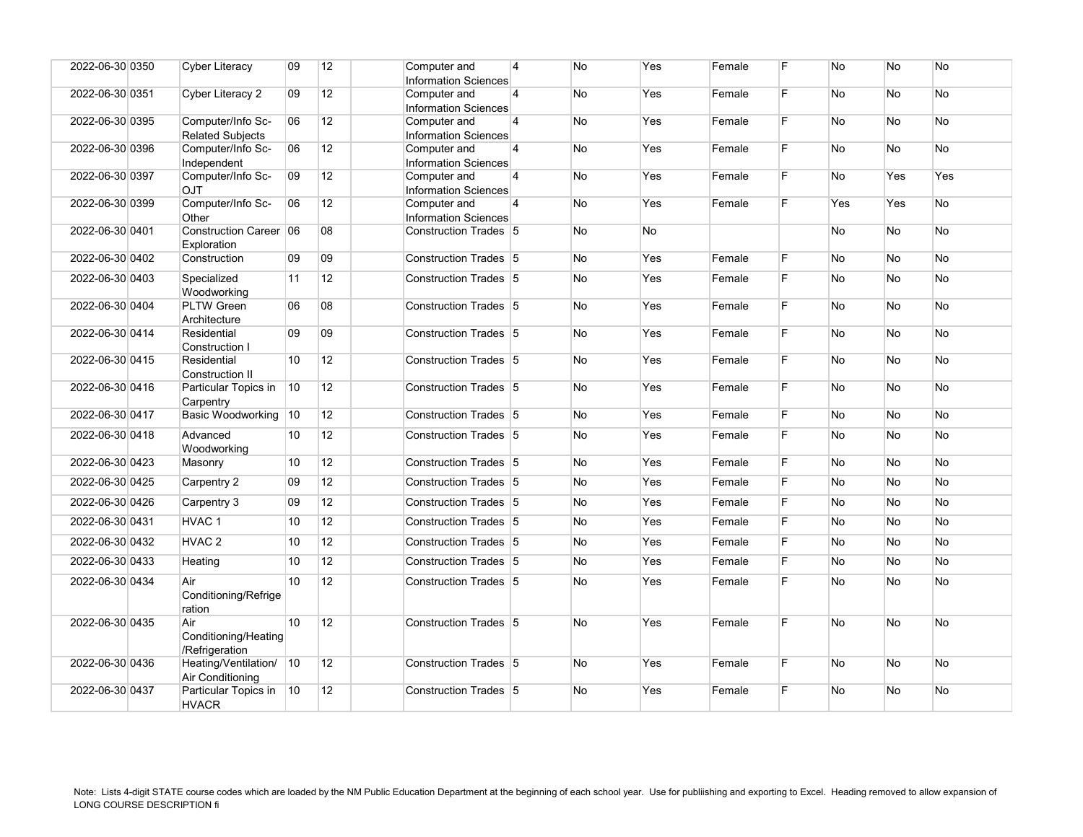| 2022-06-30 0350 | <b>Cyber Literacy</b>                                   | 09 | 12 <sup>2</sup> | Computer and<br><b>Information Sciences</b> | $\overline{4}$ | No        | Yes | Female | F  | No        | <b>No</b> | <b>No</b> |
|-----------------|---------------------------------------------------------|----|-----------------|---------------------------------------------|----------------|-----------|-----|--------|----|-----------|-----------|-----------|
| 2022-06-30 0351 | Cyber Literacy 2                                        | 09 | 12              | Computer and<br>Information Sciences        | 4              | No        | Yes | Female | F  | <b>No</b> | No        | No        |
| 2022-06-30 0395 | Computer/Info Sc-<br><b>Related Subjects</b>            | 06 | 12 <sup>°</sup> | Computer and<br>Information Sciences        | $\overline{4}$ | No        | Yes | Female | F  | No        | <b>No</b> | <b>No</b> |
| 2022-06-30 0396 | Computer/Info Sc-<br>Independent                        | 06 | 12              | Computer and<br>Information Sciences        | $\overline{4}$ | No        | Yes | Female | F  | No        | <b>No</b> | No        |
| 2022-06-30 0397 | Computer/Info Sc-<br><b>OJT</b>                         | 09 | 12              | Computer and<br><b>Information Sciences</b> | $\overline{4}$ | No        | Yes | Female | F. | No        | Yes       | Yes       |
| 2022-06-30 0399 | Computer/Info Sc-<br>Other                              | 06 | 12              | Computer and<br><b>Information Sciences</b> | $\overline{4}$ | No        | Yes | Female | F  | Yes       | Yes       | No        |
| 2022-06-30 0401 | Construction Career 06<br>Exploration                   |    | 08              | Construction Trades 5                       |                | No        | No  |        |    | No        | <b>No</b> | <b>No</b> |
| 2022-06-30 0402 | Construction                                            | 09 | 09              | Construction Trades 5                       |                | No        | Yes | Female | F. | No        | <b>No</b> | <b>No</b> |
| 2022-06-30 0403 | Specialized<br>Woodworking                              | 11 | 12 <sup>2</sup> | Construction Trades 5                       |                | No        | Yes | Female | F  | No        | <b>No</b> | No.       |
| 2022-06-30 0404 | <b>PLTW</b> Green<br>Architecture                       | 06 | 08              | Construction Trades 5                       |                | No        | Yes | Female | F  | No        | <b>No</b> | No        |
| 2022-06-30 0414 | Residential<br>Construction I                           | 09 | 09              | Construction Trades 5                       |                | No        | Yes | Female | F. | No        | <b>No</b> | No.       |
| 2022-06-30 0415 | Residential<br><b>Construction II</b>                   | 10 | 12              | Construction Trades 5                       |                | No        | Yes | Female | F  | No        | <b>No</b> | No.       |
| 2022-06-30 0416 | Particular Topics in  10<br>Carpentry                   |    | 12 <sup>2</sup> | Construction Trades 5                       |                | <b>No</b> | Yes | Female | F. | <b>No</b> | <b>No</b> | No.       |
| 2022-06-30 0417 | Basic Woodworking 10                                    |    | 12              | Construction Trades 5                       |                | No        | Yes | Female | F. | No        | <b>No</b> | No        |
| 2022-06-30 0418 | Advanced<br>Woodworking                                 | 10 | 12 <sup>2</sup> | Construction Trades 5                       |                | No        | Yes | Female | F  | No        | <b>No</b> | <b>No</b> |
| 2022-06-30 0423 | Masonry                                                 | 10 | 12              | Construction Trades 5                       |                | No        | Yes | Female | F. | <b>No</b> | <b>No</b> | No.       |
| 2022-06-30 0425 | Carpentry 2                                             | 09 | 12              | Construction Trades 5                       |                | No        | Yes | Female | F  | No        | No        | <b>No</b> |
| 2022-06-30 0426 | Carpentry 3                                             | 09 | 12              | Construction Trades 5                       |                | No        | Yes | Female | F  | No        | <b>No</b> | No        |
| 2022-06-30 0431 | HVAC <sub>1</sub>                                       | 10 | 12              | Construction Trades 5                       |                | No        | Yes | Female | F  | No        | <b>No</b> | <b>No</b> |
| 2022-06-30 0432 | HVAC <sub>2</sub>                                       | 10 | 12              | Construction Trades 5                       |                | No        | Yes | Female | F  | No        | <b>No</b> | No.       |
| 2022-06-30 0433 | Heating                                                 | 10 | 12              | Construction Trades 5                       |                | No        | Yes | Female | F  | No        | <b>No</b> | <b>No</b> |
| 2022-06-30 0434 | Air<br>Conditioning/Refrige                             | 10 | 12              | Construction Trades 5                       |                | No        | Yes | Female | F  | No        | No        | No        |
| 2022-06-30 0435 | ration<br>Air<br>Conditioning/Heating<br>/Refrigeration | 10 | 12              | Construction Trades 5                       |                | No        | Yes | Female | F  | No        | <b>No</b> | <b>No</b> |
| 2022-06-30 0436 | Heating/Ventilation/ 10<br>Air Conditioning             |    | 12              | Construction Trades 5                       |                | No        | Yes | Female | F. | <b>No</b> | <b>No</b> | <b>No</b> |
| 2022-06-30 0437 | Particular Topics in<br><b>HVACR</b>                    | 10 | 12              | Construction Trades 5                       |                | No        | Yes | Female | F. | No        | No        | No        |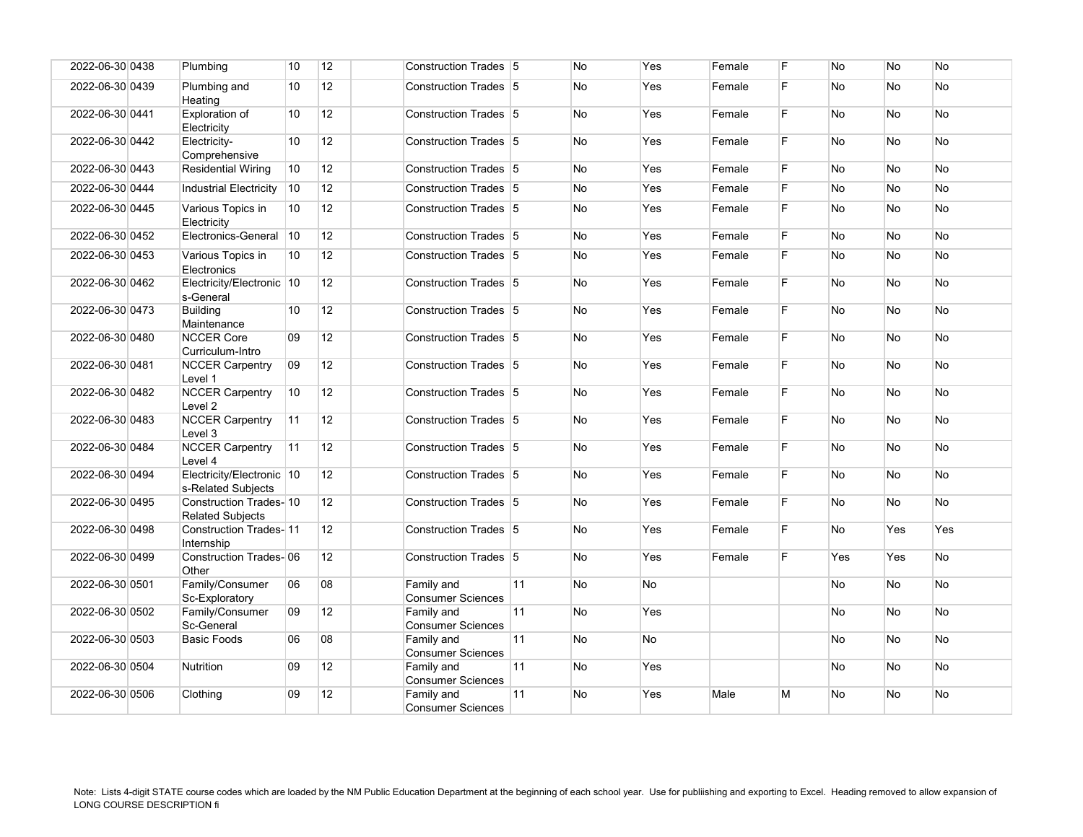| 2022-06-30 0438 | Plumbing                                          | 10 | 12 | Construction Trades 5                  |    | <b>No</b> | Yes       | Female | F. | <b>No</b> | <b>No</b> | <b>No</b>  |
|-----------------|---------------------------------------------------|----|----|----------------------------------------|----|-----------|-----------|--------|----|-----------|-----------|------------|
| 2022-06-30 0439 | Plumbing and<br>Heating                           | 10 | 12 | Construction Trades 5                  |    | No        | Yes       | Female | F  | No        | No        | <b>No</b>  |
| 2022-06-30 0441 | Exploration of<br>Electricity                     | 10 | 12 | Construction Trades 5                  |    | No        | Yes       | Female | F. | <b>No</b> | No        | No         |
| 2022-06-30 0442 | Electricity-<br>Comprehensive                     | 10 | 12 | Construction Trades 5                  |    | No        | Yes       | Female | F  | No        | No        | No         |
| 2022-06-30 0443 | <b>Residential Wiring</b>                         | 10 | 12 | Construction Trades 5                  |    | No        | Yes       | Female | F  | No        | No        | No         |
| 2022-06-30 0444 | Industrial Electricity                            | 10 | 12 | Construction Trades 5                  |    | No        | Yes       | Female | F. | No        | No        | <b>No</b>  |
| 2022-06-30 0445 | Various Topics in<br>Electricity                  | 10 | 12 | Construction Trades 5                  |    | No        | Yes       | Female | F  | No        | No        | No         |
| 2022-06-30 0452 | Electronics-General                               | 10 | 12 | Construction Trades 5                  |    | No        | Yes       | Female | F. | <b>No</b> | <b>No</b> | <b>No</b>  |
| 2022-06-30 0453 | Various Topics in<br>Electronics                  | 10 | 12 | Construction Trades 5                  |    | No        | Yes       | Female | F. | No        | No        | <b>No</b>  |
| 2022-06-30 0462 | Electricity/Electronic 10<br>s-General            |    | 12 | Construction Trades 5                  |    | No        | Yes       | Female | F. | No        | <b>No</b> | No         |
| 2022-06-30 0473 | <b>Building</b><br>Maintenance                    | 10 | 12 | Construction Trades 5                  |    | No        | Yes       | Female | F. | No        | No        | No         |
| 2022-06-30 0480 | <b>NCCER Core</b><br>Curriculum-Intro             | 09 | 12 | Construction Trades 5                  |    | <b>No</b> | Yes       | Female | F. | <b>No</b> | <b>No</b> | <b>No</b>  |
| 2022-06-30 0481 | <b>NCCER Carpentry</b><br>Level 1                 | 09 | 12 | Construction Trades 5                  |    | No        | Yes       | Female | F. | No        | No        | No         |
| 2022-06-30 0482 | <b>NCCER Carpentry</b><br>Level <sub>2</sub>      | 10 | 12 | Construction Trades 5                  |    | No        | Yes       | Female | F. | <b>No</b> | <b>No</b> | <b>No</b>  |
| 2022-06-30 0483 | <b>NCCER Carpentry</b><br>Level 3                 | 11 | 12 | Construction Trades 5                  |    | No        | Yes       | Female | F. | No        | No        | No         |
| 2022-06-30 0484 | <b>NCCER Carpentry</b><br>Level 4                 | 11 | 12 | Construction Trades 5                  |    | No        | Yes       | Female | F. | No        | No        | No         |
| 2022-06-30 0494 | Electricity/Electronic 10<br>s-Related Subjects   |    | 12 | Construction Trades 5                  |    | No        | Yes       | Female | F. | No        | No        | No         |
| 2022-06-30 0495 | Construction Trades-10<br><b>Related Subiects</b> |    | 12 | Construction Trades 5                  |    | No        | Yes       | Female | F  | No        | No        | No         |
| 2022-06-30 0498 | <b>Construction Trades-11</b><br>Internship       |    | 12 | Construction Trades 5                  |    | No        | Yes       | Female | F  | No        | Yes       | <b>Yes</b> |
| 2022-06-30 0499 | <b>Construction Trades-06</b><br>Other            |    | 12 | Construction Trades 5                  |    | No        | Yes       | Female | F  | Yes       | Yes       | <b>No</b>  |
| 2022-06-30 0501 | Family/Consumer<br>Sc-Exploratory                 | 06 | 08 | Family and<br><b>Consumer Sciences</b> | 11 | No        | <b>No</b> |        |    | No        | <b>No</b> | <b>No</b>  |
| 2022-06-30 0502 | Family/Consumer<br>Sc-General                     | 09 | 12 | Family and<br><b>Consumer Sciences</b> | 11 | No        | Yes       |        |    | No        | No        | No         |
| 2022-06-30 0503 | <b>Basic Foods</b>                                | 06 | 08 | Family and<br><b>Consumer Sciences</b> | 11 | No        | <b>No</b> |        |    | No        | No        | No         |
| 2022-06-30 0504 | <b>Nutrition</b>                                  | 09 | 12 | Family and<br><b>Consumer Sciences</b> | 11 | No        | Yes       |        |    | No        | No        | No         |
| 2022-06-30 0506 | Clothing                                          | 09 | 12 | Family and<br><b>Consumer Sciences</b> | 11 | <b>No</b> | Yes       | Male   | M  | No        | No        | <b>No</b>  |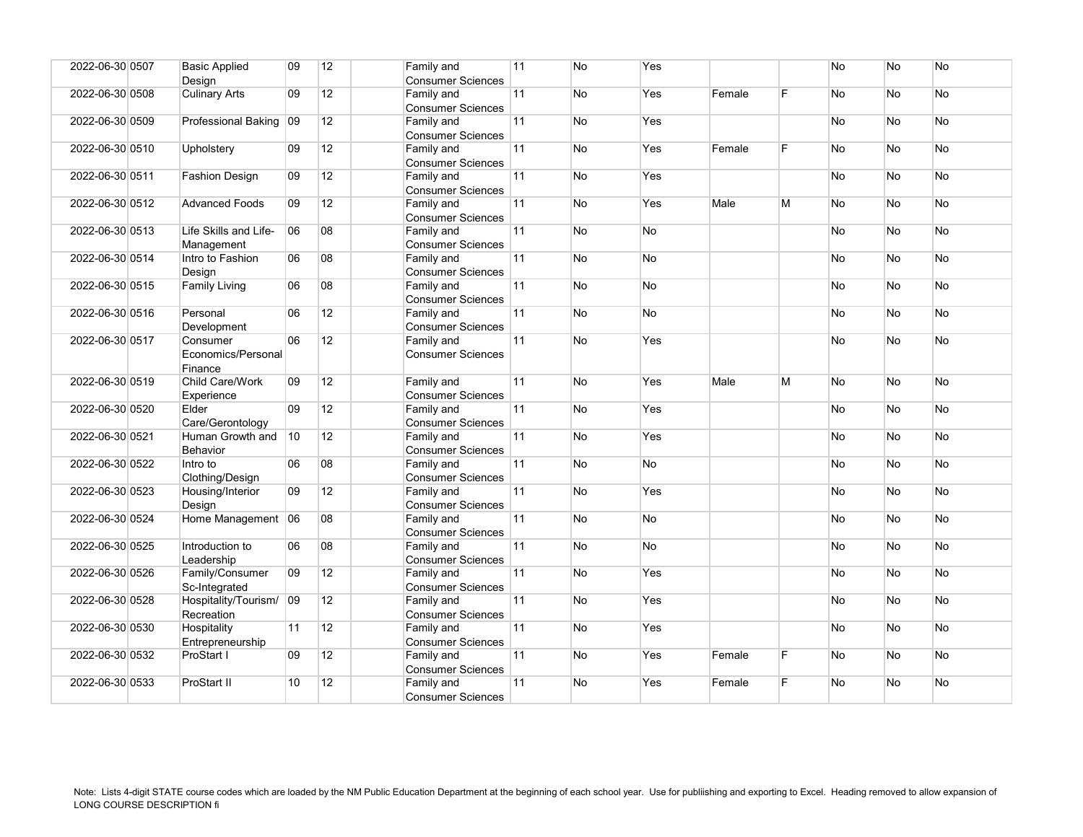| 2022-06-30 0507 | <b>Basic Applied</b><br>Design            | 09 | 12              | Family and<br><b>Consumer Sciences</b> | 11 | <b>No</b> | Yes       |        |    | <b>No</b> | <b>No</b> | <b>No</b> |
|-----------------|-------------------------------------------|----|-----------------|----------------------------------------|----|-----------|-----------|--------|----|-----------|-----------|-----------|
| 2022-06-30 0508 | <b>Culinary Arts</b>                      | 09 | 12              | Family and<br><b>Consumer Sciences</b> | 11 | No        | Yes       | Female | F  | No        | No        | No        |
| 2022-06-30 0509 | Professional Baking                       | 09 | 12              | Family and<br><b>Consumer Sciences</b> | 11 | <b>No</b> | Yes       |        |    | No        | <b>No</b> | <b>No</b> |
| 2022-06-30 0510 | Upholstery                                | 09 | 12              | Family and<br><b>Consumer Sciences</b> | 11 | <b>No</b> | Yes       | Female | F. | No        | <b>No</b> | No        |
| 2022-06-30 0511 | <b>Fashion Design</b>                     | 09 | 12              | Family and<br><b>Consumer Sciences</b> | 11 | <b>No</b> | Yes       |        |    | No        | No        | No        |
| 2022-06-30 0512 | <b>Advanced Foods</b>                     | 09 | 12              | Family and<br><b>Consumer Sciences</b> | 11 | <b>No</b> | Yes       | Male   | M  | No        | <b>No</b> | <b>No</b> |
| 2022-06-30 0513 | Life Skills and Life-<br>Management       | 06 | 08              | Family and<br><b>Consumer Sciences</b> | 11 | No        | No        |        |    | <b>No</b> | <b>No</b> | <b>No</b> |
| 2022-06-30 0514 | Intro to Fashion<br>Design                | 06 | 08              | Family and<br><b>Consumer Sciences</b> | 11 | No        | No        |        |    | No        | No        | <b>No</b> |
| 2022-06-30 0515 | Family Living                             | 06 | 08              | Family and<br><b>Consumer Sciences</b> | 11 | No        | No        |        |    | No        | No        | No        |
| 2022-06-30 0516 | Personal<br>Development                   | 06 | 12              | Family and<br><b>Consumer Sciences</b> | 11 | <b>No</b> | No        |        |    | <b>No</b> | <b>No</b> | <b>No</b> |
| 2022-06-30 0517 | Consumer<br>Economics/Personal<br>Finance | 06 | 12              | Family and<br><b>Consumer Sciences</b> | 11 | <b>No</b> | Yes       |        |    | No        | <b>No</b> | No        |
| 2022-06-30 0519 | Child Care/Work<br>Experience             | 09 | 12              | Family and<br><b>Consumer Sciences</b> | 11 | <b>No</b> | Yes       | Male   | M  | No        | <b>No</b> | <b>No</b> |
| 2022-06-30 0520 | Elder<br>Care/Gerontology                 | 09 | 12              | Family and<br><b>Consumer Sciences</b> | 11 | No        | Yes       |        |    | No        | No        | No        |
| 2022-06-30 0521 | Human Growth and 10<br><b>Behavior</b>    |    | 12              | Family and<br><b>Consumer Sciences</b> | 11 | No.       | Yes       |        |    | No        | <b>No</b> | <b>No</b> |
| 2022-06-30 0522 | Intro to<br>Clothing/Design               | 06 | 08              | Family and<br><b>Consumer Sciences</b> | 11 | <b>No</b> | No        |        |    | <b>No</b> | <b>No</b> | <b>No</b> |
| 2022-06-30 0523 | Housing/Interior<br>Design                | 09 | 12              | Family and<br><b>Consumer Sciences</b> | 11 | No        | Yes       |        |    | No        | <b>No</b> | <b>No</b> |
| 2022-06-30 0524 | Home Management 06                        |    | 08              | Family and<br><b>Consumer Sciences</b> | 11 | <b>No</b> | No        |        |    | No        | No        | No        |
| 2022-06-30 0525 | Introduction to<br>Leadership             | 06 | 08              | Family and<br><b>Consumer Sciences</b> | 11 | <b>No</b> | <b>No</b> |        |    | <b>No</b> | <b>No</b> | <b>No</b> |
| 2022-06-30 0526 | Family/Consumer<br>Sc-Integrated          | 09 | 12              | Family and<br><b>Consumer Sciences</b> | 11 | <b>No</b> | Yes       |        |    | No        | <b>No</b> | No        |
| 2022-06-30 0528 | Hospitality/Tourism/ 09<br>Recreation     |    | 12              | Family and<br><b>Consumer Sciences</b> | 11 | No        | Yes       |        |    | No        | No        | <b>No</b> |
| 2022-06-30 0530 | Hospitality<br>Entrepreneurship           | 11 | 12              | Family and<br><b>Consumer Sciences</b> | 11 | No        | Yes       |        |    | No        | <b>No</b> | No.       |
| 2022-06-30 0532 | ProStart I                                | 09 | 12 <sup>°</sup> | Family and<br><b>Consumer Sciences</b> | 11 | <b>No</b> | Yes       | Female | F  | No        | No        | <b>No</b> |
| 2022-06-30 0533 | ProStart II                               | 10 | 12              | Family and<br><b>Consumer Sciences</b> | 11 | No        | Yes       | Female | F  | No        | <b>No</b> | <b>No</b> |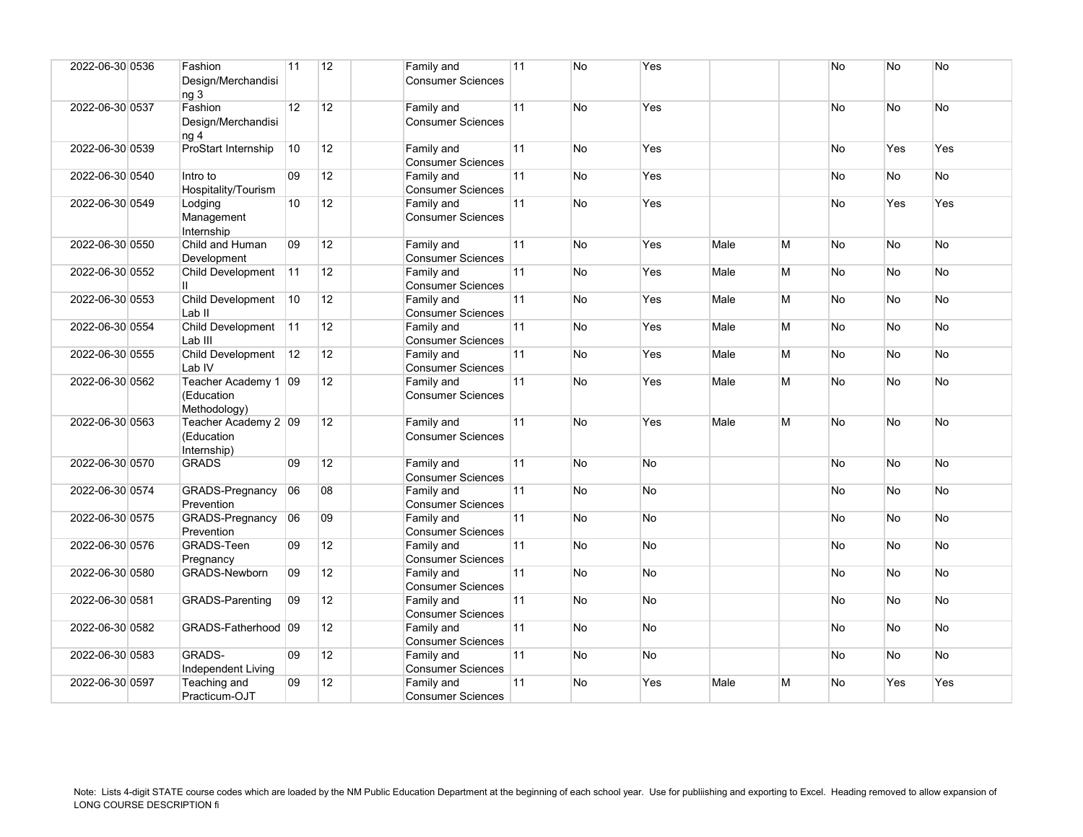| 2022-06-30 0536 | Fashion<br>Design/Merchandisi<br>ng <sub>3</sub>   | 11              | 12              | Family and<br><b>Consumer Sciences</b> | 11 | <b>No</b> | Yes       |      |   | No        | <b>No</b> | <b>No</b> |
|-----------------|----------------------------------------------------|-----------------|-----------------|----------------------------------------|----|-----------|-----------|------|---|-----------|-----------|-----------|
| 2022-06-30 0537 | Fashion<br>Design/Merchandisi<br>na 4              | 12 <sup>°</sup> | 12              | Family and<br><b>Consumer Sciences</b> | 11 | No        | Yes       |      |   | No        | No        | <b>No</b> |
| 2022-06-30 0539 | ProStart Internship                                | 10              | 12              | Family and<br><b>Consumer Sciences</b> | 11 | No        | Yes       |      |   | No        | Yes       | Yes       |
| 2022-06-30 0540 | Intro to<br>Hospitality/Tourism                    | 09              | 12 <sup>2</sup> | Family and<br><b>Consumer Sciences</b> | 11 | No        | Yes       |      |   | <b>No</b> | <b>No</b> | No        |
| 2022-06-30 0549 | Lodging<br>Management<br>Internship                | 10              | 12              | Family and<br><b>Consumer Sciences</b> | 11 | No        | Yes       |      |   | <b>No</b> | Yes       | Yes       |
| 2022-06-30 0550 | Child and Human<br>Development                     | 09              | 12              | Family and<br><b>Consumer Sciences</b> | 11 | No        | Yes       | Male | M | No        | No        | <b>No</b> |
| 2022-06-30 0552 | Child Development<br>Ш.                            | 11              | 12              | Family and<br><b>Consumer Sciences</b> | 11 | No        | Yes       | Male | M | No.       | No        | <b>No</b> |
| 2022-06-30 0553 | Child Development<br>Lab <sub>II</sub>             | 10              | 12              | Family and<br><b>Consumer Sciences</b> | 11 | No        | Yes       | Male | M | <b>No</b> | <b>No</b> | <b>No</b> |
| 2022-06-30 0554 | Child Development<br>Lab III                       | 11              | 12 <sup>°</sup> | Family and<br><b>Consumer Sciences</b> | 11 | No        | Yes       | Male | M | No        | No        | No        |
| 2022-06-30 0555 | Child Development<br>Lab IV                        | 12              | 12 <sup>2</sup> | Family and<br><b>Consumer Sciences</b> | 11 | No        | Yes       | Male | M | <b>No</b> | No        | No        |
| 2022-06-30 0562 | Teacher Academy 1 09<br>(Education<br>Methodology) |                 | 12              | Family and<br><b>Consumer Sciences</b> | 11 | No        | Yes       | Male | М | <b>No</b> | No        | No        |
| 2022-06-30 0563 | Teacher Academy 2 09<br>(Education<br>Internship)  |                 | 12 <sup>2</sup> | Family and<br><b>Consumer Sciences</b> | 11 | <b>No</b> | Yes       | Male | M | No.       | <b>No</b> | No        |
| 2022-06-30 0570 | <b>GRADS</b>                                       | 09              | 12              | Family and<br><b>Consumer Sciences</b> | 11 | <b>No</b> | <b>No</b> |      |   | <b>No</b> | <b>No</b> | <b>No</b> |
| 2022-06-30 0574 | GRADS-Pregnancy<br>Prevention                      | 06              | 08              | Family and<br><b>Consumer Sciences</b> | 11 | No        | No        |      |   | No        | No        | <b>No</b> |
| 2022-06-30 0575 | GRADS-Pregnancy<br>Prevention                      | 06              | $ 09\rangle$    | Family and<br><b>Consumer Sciences</b> | 11 | No        | No        |      |   | No        | <b>No</b> | No        |
| 2022-06-30 0576 | GRADS-Teen<br>Pregnancy                            | 09              | 12              | Family and<br><b>Consumer Sciences</b> | 11 | No        | <b>No</b> |      |   | <b>No</b> | No        | No        |
| 2022-06-30 0580 | <b>GRADS-Newborn</b>                               | 09              | 12 <sup>2</sup> | Family and<br><b>Consumer Sciences</b> | 11 | No        | <b>No</b> |      |   | No        | No        | No        |
| 2022-06-30 0581 | <b>GRADS-Parenting</b>                             | 09              | 12              | Family and<br><b>Consumer Sciences</b> | 11 | No        | No        |      |   | <b>No</b> | <b>No</b> | <b>No</b> |
| 2022-06-30 0582 | GRADS-Fatherhood 09                                |                 | 12              | Family and<br><b>Consumer Sciences</b> | 11 | No        | No        |      |   | No        | No        | <b>No</b> |
| 2022-06-30 0583 | <b>GRADS-</b><br>Independent Living                | 09              | 12 <sup>°</sup> | Family and<br><b>Consumer Sciences</b> | 11 | <b>No</b> | No        |      |   | No.       | <b>No</b> | No        |
| 2022-06-30 0597 | Teaching and<br>Practicum-OJT                      | 09              | 12              | Family and<br><b>Consumer Sciences</b> | 11 | No        | Yes       | Male | M | No        | Yes       | Yes       |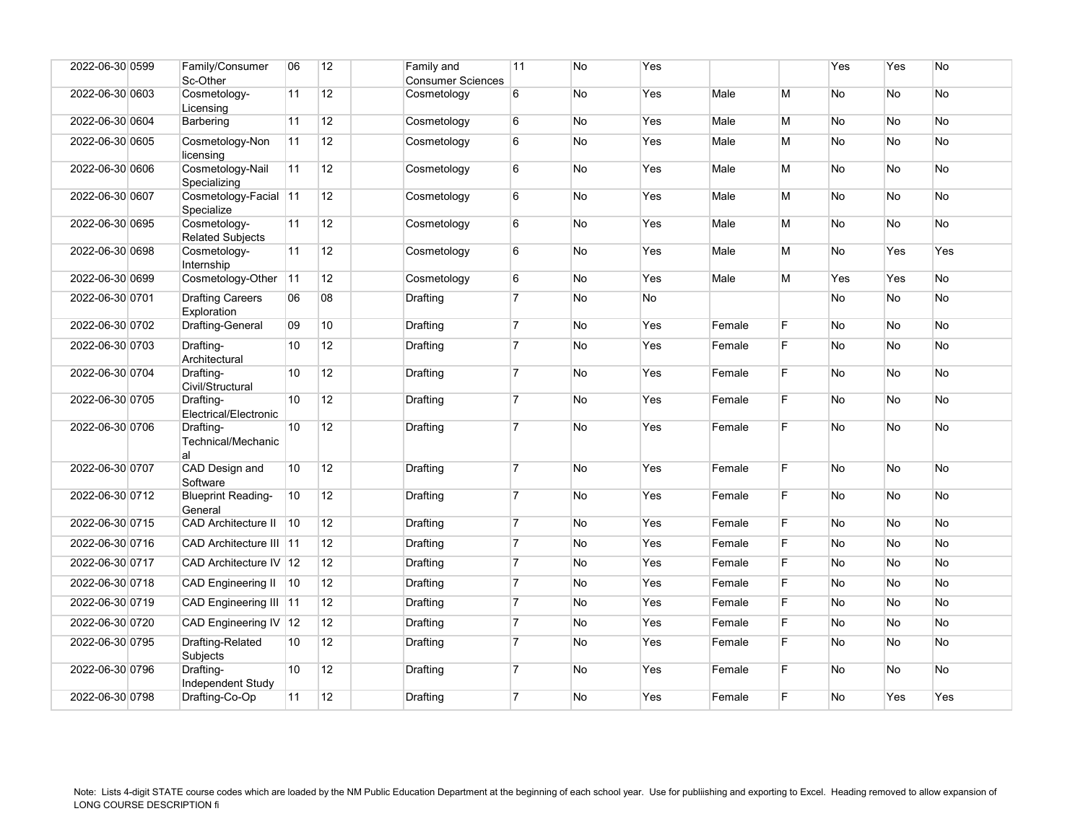| 2022-06-30 0599 | Family/Consumer<br>Sc-Other             | 06 | 12              | Family and<br><b>Consumer Sciences</b> | 11             | No        | Yes |        |    | Yes | Yes       | No        |
|-----------------|-----------------------------------------|----|-----------------|----------------------------------------|----------------|-----------|-----|--------|----|-----|-----------|-----------|
| 2022-06-30 0603 | Cosmetology-<br>Licensing               | 11 | 12              | Cosmetology                            | 6              | No        | Yes | Male   | M  | No  | <b>No</b> | No        |
| 2022-06-30 0604 | Barbering                               | 11 | 12              | Cosmetology                            | 6              | No        | Yes | Male   | M  | No  | No        | No        |
| 2022-06-30 0605 | Cosmetology-Non<br>licensing            | 11 | 12              | Cosmetology                            | 6              | No        | Yes | Male   | M  | No  | No        | No        |
| 2022-06-30 0606 | Cosmetology-Nail<br>Specializing        | 11 | 12 <sup>2</sup> | Cosmetology                            | 6              | No        | Yes | Male   | M  | No  | No        | No        |
| 2022-06-30 0607 | Cosmetology-Facial 11<br>Specialize     |    | 12 <sup>2</sup> | Cosmetology                            | 6              | No        | Yes | Male   | М  | No  | <b>No</b> | <b>No</b> |
| 2022-06-30 0695 | Cosmetology-<br><b>Related Subjects</b> | 11 | 12 <sup>2</sup> | Cosmetology                            | 6              | No        | Yes | Male   | M  | No  | <b>No</b> | <b>No</b> |
| 2022-06-30 0698 | Cosmetology-<br>Internship              | 11 | 12              | Cosmetology                            | 6              | No        | Yes | Male   | M  | No  | Yes       | Yes       |
| 2022-06-30 0699 | Cosmetology-Other                       | 11 | 12              | Cosmetology                            | $\,6$          | No        | Yes | Male   | M  | Yes | Yes       | No        |
| 2022-06-30 0701 | <b>Drafting Careers</b><br>Exploration  | 06 | 08              | Drafting                               | $\overline{7}$ | No        | No  |        |    | No  | No        | No        |
| 2022-06-30 0702 | Drafting-General                        | 09 | 10 <sup>°</sup> | Drafting                               | $\overline{7}$ | No        | Yes | Female | F  | No  | No        | No        |
| 2022-06-30 0703 | Drafting-<br>Architectural              | 10 | 12 <sup>2</sup> | Drafting                               | $\overline{7}$ | No        | Yes | Female | F. | No  | <b>No</b> | <b>No</b> |
| 2022-06-30 0704 | Drafting-<br>Civil/Structural           | 10 | 12              | Drafting                               | $\overline{7}$ | No        | Yes | Female | F. | No  | <b>No</b> | <b>No</b> |
| 2022-06-30 0705 | Drafting-<br>Electrical/Electronic      | 10 | 12 <sup>2</sup> | Drafting                               | $\overline{7}$ | No        | Yes | Female | F. | No  | <b>No</b> | <b>No</b> |
| 2022-06-30 0706 | Drafting-<br>Technical/Mechanic<br>al   | 10 | 12              | Drafting                               | $\overline{7}$ | No        | Yes | Female | F  | No  | No        | No        |
| 2022-06-30 0707 | CAD Design and<br>Software              | 10 | 12              | Drafting                               | $\overline{7}$ | No        | Yes | Female | F. | No  | <b>No</b> | No        |
| 2022-06-30 0712 | <b>Blueprint Reading-</b><br>General    | 10 | 12 <sup>2</sup> | Drafting                               | $\overline{7}$ | <b>No</b> | Yes | Female | F. | No  | <b>No</b> | No        |
| 2022-06-30 0715 | <b>CAD Architecture II</b>              | 10 | 12              | Drafting                               | $\overline{7}$ | No        | Yes | Female | F  | No  | No        | No        |
| 2022-06-30 0716 | CAD Architecture III 11                 |    | 12              | Drafting                               | $\overline{7}$ | No        | Yes | Female | F  | No  | <b>No</b> | No        |
| 2022-06-30 0717 | CAD Architecture IV  12                 |    | 12              | Drafting                               | $\overline{7}$ | No        | Yes | Female | F. | No  | No        | <b>No</b> |
| 2022-06-30 0718 | <b>CAD Engineering II</b>               | 10 | 12              | Drafting                               | $\overline{7}$ | No        | Yes | Female | F. | No  | <b>No</b> | No        |
| 2022-06-30 0719 | CAD Engineering III 11                  |    | 12              | Drafting                               | $\overline{7}$ | No        | Yes | Female | F  | No  | No        | No        |
| 2022-06-30 0720 | CAD Engineering IV 12                   |    | 12              | Drafting                               | $\overline{7}$ | No        | Yes | Female | F  | No  | <b>No</b> | <b>No</b> |
| 2022-06-30 0795 | Drafting-Related<br>Subjects            | 10 | 12              | Drafting                               | $\overline{7}$ | No        | Yes | Female | F. | No  | No        | No        |
| 2022-06-30 0796 | Drafting-<br>Independent Study          | 10 | 12              | Drafting                               | $\overline{7}$ | No        | Yes | Female | F  | No  | <b>No</b> | <b>No</b> |
| 2022-06-30 0798 | Drafting-Co-Op                          | 11 | 12              | Drafting                               | $\overline{7}$ | No        | Yes | Female | F. | No  | Yes       | Yes       |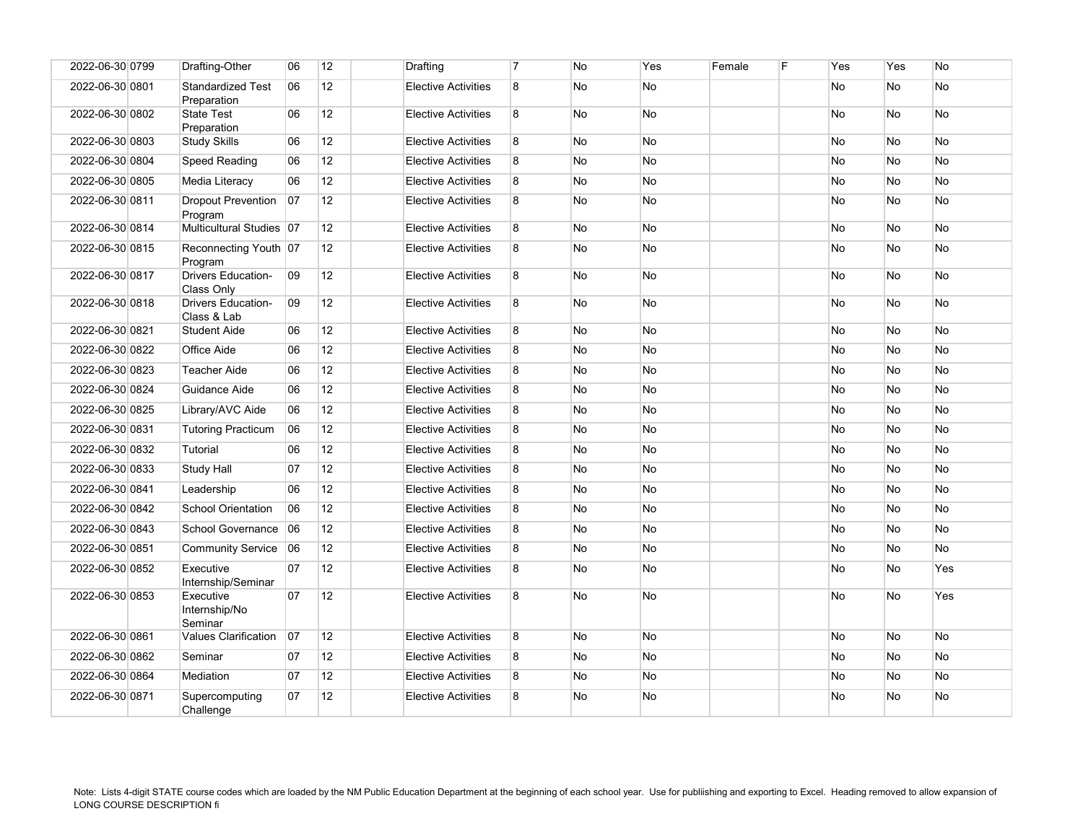| 2022-06-30 0799 | Drafting-Other                           | 06 | 12 | Drafting                   | $\overline{7}$ | <b>No</b> | Yes       | Female | F | Yes | Yes       | No        |
|-----------------|------------------------------------------|----|----|----------------------------|----------------|-----------|-----------|--------|---|-----|-----------|-----------|
| 2022-06-30 0801 | <b>Standardized Test</b><br>Preparation  | 06 | 12 | <b>Elective Activities</b> | 8              | No        | <b>No</b> |        |   | No  | No        | <b>No</b> |
| 2022-06-30 0802 | <b>State Test</b><br>Preparation         | 06 | 12 | <b>Elective Activities</b> | 8              | No        | <b>No</b> |        |   | No  | No        | No        |
| 2022-06-30 0803 | <b>Study Skills</b>                      | 06 | 12 | <b>Elective Activities</b> | 8              | No        | No        |        |   | No  | No        | <b>No</b> |
| 2022-06-30 0804 | Speed Reading                            | 06 | 12 | <b>Elective Activities</b> | 8              | No        | No        |        |   | No  | No        | No        |
| 2022-06-30 0805 | Media Literacy                           | 06 | 12 | <b>Elective Activities</b> | 8              | No        | <b>No</b> |        |   | No  | No        | <b>No</b> |
| 2022-06-30 0811 | <b>Dropout Prevention</b><br>Program     | 07 | 12 | <b>Elective Activities</b> | 8              | No        | <b>No</b> |        |   | No  | No        | No        |
| 2022-06-30 0814 | Multicultural Studies 07                 |    | 12 | <b>Elective Activities</b> | 8              | No        | <b>No</b> |        |   | No  | No        | No        |
| 2022-06-30 0815 | Reconnecting Youth 07<br>Program         |    | 12 | <b>Elective Activities</b> | 8              | No        | <b>No</b> |        |   | No  | <b>No</b> | <b>No</b> |
| 2022-06-30 0817 | <b>Drivers Education-</b><br>Class Only  | 09 | 12 | <b>Elective Activities</b> | 8              | No        | No        |        |   | No  | No        | No        |
| 2022-06-30 0818 | <b>Drivers Education-</b><br>Class & Lab | 09 | 12 | <b>Elective Activities</b> | 8              | No        | <b>No</b> |        |   | No  | No        | No        |
| 2022-06-30 0821 | <b>Student Aide</b>                      | 06 | 12 | <b>Elective Activities</b> | $\overline{8}$ | No        | No        |        |   | No  | No        | <b>No</b> |
| 2022-06-30 0822 | Office Aide                              | 06 | 12 | <b>Elective Activities</b> | 8              | No        | No        |        |   | No  | No        | No        |
| 2022-06-30 0823 | <b>Teacher Aide</b>                      | 06 | 12 | <b>Elective Activities</b> | 8              | No        | No        |        |   | No  | No        | No        |
| 2022-06-30 0824 | Guidance Aide                            | 06 | 12 | <b>Elective Activities</b> | 8              | No        | No        |        |   | No  | No        | <b>No</b> |
| 2022-06-30 0825 | Library/AVC Aide                         | 06 | 12 | <b>Elective Activities</b> | 8              | No        | No        |        |   | No  | No        | <b>No</b> |
| 2022-06-30 0831 | <b>Tutoring Practicum</b>                | 06 | 12 | <b>Elective Activities</b> | 8              | No        | No        |        |   | No  | No        | <b>No</b> |
| 2022-06-30 0832 | Tutorial                                 | 06 | 12 | <b>Elective Activities</b> | 8              | No        | No        |        |   | No  | No        | <b>No</b> |
| 2022-06-30 0833 | Study Hall                               | 07 | 12 | <b>Elective Activities</b> | 8              | No        | No        |        |   | No  | No        | <b>No</b> |
| 2022-06-30 0841 | Leadership                               | 06 | 12 | <b>Elective Activities</b> | 8              | No        | No        |        |   | No  | No        | <b>No</b> |
| 2022-06-30 0842 | <b>School Orientation</b>                | 06 | 12 | <b>Elective Activities</b> | 8              | No        | No        |        |   | No  | No        | <b>No</b> |
| 2022-06-30 0843 | School Governance                        | 06 | 12 | <b>Elective Activities</b> | 8              | No        | <b>No</b> |        |   | No  | No        | No        |
| 2022-06-30 0851 | <b>Community Service</b>                 | 06 | 12 | <b>Elective Activities</b> | 8              | No        | No        |        |   | No  | No        | <b>No</b> |
| 2022-06-30 0852 | Executive<br>Internship/Seminar          | 07 | 12 | <b>Elective Activities</b> | 8              | No        | No        |        |   | No  | No        | Yes       |
| 2022-06-30 0853 | Executive<br>Internship/No<br>Seminar    | 07 | 12 | <b>Elective Activities</b> | 8              | No        | <b>No</b> |        |   | No  | No        | Yes       |
| 2022-06-30 0861 | <b>Values Clarification</b>              | 07 | 12 | <b>Elective Activities</b> | 8              | No        | <b>No</b> |        |   | No  | No        | <b>No</b> |
| 2022-06-30 0862 | Seminar                                  | 07 | 12 | <b>Elective Activities</b> | 8              | No        | No        |        |   | No  | No        | No        |
| 2022-06-30 0864 | Mediation                                | 07 | 12 | <b>Elective Activities</b> | 8              | No        | No        |        |   | No  | No        | <b>No</b> |
| 2022-06-30 0871 | Supercomputing<br>Challenge              | 07 | 12 | <b>Elective Activities</b> | 8              | No        | No        |        |   | No  | No        | <b>No</b> |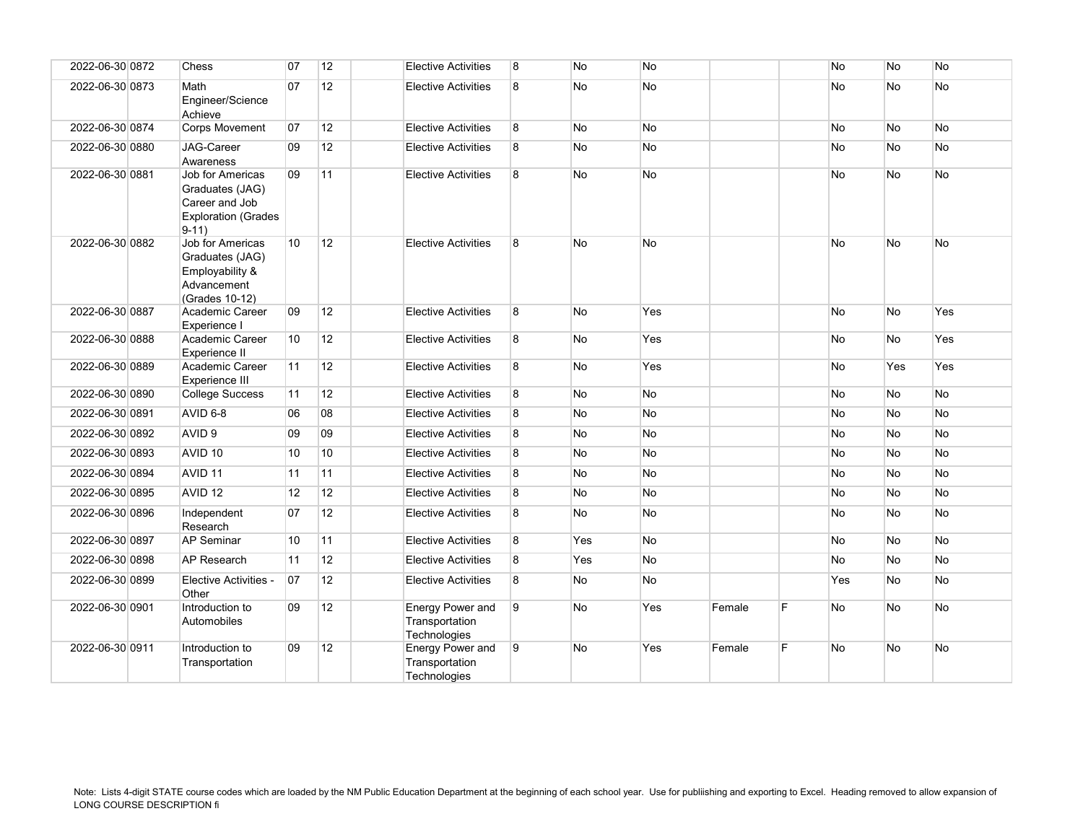| 2022-06-30 0872 | Chess                                                                                          | 07 | 12              | <b>Elective Activities</b>                                | 8 | No        | No        |        |   | No        | No        | No        |
|-----------------|------------------------------------------------------------------------------------------------|----|-----------------|-----------------------------------------------------------|---|-----------|-----------|--------|---|-----------|-----------|-----------|
|                 |                                                                                                |    |                 |                                                           |   |           |           |        |   |           |           |           |
| 2022-06-30 0873 | Math<br>Engineer/Science<br>Achieve                                                            | 07 | 12              | <b>Elective Activities</b>                                | 8 | No        | <b>No</b> |        |   | No        | <b>No</b> | No        |
| 2022-06-30 0874 | <b>Corps Movement</b>                                                                          | 07 | 12              | <b>Elective Activities</b>                                | 8 | No        | <b>No</b> |        |   | No        | <b>No</b> | No        |
| 2022-06-30 0880 | <b>JAG-Career</b><br>Awareness                                                                 | 09 | 12              | <b>Elective Activities</b>                                | 8 | No        | <b>No</b> |        |   | No        | No        | No        |
| 2022-06-30 0881 | Job for Americas<br>Graduates (JAG)<br>Career and Job<br><b>Exploration (Grades</b><br>$9-11)$ | 09 | 11              | <b>Elective Activities</b>                                | 8 | No        | <b>No</b> |        |   | No        | <b>No</b> | No        |
| 2022-06-30 0882 | Job for Americas<br>Graduates (JAG)<br>Employability &<br>Advancement<br>(Grades 10-12)        | 10 | 12              | <b>Elective Activities</b>                                | 8 | No        | <b>No</b> |        |   | No        | No        | No        |
| 2022-06-30 0887 | Academic Career<br>Experience I                                                                | 09 | 12              | <b>Elective Activities</b>                                | 8 | No        | Yes       |        |   | No        | No        | Yes       |
| 2022-06-30 0888 | Academic Career<br>Experience II                                                               | 10 | 12              | <b>Elective Activities</b>                                | 8 | No        | Yes       |        |   | No        | No        | Yes       |
| 2022-06-30 0889 | Academic Career<br>Experience III                                                              | 11 | 12              | <b>Elective Activities</b>                                | 8 | No        | Yes       |        |   | No        | Yes       | Yes       |
| 2022-06-30 0890 | <b>College Success</b>                                                                         | 11 | 12              | <b>Elective Activities</b>                                | 8 | <b>No</b> | <b>No</b> |        |   | <b>No</b> | <b>No</b> | <b>No</b> |
| 2022-06-30 0891 | AVID 6-8                                                                                       | 06 | 08              | <b>Elective Activities</b>                                | 8 | No        | <b>No</b> |        |   | No        | No        | No        |
| 2022-06-30 0892 | AVID <sub>9</sub>                                                                              | 09 | 09              | <b>Elective Activities</b>                                | 8 | No        | No        |        |   | No        | No        | No        |
| 2022-06-30 0893 | AVID <sub>10</sub>                                                                             | 10 | 10              | <b>Elective Activities</b>                                | 8 | No        | No        |        |   | No        | No        | No        |
| 2022-06-30 0894 | AVID <sub>11</sub>                                                                             | 11 | 11              | <b>Elective Activities</b>                                | 8 | <b>No</b> | <b>No</b> |        |   | No        | No        | <b>No</b> |
| 2022-06-30 0895 | AVID <sub>12</sub>                                                                             | 12 | 12              | <b>Elective Activities</b>                                | 8 | No        | No        |        |   | No        | No        | No        |
| 2022-06-30 0896 | Independent<br>Research                                                                        | 07 | 12              | <b>Elective Activities</b>                                | 8 | No        | <b>No</b> |        |   | No        | No        | No        |
| 2022-06-30 0897 | <b>AP Seminar</b>                                                                              | 10 | 11              | <b>Elective Activities</b>                                | 8 | Yes       | <b>No</b> |        |   | No        | <b>No</b> | No        |
| 2022-06-30 0898 | <b>AP Research</b>                                                                             | 11 | 12              | <b>Elective Activities</b>                                | 8 | Yes       | <b>No</b> |        |   | No        | No        | No        |
| 2022-06-30 0899 | Elective Activities -<br>Other                                                                 | 07 | 12 <sup>2</sup> | <b>Elective Activities</b>                                | 8 | No        | <b>No</b> |        |   | Yes       | No        | No        |
| 2022-06-30 0901 | Introduction to<br>Automobiles                                                                 | 09 | 12              | <b>Energy Power and</b><br>Transportation<br>Technologies | 9 | No        | Yes       | Female | F | No        | No        | No        |
| 2022-06-30 0911 | Introduction to<br>Transportation                                                              | 09 | 12              | <b>Energy Power and</b><br>Transportation<br>Technologies | 9 | <b>No</b> | Yes       | Female | F | <b>No</b> | No        | <b>No</b> |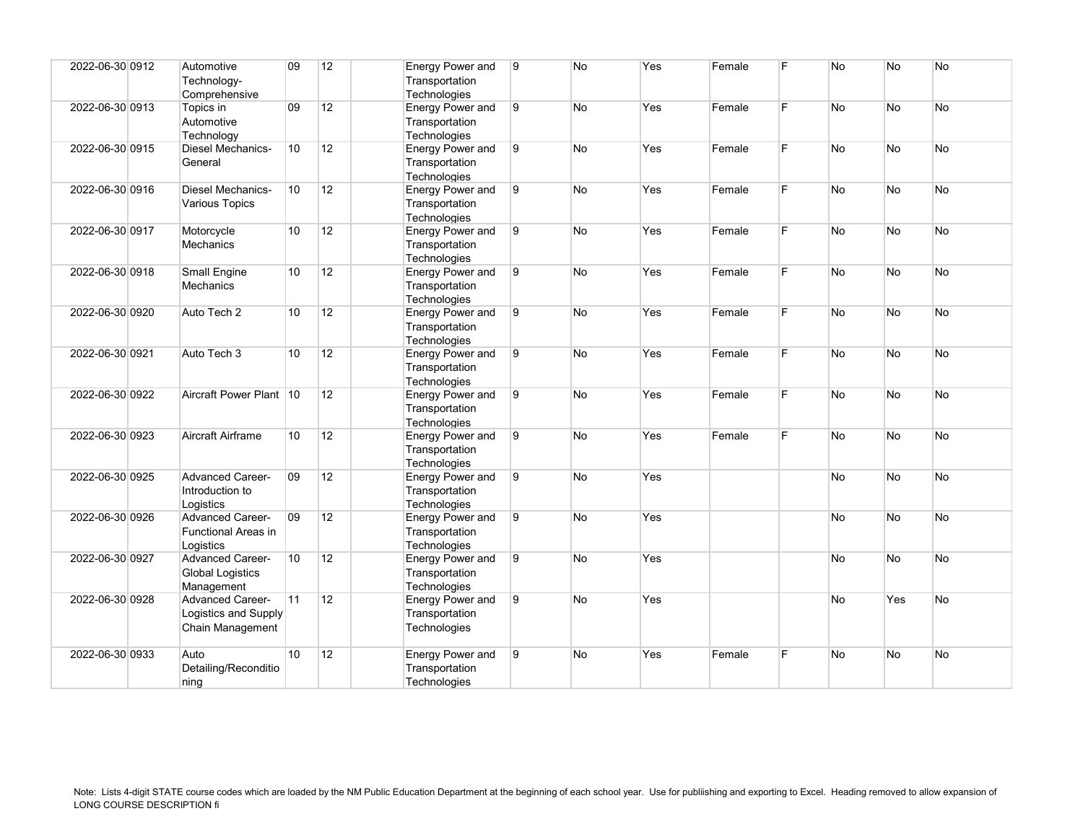| 2022-06-30 0912 | Automotive<br>Technology-<br>Comprehensive                          | $ 09\rangle$    | 12 | Energy Power and<br>Transportation<br>Technologies | 9 | No        | Yes | Female | F  | N <sub>o</sub> | <b>No</b>      | No        |
|-----------------|---------------------------------------------------------------------|-----------------|----|----------------------------------------------------|---|-----------|-----|--------|----|----------------|----------------|-----------|
| 2022-06-30 0913 | Topics in<br>Automotive<br>Technology                               | 09              | 12 | Energy Power and<br>Transportation<br>Technologies | 9 | <b>No</b> | Yes | Female | F. | <b>No</b>      | No.            | No        |
| 2022-06-30 0915 | Diesel Mechanics-<br>General                                        | 10              | 12 | Energy Power and<br>Transportation<br>Technologies | 9 | No        | Yes | Female | F. | No             | <b>No</b>      | No        |
| 2022-06-30 0916 | <b>Diesel Mechanics-</b><br>Various Topics                          | 10              | 12 | Energy Power and<br>Transportation<br>Technologies | 9 | <b>No</b> | Yes | Female | F. | <b>No</b>      | <b>No</b>      | No        |
| 2022-06-30 0917 | Motorcycle<br><b>Mechanics</b>                                      | 10              | 12 | Energy Power and<br>Transportation<br>Technologies | 9 | No        | Yes | Female | F. | No             | No             | No        |
| 2022-06-30 0918 | <b>Small Engine</b><br>Mechanics                                    | 10              | 12 | Energy Power and<br>Transportation<br>Technologies | 9 | <b>No</b> | Yes | Female | F. | No             | N <sub>o</sub> | <b>No</b> |
| 2022-06-30 0920 | Auto Tech 2                                                         | 10              | 12 | Energy Power and<br>Transportation<br>Technologies | 9 | No        | Yes | Female | F. | No             | No             | No        |
| 2022-06-30 0921 | Auto Tech 3                                                         | 10 <sup>1</sup> | 12 | Energy Power and<br>Transportation<br>Technologies | 9 | <b>No</b> | Yes | Female | F  | <b>No</b>      | <b>No</b>      | <b>No</b> |
| 2022-06-30 0922 | Aircraft Power Plant 10                                             |                 | 12 | Energy Power and<br>Transportation<br>Technologies | 9 | No        | Yes | Female | F. | <b>No</b>      | No             | No        |
| 2022-06-30 0923 | Aircraft Airframe                                                   | 10 <sup>1</sup> | 12 | Energy Power and<br>Transportation<br>Technologies | 9 | <b>No</b> | Yes | Female | F  | No             | <b>No</b>      | <b>No</b> |
| 2022-06-30 0925 | <b>Advanced Career-</b><br>Introduction to<br>Logistics             | 09              | 12 | Energy Power and<br>Transportation<br>Technologies | 9 | <b>No</b> | Yes |        |    | No             | No.            | No        |
| 2022-06-30 0926 | <b>Advanced Career-</b><br>Functional Areas in<br>Logistics         | 09              | 12 | Energy Power and<br>Transportation<br>Technologies | 9 | <b>No</b> | Yes |        |    | No             | <b>No</b>      | No        |
| 2022-06-30 0927 | <b>Advanced Career-</b><br><b>Global Logistics</b><br>Management    | 10              | 12 | Energy Power and<br>Transportation<br>Technologies | 9 | <b>No</b> | Yes |        |    | No             | <b>No</b>      | No        |
| 2022-06-30 0928 | <b>Advanced Career-</b><br>Logistics and Supply<br>Chain Management | 11              | 12 | Energy Power and<br>Transportation<br>Technologies | 9 | <b>No</b> | Yes |        |    | No             | Yes            | No        |
| 2022-06-30 0933 | Auto<br>Detailing/Reconditio<br>ning                                | 10              | 12 | Energy Power and<br>Transportation<br>Technologies | 9 | No        | Yes | Female | F  | No             | <b>No</b>      | No        |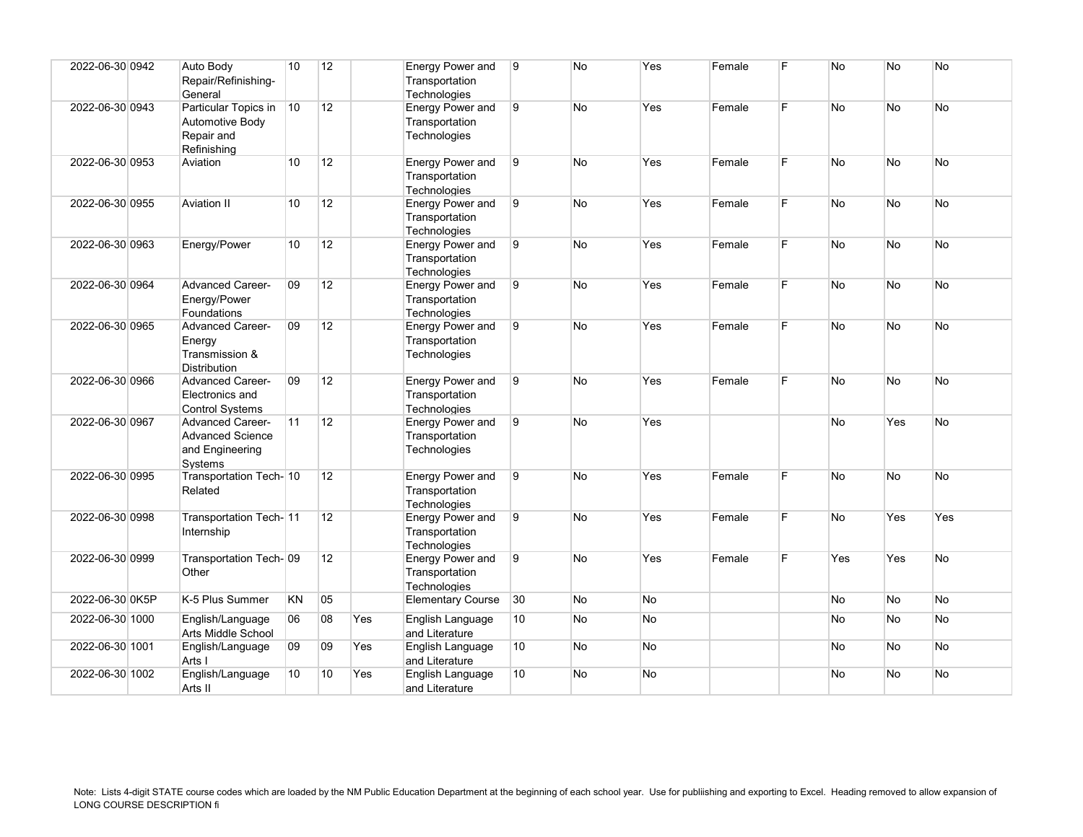| 2022-06-30 0942 | Auto Body<br>Repair/Refinishing-<br>General                                      | 10              | 12 |     | <b>Energy Power and</b><br>Transportation<br>Technologies | 9              | No        | Yes       | Female | F  | <b>No</b> | No             | <b>No</b> |
|-----------------|----------------------------------------------------------------------------------|-----------------|----|-----|-----------------------------------------------------------|----------------|-----------|-----------|--------|----|-----------|----------------|-----------|
| 2022-06-30 0943 | Particular Topics in<br>Automotive Body<br>Repair and<br>Refinishina             | 10              | 12 |     | Energy Power and<br>Transportation<br>Technologies        | 9              | <b>No</b> | Yes       | Female | F. | No.       | No.            | No.       |
| 2022-06-30 0953 | Aviation                                                                         | 10              | 12 |     | Energy Power and<br>Transportation<br>Technologies        | 9              | No        | Yes       | Female | F  | <b>No</b> | N <sub>o</sub> | No        |
| 2022-06-30 0955 | Aviation II                                                                      | 10 <sup>1</sup> | 12 |     | Energy Power and<br>Transportation<br><b>Technologies</b> | $\overline{9}$ | <b>No</b> | Yes       | Female | F  | No        | <b>No</b>      | <b>No</b> |
| 2022-06-30 0963 | Energy/Power                                                                     | 10              | 12 |     | Energy Power and<br>Transportation<br><b>Technologies</b> | 9              | <b>No</b> | Yes       | Female | F  | <b>No</b> | No.            | <b>No</b> |
| 2022-06-30 0964 | <b>Advanced Career-</b><br>Energy/Power<br>Foundations                           | 09              | 12 |     | Energy Power and<br>Transportation<br>Technologies        | 9              | No        | Yes       | Female | F. | No        | No             | No        |
| 2022-06-30 0965 | <b>Advanced Career-</b><br>Energy<br>Transmission &<br><b>Distribution</b>       | 09              | 12 |     | Energy Power and<br>Transportation<br>Technologies        | 9              | <b>No</b> | Yes       | Female | F. | <b>No</b> | <b>No</b>      | No        |
| 2022-06-30 0966 | <b>Advanced Career-</b><br>Electronics and<br><b>Control Systems</b>             | 09              | 12 |     | Energy Power and<br>Transportation<br>Technologies        | 9              | <b>No</b> | Yes       | Female | F. | <b>No</b> | No.            | <b>No</b> |
| 2022-06-30 0967 | <b>Advanced Career-</b><br><b>Advanced Science</b><br>and Engineering<br>Systems | 11              | 12 |     | Energy Power and<br>Transportation<br>Technologies        | 9              | <b>No</b> | Yes       |        |    | No        | Yes            | <b>No</b> |
| 2022-06-30 0995 | Transportation Tech- 10<br>Related                                               |                 | 12 |     | Energy Power and<br>Transportation<br>Technologies        | 9              | <b>No</b> | Yes       | Female | F. | No        | N <sub>o</sub> | No        |
| 2022-06-30 0998 | Transportation Tech-11<br>Internship                                             |                 | 12 |     | Energy Power and<br>Transportation<br>Technologies        | 9              | <b>No</b> | Yes       | Female | F. | <b>No</b> | Yes            | Yes       |
| 2022-06-30 0999 | Transportation Tech-09<br>Other                                                  |                 | 12 |     | Energy Power and<br>Transportation<br>Technologies        | 9              | <b>No</b> | Yes       | Female | F. | Yes       | Yes            | No.       |
| 2022-06-30 0K5P | K-5 Plus Summer                                                                  | KN              | 05 |     | <b>Elementary Course</b>                                  | 30             | <b>No</b> | <b>No</b> |        |    | <b>No</b> | No.            | No        |
| 2022-06-30 1000 | English/Language<br>Arts Middle School                                           | 06              | 08 | Yes | English Language<br>and Literature                        | 10             | No        | No        |        |    | No        | No             | No        |
| 2022-06-30 1001 | English/Language<br>Arts I                                                       | 09              | 09 | Yes | English Language<br>and Literature                        | 10             | No        | <b>No</b> |        |    | No        | No.            | No        |
| 2022-06-30 1002 | English/Language<br>Arts II                                                      | 10 <sup>1</sup> | 10 | Yes | English Language<br>and Literature                        | 10             | <b>No</b> | <b>No</b> |        |    | <b>No</b> | No.            | No        |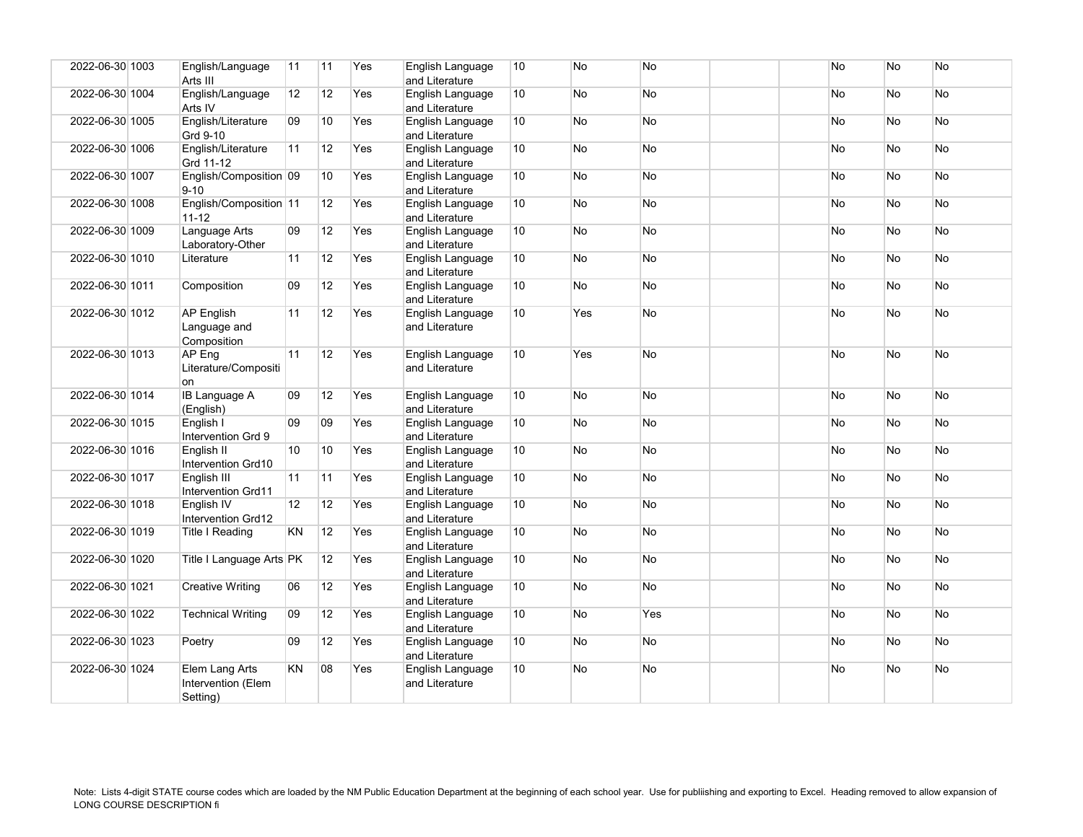| 2022-06-30 1003 | English/Language<br>Arts III                     | 11              | 11              | Yes | English Language<br>and Literature | 10              | No        | <b>No</b> |  | <b>No</b> | N <sub>o</sub> | <b>No</b> |
|-----------------|--------------------------------------------------|-----------------|-----------------|-----|------------------------------------|-----------------|-----------|-----------|--|-----------|----------------|-----------|
| 2022-06-30 1004 | English/Language<br>Arts IV                      | 12              | 12              | Yes | English Language<br>and Literature | 10              | No        | No        |  | No        | No             | No        |
| 2022-06-30 1005 | English/Literature<br>Grd 9-10                   | 09              | 10              | Yes | English Language<br>and Literature | 10 <sup>1</sup> | <b>No</b> | <b>No</b> |  | No        | N <sub>o</sub> | <b>No</b> |
| 2022-06-30 1006 | English/Literature<br>Grd 11-12                  | 11              | 12              | Yes | English Language<br>and Literature | 10              | <b>No</b> | <b>No</b> |  | <b>No</b> | N <sub>o</sub> | No        |
| 2022-06-30 1007 | English/Composition 09<br>$9 - 10$               |                 | 10              | Yes | English Language<br>and Literature | 10              | <b>No</b> | <b>No</b> |  | <b>No</b> | N <sub>o</sub> | No        |
| 2022-06-30 1008 | English/Composition 11<br>$11 - 12$              |                 | 12              | Yes | English Language<br>and Literature | 10              | <b>No</b> | <b>No</b> |  | No.       | No             | No        |
| 2022-06-30 1009 | Language Arts<br>Laboratory-Other                | 09              | 12              | Yes | English Language<br>and Literature | 10 <sup>°</sup> | <b>No</b> | <b>No</b> |  | <b>No</b> | <b>No</b>      | <b>No</b> |
| 2022-06-30 1010 | Literature                                       | 11              | 12              | Yes | English Language<br>and Literature | 10              | <b>No</b> | <b>No</b> |  | <b>No</b> | No.            | No        |
| 2022-06-30 1011 | Composition                                      | 09              | 12              | Yes | English Language<br>and Literature | 10 <sup>°</sup> | No        | No        |  | No        | No             | No        |
| 2022-06-30 1012 | <b>AP English</b><br>Language and<br>Composition | 11              | 12              | Yes | English Language<br>and Literature | 10              | Yes       | <b>No</b> |  | <b>No</b> | <b>No</b>      | <b>No</b> |
| 2022-06-30 1013 | AP Eng<br>Literature/Compositi<br>on             | 11              | 12              | Yes | English Language<br>and Literature | 10 <sup>1</sup> | Yes       | <b>No</b> |  | <b>No</b> | <b>No</b>      | <b>No</b> |
| 2022-06-30 1014 | <b>IB Language A</b><br>(English)                | 09              | 12              | Yes | English Language<br>and Literature | 10 <sup>°</sup> | <b>No</b> | <b>No</b> |  | No.       | <b>No</b>      | <b>No</b> |
| 2022-06-30 1015 | English I<br>Intervention Grd 9                  | 09              | 09              | Yes | English Language<br>and Literature | 10              | <b>No</b> | <b>No</b> |  | <b>No</b> | N <sub>o</sub> | No        |
| 2022-06-30 1016 | English II<br>Intervention Grd10                 | 10 <sup>1</sup> | 10              | Yes | English Language<br>and Literature | 10 <sup>°</sup> | <b>No</b> | No        |  | <b>No</b> | <b>No</b>      | No        |
| 2022-06-30 1017 | English III<br>Intervention Grd11                | 11              | 11              | Yes | English Language<br>and Literature | 10              | No        | No        |  | No        | No             | No        |
| 2022-06-30 1018 | English IV<br>Intervention Grd12                 | 12              | 12              | Yes | English Language<br>and Literature | 10              | <b>No</b> | <b>No</b> |  | No.       | <b>No</b>      | <b>No</b> |
| 2022-06-30 1019 | Title I Reading                                  | KN              | 12              | Yes | English Language<br>and Literature | 10              | <b>No</b> | No        |  | <b>No</b> | <b>No</b>      | <b>No</b> |
| 2022-06-30 1020 | Title I Language Arts PK                         |                 | 12 <sup>°</sup> | Yes | English Language<br>and Literature | 10              | <b>No</b> | No        |  | <b>No</b> | <b>No</b>      | No        |
| 2022-06-30 1021 | Creative Writing                                 | 06              | 12              | Yes | English Language<br>and Literature | 10 <sup>1</sup> | No.       | <b>No</b> |  | No.       | N <sub>o</sub> | <b>No</b> |
| 2022-06-30 1022 | <b>Technical Writing</b>                         | 09              | 12              | Yes | English Language<br>and Literature | 10 <sup>1</sup> | No        | Yes       |  | <b>No</b> | <b>No</b>      | No        |
| 2022-06-30 1023 | Poetry                                           | 09              | 12              | Yes | English Language<br>and Literature | 10              | No        | No        |  | <b>No</b> | No             | No        |
| 2022-06-30 1024 | Elem Lang Arts<br>Intervention (Elem<br>Setting) | <b>KN</b>       | 08              | Yes | English Language<br>and Literature | 10              | No.       | <b>No</b> |  | No.       | No.            | No        |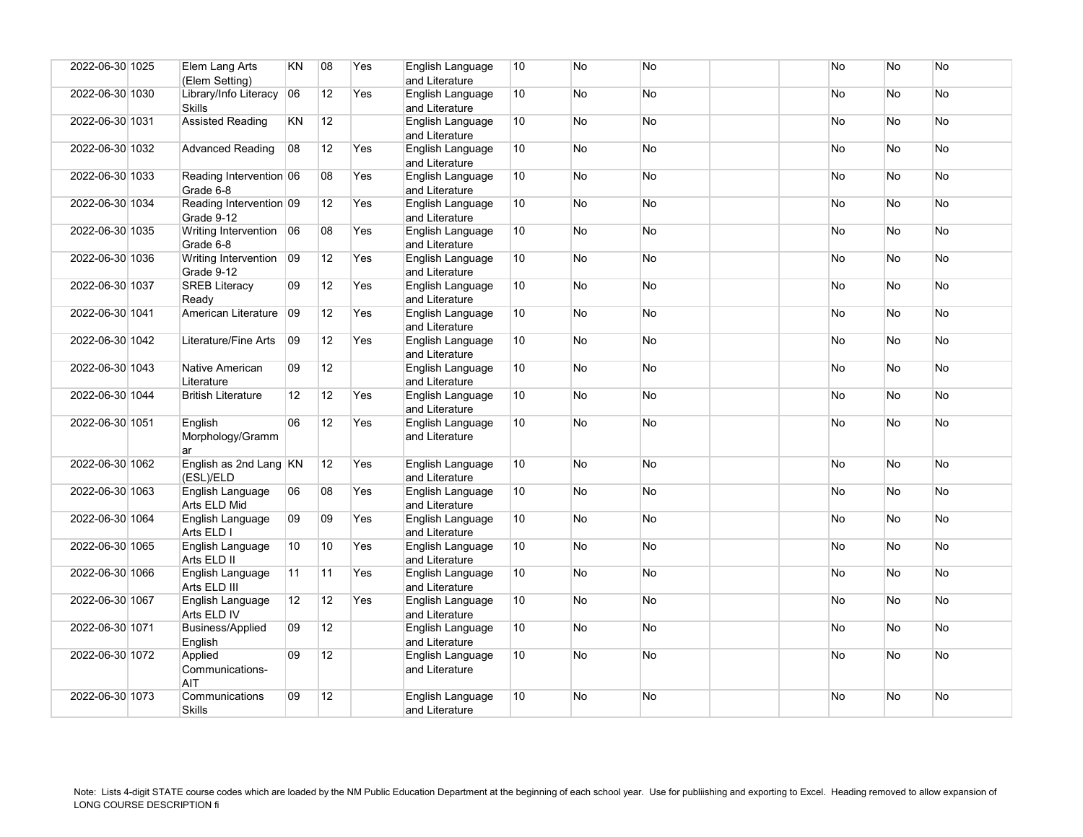| 2022-06-30 1025 | Elem Lang Arts<br>(Elem Setting)      | KN        | 08              | Yes | English Language<br>and Literature | 10              | <b>No</b> | <b>No</b> | <b>No</b> | <b>No</b>      | <b>No</b> |
|-----------------|---------------------------------------|-----------|-----------------|-----|------------------------------------|-----------------|-----------|-----------|-----------|----------------|-----------|
| 2022-06-30 1030 | Library/Info Literacy 06<br>Skills    |           | 12              | Yes | English Language<br>and Literature | 10 <sup>°</sup> | <b>No</b> | <b>No</b> | <b>No</b> | N <sub>o</sub> | <b>No</b> |
| 2022-06-30 1031 | <b>Assisted Reading</b>               | KN        | 12              |     | English Language<br>and Literature | 10              | No        | No        | No        | No             | No        |
| 2022-06-30 1032 | <b>Advanced Reading</b>               | 08        | 12              | Yes | English Language<br>and Literature | 10              | <b>No</b> | <b>No</b> | <b>No</b> | N <sub>o</sub> | No        |
| 2022-06-30 1033 | Reading Intervention 06<br>Grade 6-8  |           | 08              | Yes | English Language<br>and Literature | 10              | <b>No</b> | <b>No</b> | <b>No</b> | N <sub>o</sub> | No        |
| 2022-06-30 1034 | Reading Intervention 09<br>Grade 9-12 |           | 12              | Yes | English Language<br>and Literature | 10              | <b>No</b> | No        | No        | <b>No</b>      | <b>No</b> |
| 2022-06-30 1035 | Writing Intervention 06<br>Grade 6-8  |           | 08              | Yes | English Language<br>and Literature | 10              | <b>No</b> | <b>No</b> | <b>No</b> | <b>No</b>      | No        |
| 2022-06-30 1036 | Writing Intervention 09<br>Grade 9-12 |           | 12              | Yes | English Language<br>and Literature | 10              | <b>No</b> | <b>No</b> | No        | No.            | No        |
| 2022-06-30 1037 | <b>SREB Literacy</b><br>Ready         | 09        | 12              | Yes | English Language<br>and Literature | 10              | <b>No</b> | No        | <b>No</b> | <b>No</b>      | <b>No</b> |
| 2022-06-30 1041 | American Literature 09                |           | 12              | Yes | English Language<br>and Literature | 10              | <b>No</b> | <b>No</b> | <b>No</b> | <b>No</b>      | <b>No</b> |
| 2022-06-30 1042 | Literature/Fine Arts                  | <b>O9</b> | 12 <sup>2</sup> | Yes | English Language<br>and Literature | 10 <sup>°</sup> | <b>No</b> | <b>No</b> | <b>No</b> | <b>No</b>      | No        |
| 2022-06-30 1043 | Native American<br>Literature         | 09        | 12 <sup>°</sup> |     | English Language<br>and Literature | 10              | No        | No        | No        | No             | No        |
| 2022-06-30 1044 | <b>British Literature</b>             | 12        | 12              | Yes | English Language<br>and Literature | 10              | <b>No</b> | <b>No</b> | <b>No</b> | <b>No</b>      | No        |
| 2022-06-30 1051 | English<br>Morphology/Gramm<br>ar     | 06        | 12              | Yes | English Language<br>and Literature | 10 <sup>°</sup> | <b>No</b> | <b>No</b> | <b>No</b> | <b>No</b>      | No        |
| 2022-06-30 1062 | English as 2nd Lang KN<br>(ESL)/ELD   |           | 12              | Yes | English Language<br>and Literature | 10 <sup>°</sup> | <b>No</b> | <b>No</b> | <b>No</b> | <b>No</b>      | <b>No</b> |
| 2022-06-30 1063 | English Language<br>Arts ELD Mid      | 06        | 08              | Yes | English Language<br>and Literature | 10              | No        | No        | No        | No.            | No        |
| 2022-06-30 1064 | English Language<br>Arts ELD I        | 09        | 09              | Yes | English Language<br>and Literature | 10 <sup>°</sup> | No        | No        | <b>No</b> | <b>No</b>      | No        |
| 2022-06-30 1065 | English Language<br>Arts ELD II       | 10        | 10              | Yes | English Language<br>and Literature | 10              | <b>No</b> | <b>No</b> | <b>No</b> | <b>No</b>      | No        |
| 2022-06-30 1066 | English Language<br>Arts ELD III      | 11        | 11              | Yes | English Language<br>and Literature | 10              | <b>No</b> | <b>No</b> | <b>No</b> | No.            | No        |
| 2022-06-30 1067 | English Language<br>Arts ELD IV       | 12        | 12 <sup>°</sup> | Yes | English Language<br>and Literature | 10              | No        | No        | <b>No</b> | <b>No</b>      | <b>No</b> |
| 2022-06-30 1071 | Business/Applied<br>English           | 09        | 12 <sup>2</sup> |     | English Language<br>and Literature | 10              | No        | <b>No</b> | No        | No.            | No        |
| 2022-06-30 1072 | Applied<br>Communications-<br>AIT     | 09        | 12 <sup>°</sup> |     | English Language<br>and Literature | 10 <sup>°</sup> | <b>No</b> | No        | No.       | <b>No</b>      | No        |
| 2022-06-30 1073 | Communications<br><b>Skills</b>       | 09        | 12 <sup>°</sup> |     | English Language<br>and Literature | 10              | <b>No</b> | <b>No</b> | <b>No</b> | <b>No</b>      | <b>No</b> |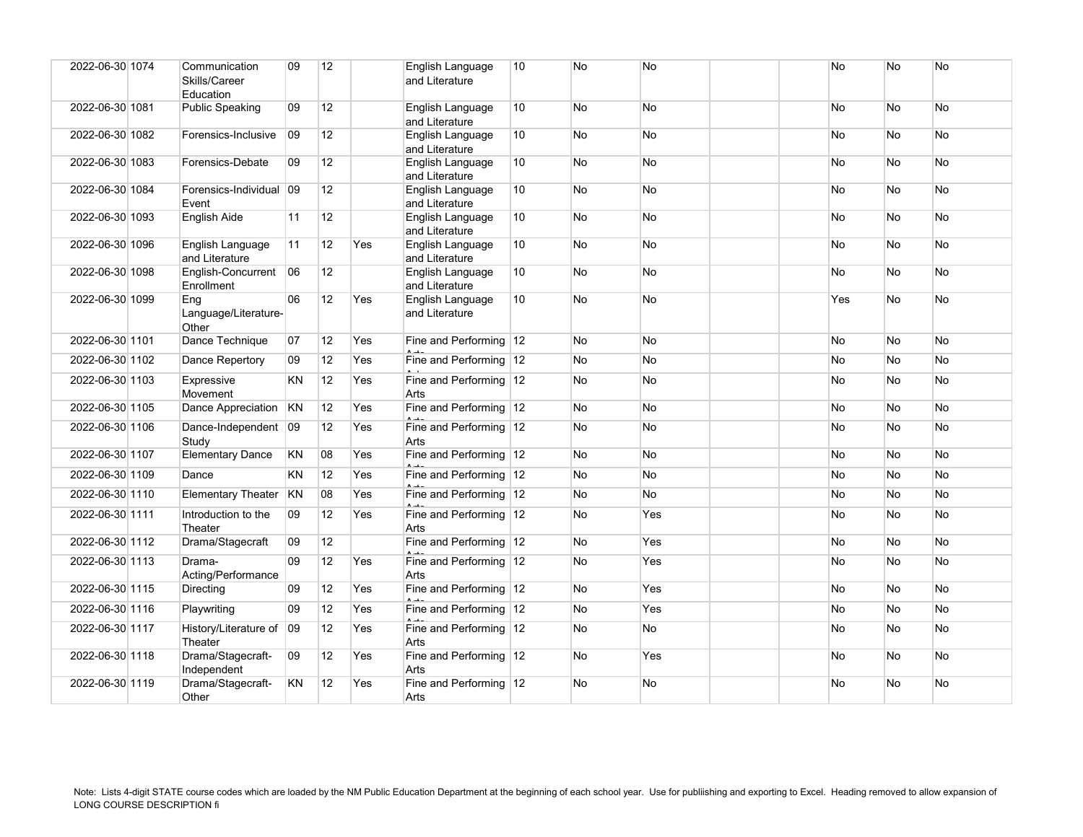| 2022-06-30 1074 | Communication<br>Skills/Career<br>Education | 09        | 12              |            | English Language<br>and Literature | 10 | No        | No        |  | <b>No</b>  | <b>No</b>      | No        |
|-----------------|---------------------------------------------|-----------|-----------------|------------|------------------------------------|----|-----------|-----------|--|------------|----------------|-----------|
| 2022-06-30 1081 | Public Speaking                             | 09        | 12              |            | English Language<br>and Literature | 10 | No        | No        |  | No         | No             | <b>No</b> |
| 2022-06-30 1082 | Forensics-Inclusive                         | 09        | 12 <sup>2</sup> |            | English Language<br>and Literature | 10 | No        | No        |  | No.        | No.            | No.       |
| 2022-06-30 1083 | Forensics-Debate                            | 09        | 12              |            | English Language<br>and Literature | 10 | <b>No</b> | <b>No</b> |  | <b>No</b>  | N <sub>o</sub> | <b>No</b> |
| 2022-06-30 1084 | Forensics-Individual 09<br>Event            |           | 12              |            | English Language<br>and Literature | 10 | No        | No        |  | No         | No             | No        |
| 2022-06-30 1093 | English Aide                                | 11        | 12              |            | English Language<br>and Literature | 10 | No        | No        |  | No         | No             | No        |
| 2022-06-30 1096 | English Language<br>and Literature          | 11        | 12              | Yes        | English Language<br>and Literature | 10 | <b>No</b> | <b>No</b> |  | <b>No</b>  | <b>No</b>      | <b>No</b> |
| 2022-06-30 1098 | English-Concurrent<br>Enrollment            | 06        | 12              |            | English Language<br>and Literature | 10 | No        | No        |  | No         | No             | <b>No</b> |
| 2022-06-30 1099 | Eng<br>Language/Literature-<br>Other        | 06        | 12              | Yes        | English Language<br>and Literature | 10 | <b>No</b> | No        |  | <b>Yes</b> | N <sub>o</sub> | <b>No</b> |
| 2022-06-30 1101 | Dance Technique                             | 07        | 12              | Yes        | Fine and Performing 12             |    | No        | No        |  | <b>No</b>  | No             | <b>No</b> |
| 2022-06-30 1102 | Dance Repertory                             | 09        | 12              | Yes        | Fine and Performing 12             |    | No        | No        |  | <b>No</b>  | No             | No        |
| 2022-06-30 1103 | Expressive<br>Movement                      | KN        | 12              | Yes        | Fine and Performing 12<br>Arts     |    | No        | No        |  | No.        | No             | No        |
| 2022-06-30 1105 | Dance Appreciation                          | KN        | 12              | Yes        | Fine and Performing 12             |    | No        | No        |  | <b>No</b>  | <b>No</b>      | <b>No</b> |
| 2022-06-30 1106 | Dance-Independent 09<br>Study               |           | 12              | Yes        | Fine and Performing 12<br>Arts     |    | No        | No        |  | No         | No             | <b>No</b> |
| 2022-06-30 1107 | <b>Elementary Dance</b>                     | KN        | 08              | Yes        | Fine and Performing 12             |    | No        | No        |  | <b>No</b>  | No             | No        |
| 2022-06-30 1109 | Dance                                       | KN        | 12              | Yes        | Fine and Performing 12             |    | No        | No        |  | No         | No             | No        |
| 2022-06-30 1110 | <b>Elementary Theater</b>                   | <b>KN</b> | 08              | Yes        | Fine and Performing 12             |    | No        | No        |  | No         | No             | <b>No</b> |
| 2022-06-30 1111 | Introduction to the<br>Theater              | 09        | 12              | <b>Yes</b> | Fine and Performing 12<br>Arts     |    | <b>No</b> | Yes       |  | No.        | <b>No</b>      | No.       |
| 2022-06-30 1112 | Drama/Stagecraft                            | 09        | 12              |            | Fine and Performing 12             |    | No        | Yes       |  | <b>No</b>  | No             | <b>No</b> |
| 2022-06-30 1113 | Drama-<br>Acting/Performance                | 09        | 12              | Yes        | Fine and Performing 12<br>Arts     |    | No        | Yes       |  | No         | No             | No        |
| 2022-06-30 1115 | Directing                                   | 09        | 12              | Yes        | Fine and Performing 12             |    | No        | Yes       |  | No         | No             | <b>No</b> |
| 2022-06-30 1116 | Playwriting                                 | 09        | 12              | Yes        | Fine and Performing 12             |    | No        | Yes       |  | No         | No             | No        |
| 2022-06-30 1117 | History/Literature of 09<br>Theater         |           | 12              | Yes        | Fine and Performing 12<br>Arts     |    | No        | No        |  | No.        | <b>No</b>      | <b>No</b> |
| 2022-06-30 1118 | Drama/Stagecraft-<br>Independent            | 09        | 12              | Yes        | Fine and Performing 12<br>Arts     |    | No        | Yes       |  | No         | <b>No</b>      | <b>No</b> |
| 2022-06-30 1119 | Drama/Stagecraft-<br>Other                  | KN        | 12              | Yes        | Fine and Performing 12<br>Arts     |    | No        | No        |  | No         | No             | No        |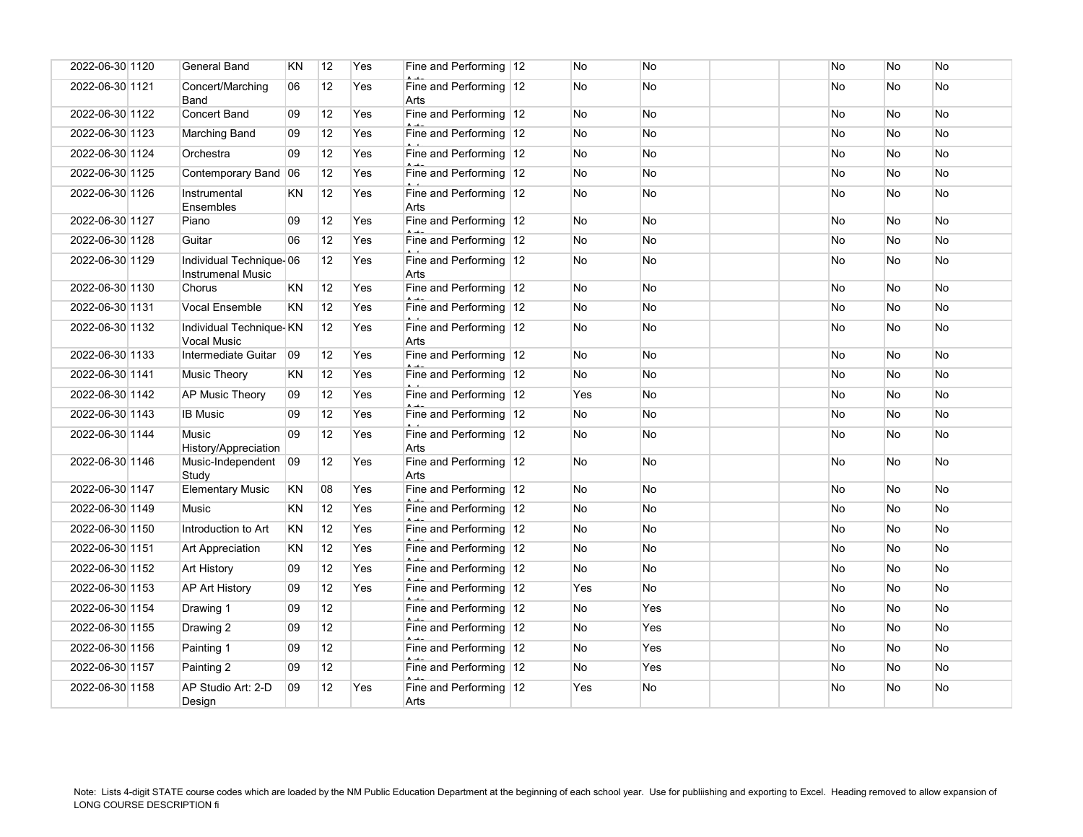| 2022-06-30 1120 | <b>General Band</b>                                 | <b>KN</b> | 12 | Yes | Fine and Performing 12         | No        | No        |  | <b>No</b> | No        | <b>No</b> |
|-----------------|-----------------------------------------------------|-----------|----|-----|--------------------------------|-----------|-----------|--|-----------|-----------|-----------|
| 2022-06-30 1121 | Concert/Marching<br>Band                            | 06        | 12 | Yes | Fine and Performing 12<br>Arts | No        | No        |  | No        | No        | <b>No</b> |
| 2022-06-30 1122 | <b>Concert Band</b>                                 | 09        | 12 | Yes | Fine and Performing 12         | <b>No</b> | <b>No</b> |  | No        | <b>No</b> | <b>No</b> |
| 2022-06-30 1123 | Marching Band                                       | 09        | 12 | Yes | Fine and Performing 12         | No        | <b>No</b> |  | No        | No        | No        |
| 2022-06-30 1124 | Orchestra                                           | 09        | 12 | Yes | Fine and Performing 12         | No        | No        |  | No        | No        | <b>No</b> |
| 2022-06-30 1125 | Contemporary Band                                   | 06        | 12 | Yes | Fine and Performing 12         | No        | No        |  | No        | No        | <b>No</b> |
| 2022-06-30 1126 | Instrumental<br>Ensembles                           | KN.       | 12 | Yes | Fine and Performing 12<br>Arts | No        | No        |  | No        | No        | <b>No</b> |
| 2022-06-30 1127 | Piano                                               | 09        | 12 | Yes | Fine and Performing 12         | No        | No        |  | No        | No        | <b>No</b> |
| 2022-06-30 1128 | Guitar                                              | 06        | 12 | Yes | Fine and Performing 12         | No        | <b>No</b> |  | <b>No</b> | <b>No</b> | <b>No</b> |
| 2022-06-30 1129 | Individual Technique-06<br><b>Instrumenal Music</b> |           | 12 | Yes | Fine and Performing 12<br>Arts | No        | No        |  | No        | <b>No</b> | <b>No</b> |
| 2022-06-30 1130 | Chorus                                              | KN        | 12 | Yes | Fine and Performing 12         | No        | No        |  | No        | No        | No        |
| 2022-06-30 1131 | <b>Vocal Ensemble</b>                               | <b>KN</b> | 12 | Yes | Fine and Performing 12         | No        | No        |  | No        | No        | <b>No</b> |
| 2022-06-30 1132 | Individual Technique-KN<br><b>Vocal Music</b>       |           | 12 | Yes | Fine and Performing 12<br>Arts | No        | <b>No</b> |  | No        | No        | <b>No</b> |
| 2022-06-30 1133 | Intermediate Guitar                                 | 09        | 12 | Yes | Fine and Performing 12         | No        | No        |  | No        | No        | <b>No</b> |
| 2022-06-30 1141 | Music Theory                                        | <b>KN</b> | 12 | Yes | Fine and Performing 12         | No        | <b>No</b> |  | No        | No        | <b>No</b> |
| 2022-06-30 1142 | <b>AP Music Theory</b>                              | 09        | 12 | Yes | Fine and Performing 12         | Yes       | <b>No</b> |  | <b>No</b> | No        | <b>No</b> |
| 2022-06-30 1143 | <b>IB Music</b>                                     | 09        | 12 | Yes | Fine and Performing 12         | No        | No        |  | No        | No        | <b>No</b> |
| 2022-06-30 1144 | Music<br>History/Appreciation                       | 09        | 12 | Yes | Fine and Performing 12<br>Arts | No        | No        |  | No        | No        | No        |
| 2022-06-30 1146 | Music-Independent<br>Study                          | 09        | 12 | Yes | Fine and Performing 12<br>Arts | No        | No        |  | No        | No        | No        |
| 2022-06-30 1147 | <b>Elementary Music</b>                             | KN        | 08 | Yes | Fine and Performing 12         | No        | No        |  | No        | No        | <b>No</b> |
| 2022-06-30 1149 | <b>Music</b>                                        | <b>KN</b> | 12 | Yes | Fine and Performing 12         | No        | No        |  | <b>No</b> | <b>No</b> | <b>No</b> |
| 2022-06-30 1150 | Introduction to Art                                 | ΚN        | 12 | Yes | Fine and Performing 12         | No        | No        |  | No        | No        | <b>No</b> |
| 2022-06-30 1151 | Art Appreciation                                    | <b>KN</b> | 12 | Yes | Fine and Performing 12         | No        | <b>No</b> |  | No        | No        | <b>No</b> |
| 2022-06-30 1152 | <b>Art History</b>                                  | 09        | 12 | Yes | Fine and Performing 12         | No        | No        |  | No        | No        | No        |
| 2022-06-30 1153 | <b>AP Art History</b>                               | 09        | 12 | Yes | Fine and Performing 12         | Yes       | No        |  | No        | No        | <b>No</b> |
| 2022-06-30 1154 | Drawing 1                                           | 09        | 12 |     | Fine and Performing 12         | No        | Yes       |  | No        | No        | <b>No</b> |
| 2022-06-30 1155 | Drawing 2                                           | 09        | 12 |     | Fine and Performing 12         | No        | Yes       |  | No        | No        | <b>No</b> |
| 2022-06-30 1156 | Painting 1                                          | 09        | 12 |     | Fine and Performing 12         | No        | Yes       |  | No        | No        | <b>No</b> |
| 2022-06-30 1157 | Painting 2                                          | 09        | 12 |     | Fine and Performing 12         | No        | Yes       |  | No        | No        | No        |
| 2022-06-30 1158 | AP Studio Art: 2-D<br>Design                        | 09        | 12 | Yes | Fine and Performing 12<br>Arts | Yes       | No        |  | No        | No        | No        |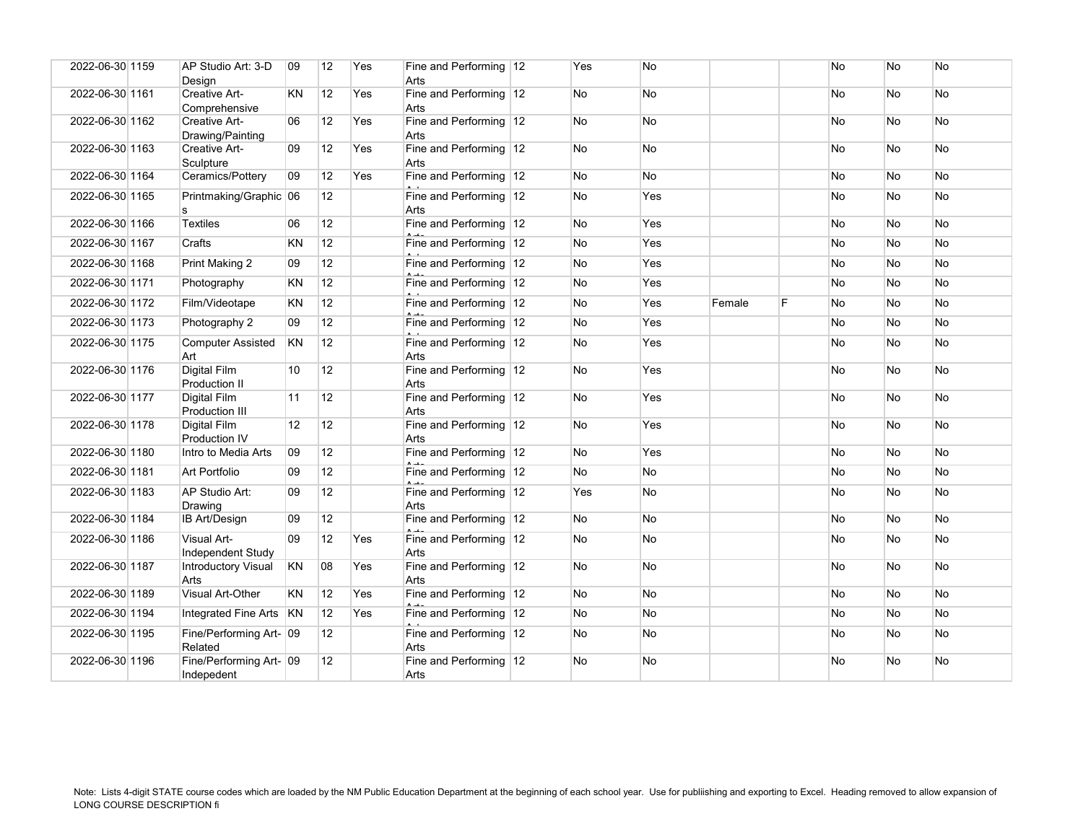| 2022-06-30 1159 | AP Studio Art: 3-D<br>Design            | 09                | 12              | Yes | Fine and Performing 12<br>Arts | Yes | No        |        |   | No | No        | No        |
|-----------------|-----------------------------------------|-------------------|-----------------|-----|--------------------------------|-----|-----------|--------|---|----|-----------|-----------|
| 2022-06-30 1161 | Creative Art-<br>Comprehensive          | KN                | 12              | Yes | Fine and Performing 12<br>Arts | No  | No        |        |   | No | No        | No        |
| 2022-06-30 1162 | Creative Art-<br>Drawing/Painting       | 06                | 12              | Yes | Fine and Performing 12<br>Arts | No  | <b>No</b> |        |   | No | No        | No        |
| 2022-06-30 1163 | Creative Art-<br>Sculpture              | 09                | 12              | Yes | Fine and Performing 12<br>Arts | No  | No        |        |   | No | <b>No</b> | No        |
| 2022-06-30 1164 | Ceramics/Pottery                        | 09                | 12              | Yes | Fine and Performing 12         | No  | No        |        |   | No | No        | No        |
| 2022-06-30 1165 | Printmaking/Graphic 06<br>s             |                   | 12 <sup>2</sup> |     | Fine and Performing 12<br>Arts | No  | Yes       |        |   | No | <b>No</b> | <b>No</b> |
| 2022-06-30 1166 | Textiles                                | 06                | 12              |     | Fine and Performing 12         | No  | Yes       |        |   | No | <b>No</b> | <b>No</b> |
| 2022-06-30 1167 | Crafts                                  | KN                | 12              |     | Fine and Performing 12         | No  | Yes       |        |   | No | No        | No        |
| 2022-06-30 1168 | Print Making 2                          | 09                | 12              |     | Fine and Performing 12         | No  | Yes       |        |   | No | No        | No        |
| 2022-06-30 1171 | Photography                             | KN                | 12              |     | Fine and Performing 12         | No  | Yes       |        |   | No | No        | <b>No</b> |
| 2022-06-30 1172 | Film/Videotape                          | KN                | 12              |     | Fine and Performing 12         | No  | Yes       | Female | F | No | No        | No        |
| 2022-06-30 1173 | Photography 2                           | 09                | 12              |     | Fine and Performing 12         | No  | Yes       |        |   | No | No        | No        |
| 2022-06-30 1175 | <b>Computer Assisted</b><br>Art         | KN                | 12              |     | Fine and Performing 12<br>Arts | No  | Yes       |        |   | No | <b>No</b> | No        |
| 2022-06-30 1176 | Digital Film<br>Production II           | 10                | 12              |     | Fine and Performing 12<br>Arts | No  | Yes       |        |   | No | No        | No        |
| 2022-06-30 1177 | Digital Film<br>Production III          | 11                | 12              |     | Fine and Performing 12<br>Arts | No  | Yes       |        |   | No | No        | No        |
| 2022-06-30 1178 | <b>Digital Film</b><br>Production IV    | $12 \overline{ }$ | 12              |     | Fine and Performing 12<br>Arts | No  | Yes       |        |   | No | No        | No        |
| 2022-06-30 1180 | Intro to Media Arts                     | 09                | 12 <sup>2</sup> |     | Fine and Performing 12         | No. | Yes       |        |   | No | No        | No        |
| 2022-06-30 1181 | Art Portfolio                           | 09                | 12              |     | Fine and Performing 12         | No  | No        |        |   | No | No        | No        |
| 2022-06-30 1183 | AP Studio Art:<br>Drawing               | 09                | 12              |     | Fine and Performing 12<br>Arts | Yes | No        |        |   | No | No        | No        |
| 2022-06-30 1184 | <b>IB Art/Design</b>                    | 09                | 12              |     | Fine and Performing 12         | No  | No        |        |   | No | No        | No.       |
| 2022-06-30 1186 | <b>Visual Art-</b><br>Independent Study | 09                | 12              | Yes | Fine and Performing 12<br>Arts | No  | No        |        |   | No | No        | No        |
| 2022-06-30 1187 | Introductory Visual<br>Arts             | KN                | 08              | Yes | Fine and Performing 12<br>Arts | No  | No        |        |   | No | <b>No</b> | No        |
| 2022-06-30 1189 | Visual Art-Other                        | KN                | 12              | Yes | Fine and Performing 12         | No  | No        |        |   | No | No        | No        |
| 2022-06-30 1194 | <b>Integrated Fine Arts</b>             | <b>KN</b>         | 12              | Yes | Fine and Performing 12         | No  | <b>No</b> |        |   | No | No        | <b>No</b> |
| 2022-06-30 1195 | Fine/Performing Art- 09<br>Related      |                   | 12              |     | Fine and Performing 12<br>Arts | No  | No        |        |   | No | No        | No        |
| 2022-06-30 1196 | Fine/Performing Art- 09<br>Indepedent   |                   | 12 <sup>2</sup> |     | Fine and Performing 12<br>Arts | No  | <b>No</b> |        |   | No | No        | No        |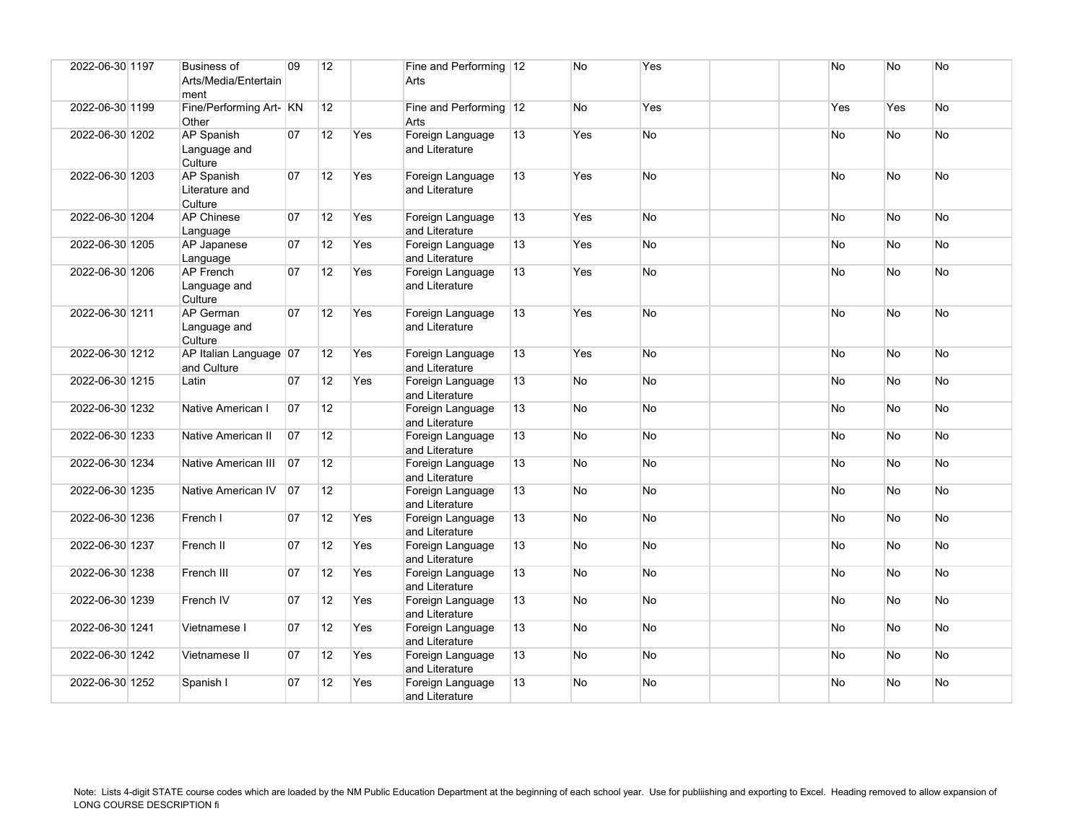| 2022-06-30 1197 | <b>Business of</b><br>Arts/Media/Entertain<br>ment | 09           | 12              |     | Fine and Performing 12<br>Arts     |    | No        | Yes       |  | No        | <b>No</b> | No        |
|-----------------|----------------------------------------------------|--------------|-----------------|-----|------------------------------------|----|-----------|-----------|--|-----------|-----------|-----------|
| 2022-06-30 1199 | Fine/Performing Art- KN<br>Other                   |              | 12              |     | Fine and Performing 12<br>Arts     |    | <b>No</b> | Yes       |  | Yes       | Yes       | No        |
| 2022-06-30 1202 | <b>AP Spanish</b><br>Language and<br>Culture       | 07           | 12              | Yes | Foreign Language<br>and Literature | 13 | Yes       | <b>No</b> |  | <b>No</b> | <b>No</b> | <b>No</b> |
| 2022-06-30 1203 | <b>AP Spanish</b><br>Literature and<br>Culture     | 07           | 12              | Yes | Foreign Language<br>and Literature | 13 | Yes       | <b>No</b> |  | <b>No</b> | <b>No</b> | <b>No</b> |
| 2022-06-30 1204 | <b>AP Chinese</b><br>Language                      | 07           | 12              | Yes | Foreign Language<br>and Literature | 13 | Yes       | <b>No</b> |  | <b>No</b> | <b>No</b> | No        |
| 2022-06-30 1205 | AP Japanese<br>Language                            | 07           | 12              | Yes | Foreign Language<br>and Literature | 13 | Yes       | <b>No</b> |  | <b>No</b> | No        | No        |
| 2022-06-30 1206 | <b>AP French</b><br>Language and<br>Culture        | 07           | 12              | Yes | Foreign Language<br>and Literature | 13 | Yes       | <b>No</b> |  | No        | <b>No</b> | No        |
| 2022-06-30 1211 | AP German<br>Language and<br>Culture               | 07           | 12              | Yes | Foreign Language<br>and Literature | 13 | Yes       | <b>No</b> |  | <b>No</b> | <b>No</b> | No        |
| 2022-06-30 1212 | AP Italian Language 07<br>and Culture              |              | 12              | Yes | Foreign Language<br>and Literature | 13 | Yes       | <b>No</b> |  | No        | <b>No</b> | No        |
| 2022-06-30 1215 | Latin                                              | 07           | 12              | Yes | Foreign Language<br>and Literature | 13 | No        | No        |  | No        | No        | No        |
| 2022-06-30 1232 | Native American I                                  | 07           | 12              |     | Foreign Language<br>and Literature | 13 | <b>No</b> | No        |  | <b>No</b> | No        | No        |
| 2022-06-30 1233 | Native American II                                 | 07           | 12              |     | Foreign Language<br>and Literature | 13 | No        | No        |  | <b>No</b> | <b>No</b> | No        |
| 2022-06-30 1234 | Native American III                                | $ 07\rangle$ | 12              |     | Foreign Language<br>and Literature | 13 | No.       | <b>No</b> |  | <b>No</b> | <b>No</b> | <b>No</b> |
| 2022-06-30 1235 | Native American IV                                 | 07           | 12 <sup>°</sup> |     | Foreign Language<br>and Literature | 13 | No.       | <b>No</b> |  | <b>No</b> | <b>No</b> | No        |
| 2022-06-30 1236 | French I                                           | 07           | 12              | Yes | Foreign Language<br>and Literature | 13 | No.       | <b>No</b> |  | No.       | <b>No</b> | No        |
| 2022-06-30 1237 | French II                                          | 07           | 12              | Yes | Foreign Language<br>and Literature | 13 | <b>No</b> | <b>No</b> |  | <b>No</b> | <b>No</b> | No        |
| 2022-06-30 1238 | French III                                         | 07           | 12              | Yes | Foreign Language<br>and Literature | 13 | <b>No</b> | No        |  | No        | No        | No        |
| 2022-06-30 1239 | French IV                                          | 07           | 12              | Yes | Foreign Language<br>and Literature | 13 | No.       | <b>No</b> |  | <b>No</b> | <b>No</b> | No        |
| 2022-06-30 1241 | Vietnamese I                                       | 07           | 12              | Yes | Foreign Language<br>and Literature | 13 | <b>No</b> | <b>No</b> |  | <b>No</b> | <b>No</b> | No        |
| 2022-06-30 1242 | Vietnamese II                                      | 07           | 12              | Yes | Foreign Language<br>and Literature | 13 | No        | No        |  | No        | No        | No        |
| 2022-06-30 1252 | Spanish I                                          | 07           | 12              | Yes | Foreign Language<br>and Literature | 13 | No.       | <b>No</b> |  | <b>No</b> | <b>No</b> | No        |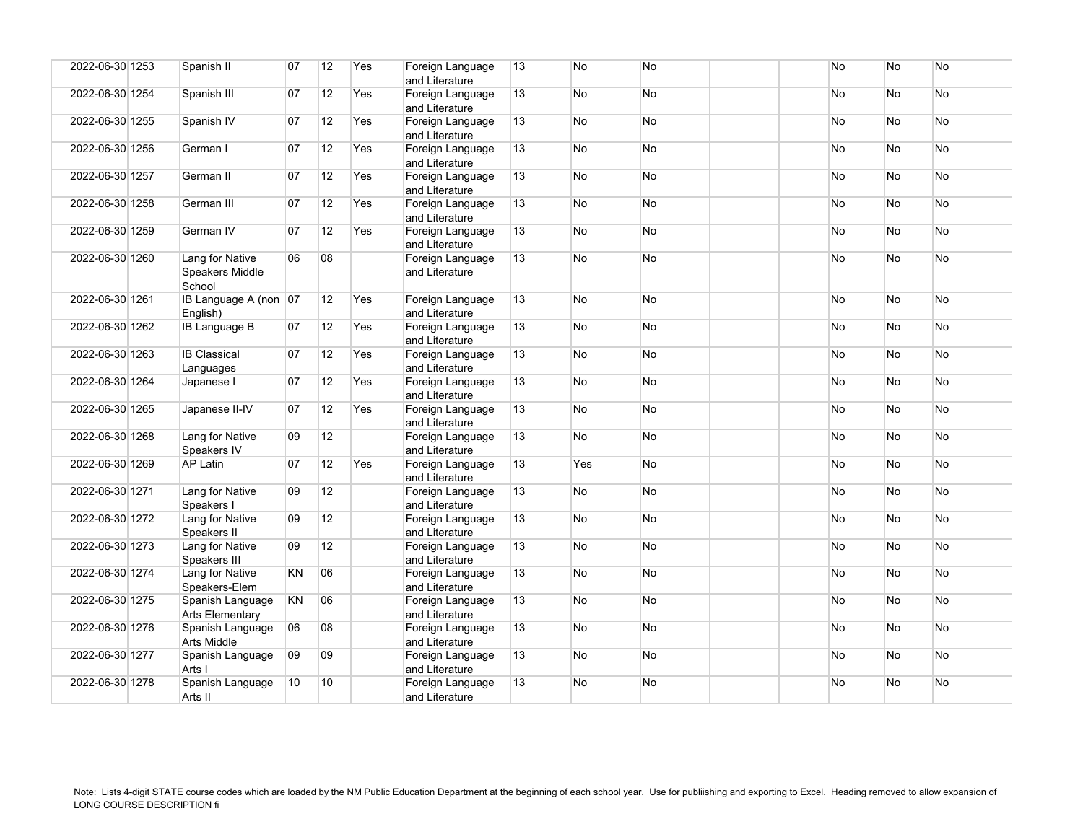| 2022-06-30 1253 | Spanish II                                   | 07        | 12              | Yes | Foreign Language<br>and Literature | 13 | No        | <b>No</b> |  | No        | <b>No</b> | No        |
|-----------------|----------------------------------------------|-----------|-----------------|-----|------------------------------------|----|-----------|-----------|--|-----------|-----------|-----------|
| 2022-06-30 1254 | Spanish III                                  | 07        | 12              | Yes | Foreign Language<br>and Literature | 13 | <b>No</b> | No        |  | No        | No        | No        |
| 2022-06-30 1255 | Spanish IV                                   | 07        | 12              | Yes | Foreign Language<br>and Literature | 13 | No        | No        |  | No        | <b>No</b> | No        |
| 2022-06-30 1256 | German I                                     | 07        | 12              | Yes | Foreign Language<br>and Literature | 13 | No        | No        |  | No        | <b>No</b> | <b>No</b> |
| 2022-06-30 1257 | German II                                    | 07        | 12              | Yes | Foreign Language<br>and Literature | 13 | No.       | <b>No</b> |  | <b>No</b> | <b>No</b> | <b>No</b> |
| 2022-06-30 1258 | German III                                   | 07        | 12              | Yes | Foreign Language<br>and Literature | 13 | <b>No</b> | No        |  | No        | No        | No        |
| 2022-06-30 1259 | German IV                                    | 07        | 12              | Yes | Foreign Language<br>and Literature | 13 | No.       | <b>No</b> |  | No        | <b>No</b> | <b>No</b> |
| 2022-06-30 1260 | Lang for Native<br>Speakers Middle<br>School | 06        | 08              |     | Foreign Language<br>and Literature | 13 | No.       | <b>No</b> |  | <b>No</b> | <b>No</b> | <b>No</b> |
| 2022-06-30 1261 | IB Language A (non 07<br>English)            |           | 12              | Yes | Foreign Language<br>and Literature | 13 | No.       | <b>No</b> |  | <b>No</b> | <b>No</b> | No.       |
| 2022-06-30 1262 | <b>IB Language B</b>                         | 07        | 12              | Yes | Foreign Language<br>and Literature | 13 | No        | No        |  | No        | <b>No</b> | No        |
| 2022-06-30 1263 | <b>IB Classical</b><br>Languages             | 07        | 12              | Yes | Foreign Language<br>and Literature | 13 | <b>No</b> | No        |  | No        | <b>No</b> | No        |
| 2022-06-30 1264 | Japanese I                                   | 07        | 12              | Yes | Foreign Language<br>and Literature | 13 | No.       | No        |  | No        | <b>No</b> | No        |
| 2022-06-30 1265 | Japanese II-IV                               | 07        | 12              | Yes | Foreign Language<br>and Literature | 13 | <b>No</b> | No        |  | No        | <b>No</b> | No        |
| 2022-06-30 1268 | Lang for Native<br>Speakers IV               | 09        | 12              |     | Foreign Language<br>and Literature | 13 | No.       | No        |  | <b>No</b> | <b>No</b> | No.       |
| 2022-06-30 1269 | AP Latin                                     | 07        | 12              | Yes | Foreign Language<br>and Literature | 13 | Yes       | No        |  | No        | <b>No</b> | No.       |
| 2022-06-30 1271 | Lang for Native<br>Speakers I                | 09        | 12              |     | Foreign Language<br>and Literature | 13 | No        | No        |  | No        | No        | No        |
| 2022-06-30 1272 | Lang for Native<br>Speakers II               | 09        | 12              |     | Foreign Language<br>and Literature | 13 | <b>No</b> | No        |  | No        | <b>No</b> | <b>No</b> |
| 2022-06-30 1273 | Lang for Native<br>Speakers III              | 09        | 12              |     | Foreign Language<br>and Literature | 13 | No.       | No        |  | No        | <b>No</b> | No        |
| 2022-06-30 1274 | Lang for Native<br>Speakers-Elem             | <b>KN</b> | 06              |     | Foreign Language<br>and Literature | 13 | No.       | No        |  | No        | No        | No.       |
| 2022-06-30 1275 | Spanish Language<br>Arts Elementary          | KN        | 06              |     | Foreign Language<br>and Literature | 13 | No        | No        |  | No        | No        | No        |
| 2022-06-30 1276 | Spanish Language<br>Arts Middle              | 06        | 08              |     | Foreign Language<br>and Literature | 13 | No.       | No        |  | <b>No</b> | <b>No</b> | <b>No</b> |
| 2022-06-30 1277 | Spanish Language<br>Arts I                   | 09        | 09              |     | Foreign Language<br>and Literature | 13 | No        | No        |  | No        | No        | No.       |
| 2022-06-30 1278 | Spanish Language<br>Arts II                  | 10        | 10 <sup>1</sup> |     | Foreign Language<br>and Literature | 13 | No        | No        |  | No        | <b>No</b> | No        |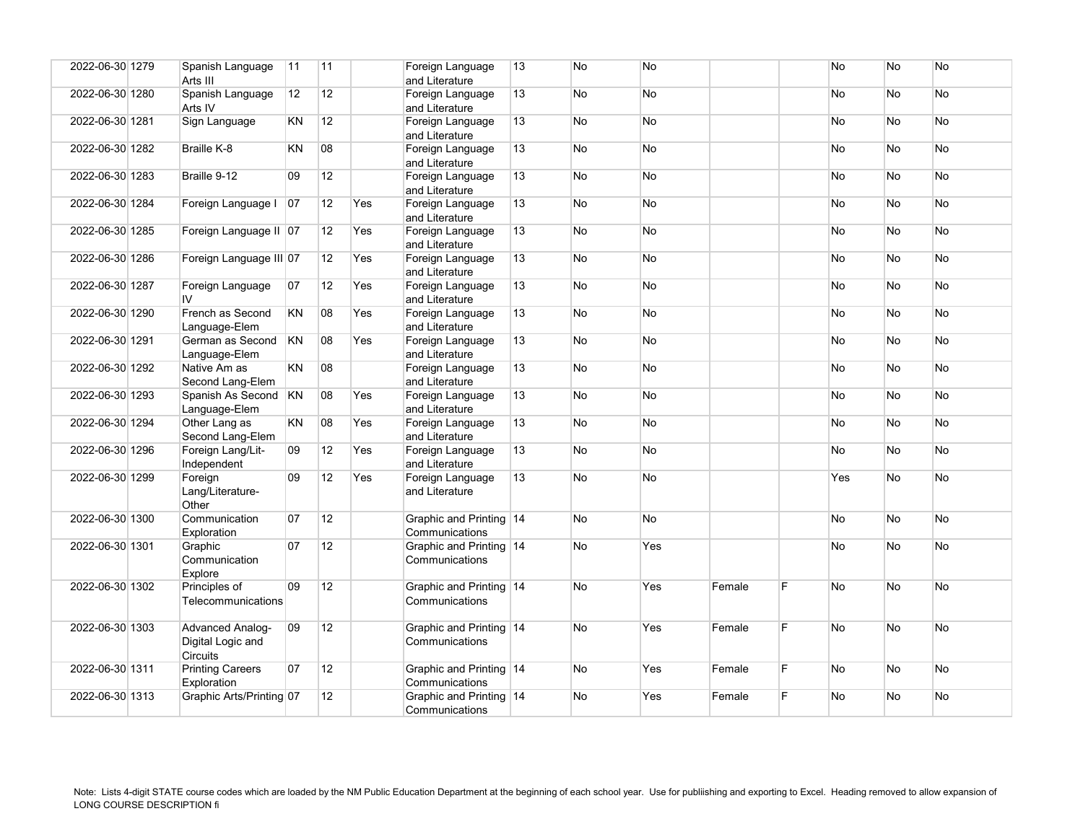| 2022-06-30 1279 | Spanish Language<br>Arts III                             | 11        | 11              |     | Foreign Language<br>and Literature        | 13 | <b>No</b> | No        |        |    | <b>No</b> | <b>No</b> | <b>No</b> |
|-----------------|----------------------------------------------------------|-----------|-----------------|-----|-------------------------------------------|----|-----------|-----------|--------|----|-----------|-----------|-----------|
| 2022-06-30 1280 | Spanish Language<br>Arts IV                              | 12        | 12              |     | Foreign Language<br>and Literature        | 13 | No.       | No        |        |    | No        | <b>No</b> | No.       |
| 2022-06-30 1281 | Sign Language                                            | KN        | 12 <sup>°</sup> |     | Foreign Language<br>and Literature        | 13 | No        | No        |        |    | No        | No        | No        |
| 2022-06-30 1282 | Braille K-8                                              | KN        | 08              |     | Foreign Language<br>and Literature        | 13 | No.       | No        |        |    | <b>No</b> | <b>No</b> | <b>No</b> |
| 2022-06-30 1283 | Braille 9-12                                             | 09        | 12              |     | Foreign Language<br>and Literature        | 13 | No.       | No        |        |    | No        | <b>No</b> | No        |
| 2022-06-30 1284 | Foreign Language I                                       | 07        | 12              | Yes | Foreign Language<br>and Literature        | 13 | <b>No</b> | No        |        |    | No        | <b>No</b> | No        |
| 2022-06-30 1285 | Foreign Language II 07                                   |           | 12              | Yes | Foreign Language<br>and Literature        | 13 | No.       | No        |        |    | No        | <b>No</b> | No        |
| 2022-06-30 1286 | Foreign Language III 07                                  |           | 12              | Yes | Foreign Language<br>and Literature        | 13 | No        | No        |        |    | No        | No        | No        |
| 2022-06-30 1287 | Foreign Language<br>IV.                                  | 07        | 12              | Yes | Foreign Language<br>and Literature        | 13 | No.       | No        |        |    | No        | <b>No</b> | No        |
| 2022-06-30 1290 | French as Second<br>Language-Elem                        | KN        | 08              | Yes | Foreign Language<br>and Literature        | 13 | No        | No        |        |    | No        | <b>No</b> | No        |
| 2022-06-30 1291 | German as Second<br>Language-Elem                        | <b>KN</b> | 08              | Yes | Foreign Language<br>and Literature        | 13 | No        | No        |        |    | No        | <b>No</b> | No.       |
| 2022-06-30 1292 | Native Am as<br>Second Lang-Elem                         | <b>KN</b> | 08              |     | Foreign Language<br>and Literature        | 13 | No        | No        |        |    | No        | No        | No        |
| 2022-06-30 1293 | Spanish As Second KN<br>Language-Elem                    |           | 08              | Yes | Foreign Language<br>and Literature        | 13 | <b>No</b> | No        |        |    | No        | <b>No</b> | No        |
| 2022-06-30 1294 | Other Lang as<br>Second Lang-Elem                        | <b>KN</b> | 08              | Yes | Foreign Language<br>and Literature        | 13 | No        | No        |        |    | No        | <b>No</b> | No        |
| 2022-06-30 1296 | Foreign Lang/Lit-<br>Independent                         | 09        | 12              | Yes | Foreign Language<br>and Literature        | 13 | No        | <b>No</b> |        |    | <b>No</b> | <b>No</b> | <b>No</b> |
| 2022-06-30 1299 | Foreign<br>Lang/Literature-<br>Other                     | 09        | 12              | Yes | Foreign Language<br>and Literature        | 13 | No.       | No        |        |    | Yes       | <b>No</b> | No        |
| 2022-06-30 1300 | Communication<br>Exploration                             | 07        | 12              |     | Graphic and Printing 14<br>Communications |    | <b>No</b> | No        |        |    | <b>No</b> | <b>No</b> | <b>No</b> |
| 2022-06-30 1301 | Graphic<br>Communication<br>Explore                      | 07        | 12              |     | Graphic and Printing 14<br>Communications |    | No.       | Yes       |        |    | <b>No</b> | <b>No</b> | No        |
| 2022-06-30 1302 | Principles of<br>Telecommunications                      | 09        | 12 <sup>2</sup> |     | Graphic and Printing 14<br>Communications |    | <b>No</b> | Yes       | Female | F. | <b>No</b> | <b>No</b> | No.       |
| 2022-06-30 1303 | <b>Advanced Analog-</b><br>Digital Logic and<br>Circuits | 09        | 12              |     | Graphic and Printing 14<br>Communications |    | <b>No</b> | Yes       | Female | F  | No        | <b>No</b> | No        |
| 2022-06-30 1311 | <b>Printing Careers</b><br>Exploration                   | 07        | 12              |     | Graphic and Printing 14<br>Communications |    | No        | Yes       | Female | F. | No        | <b>No</b> | No        |
| 2022-06-30 1313 | Graphic Arts/Printing 07                                 |           | 12              |     | Graphic and Printing 14<br>Communications |    | <b>No</b> | Yes       | Female | F. | No        | <b>No</b> | <b>No</b> |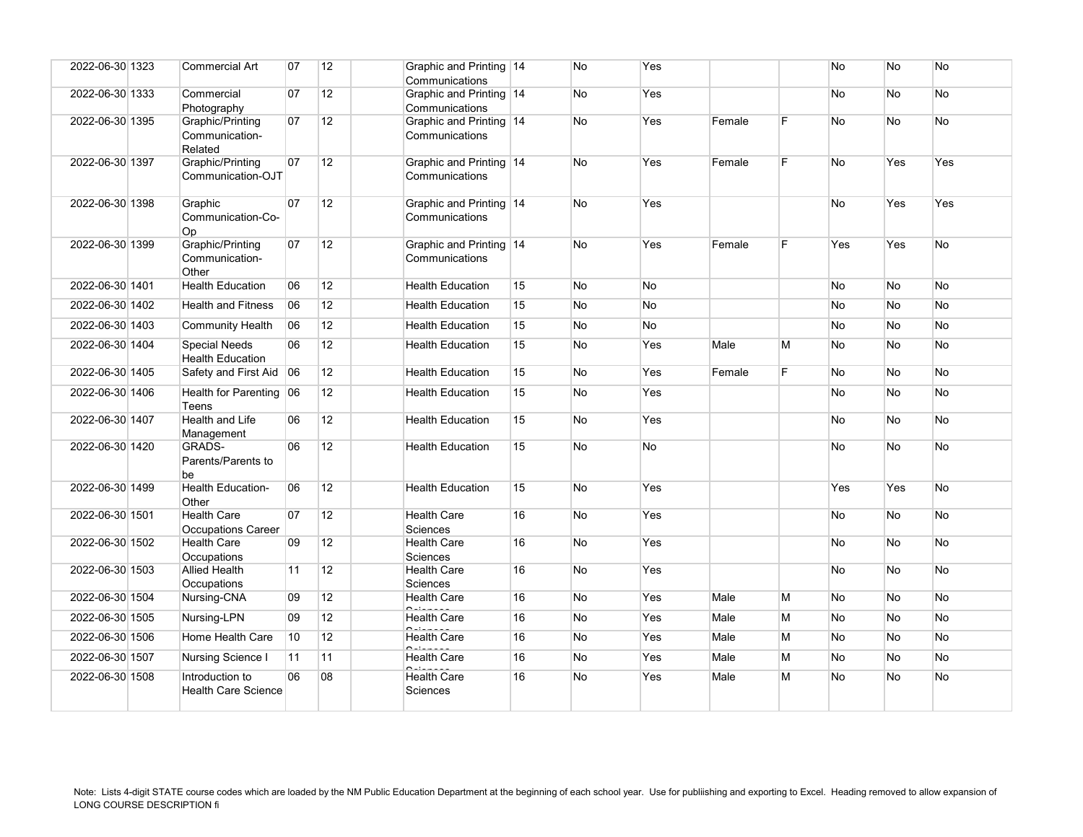| 2022-06-30 1323 | <b>Commercial Art</b>                           | 07              | 12 | Graphic and Printing 14<br>Communications |    | No        | Yes       |        |    | No        | No             | No        |
|-----------------|-------------------------------------------------|-----------------|----|-------------------------------------------|----|-----------|-----------|--------|----|-----------|----------------|-----------|
| 2022-06-30 1333 | Commercial<br>Photography                       | 07              | 12 | Graphic and Printing 14<br>Communications |    | No        | Yes       |        |    | <b>No</b> | N <sub>o</sub> | <b>No</b> |
| 2022-06-30 1395 | Graphic/Printing<br>Communication-<br>Related   | 07              | 12 | Graphic and Printing 14<br>Communications |    | No        | Yes       | Female | E  | No        | No             | No        |
| 2022-06-30 1397 | Graphic/Printing<br>Communication-OJT           | 07              | 12 | Graphic and Printing 14<br>Communications |    | No        | Yes       | Female | F. | No        | Yes            | Yes       |
| 2022-06-30 1398 | Graphic<br>Communication-Co-<br>Op              | 07              | 12 | Graphic and Printing 14<br>Communications |    | No        | Yes       |        |    | No        | Yes            | Yes       |
| 2022-06-30 1399 | Graphic/Printing<br>Communication-<br>Other     | 07              | 12 | Graphic and Printing 14<br>Communications |    | No        | Yes       | Female | F  | Yes       | Yes            | No        |
| 2022-06-30 1401 | <b>Health Education</b>                         | 06              | 12 | <b>Health Education</b>                   | 15 | No        | <b>No</b> |        |    | No        | No             | No        |
| 2022-06-30 1402 | <b>Health and Fitness</b>                       | 06              | 12 | <b>Health Education</b>                   | 15 | No        | No        |        |    | No        | No             | No        |
| 2022-06-30 1403 | <b>Community Health</b>                         | 06              | 12 | <b>Health Education</b>                   | 15 | <b>No</b> | No        |        |    | <b>No</b> | N <sub>o</sub> | <b>No</b> |
| 2022-06-30 1404 | <b>Special Needs</b><br><b>Health Education</b> | 06              | 12 | <b>Health Education</b>                   | 15 | No        | Yes       | Male   | М  | No        | No             | No        |
| 2022-06-30 1405 | Safety and First Aid 06                         |                 | 12 | <b>Health Education</b>                   | 15 | No        | Yes       | Female | F. | No        | <b>No</b>      | No        |
| 2022-06-30 1406 | Health for Parenting 06<br>Teens                |                 | 12 | <b>Health Education</b>                   | 15 | No        | Yes       |        |    | No        | No             | No        |
| 2022-06-30 1407 | Health and Life<br>Management                   | 06              | 12 | <b>Health Education</b>                   | 15 | No        | Yes       |        |    | No        | No             | No        |
| 2022-06-30 1420 | GRADS-<br>Parents/Parents to<br>be              | 06              | 12 | <b>Health Education</b>                   | 15 | No        | <b>No</b> |        |    | No        | No             | No        |
| 2022-06-30 1499 | Health Education-<br>Other                      | 06              | 12 | <b>Health Education</b>                   | 15 | No        | Yes       |        |    | Yes       | Yes            | No        |
| 2022-06-30 1501 | <b>Health Care</b><br><b>Occupations Career</b> | 07              | 12 | <b>Health Care</b><br>Sciences            | 16 | No        | Yes       |        |    | No        | No             | No        |
| 2022-06-30 1502 | <b>Health Care</b><br>Occupations               | 09              | 12 | <b>Health Care</b><br>Sciences            | 16 | No        | Yes       |        |    | No        | No             | No        |
| 2022-06-30 1503 | <b>Allied Health</b><br>Occupations             | 11              | 12 | <b>Health Care</b><br><b>Sciences</b>     | 16 | No        | Yes       |        |    | No        | <b>No</b>      | No        |
| 2022-06-30 1504 | Nursing-CNA                                     | 09              | 12 | <b>Health Care</b>                        | 16 | No        | Yes       | Male   | М  | No        | No             | No        |
| 2022-06-30 1505 | Nursing-LPN                                     | 09              | 12 | <b>Health Care</b>                        | 16 | No        | Yes       | Male   | М  | No        | No             | No        |
| 2022-06-30 1506 | Home Health Care                                | 10 <sup>°</sup> | 12 | <b>Health Care</b>                        | 16 | No        | Yes       | Male   | М  | No        | No             | No        |
| 2022-06-30 1507 | Nursing Science I                               | 11              | 11 | <b>Health Care</b>                        | 16 | No        | Yes       | Male   | М  | No        | No             | No        |
| 2022-06-30 1508 | Introduction to<br><b>Health Care Science</b>   | 06              | 08 | <b>Health Care</b><br>Sciences            | 16 | No        | Yes       | Male   | М  | No        | No             | No        |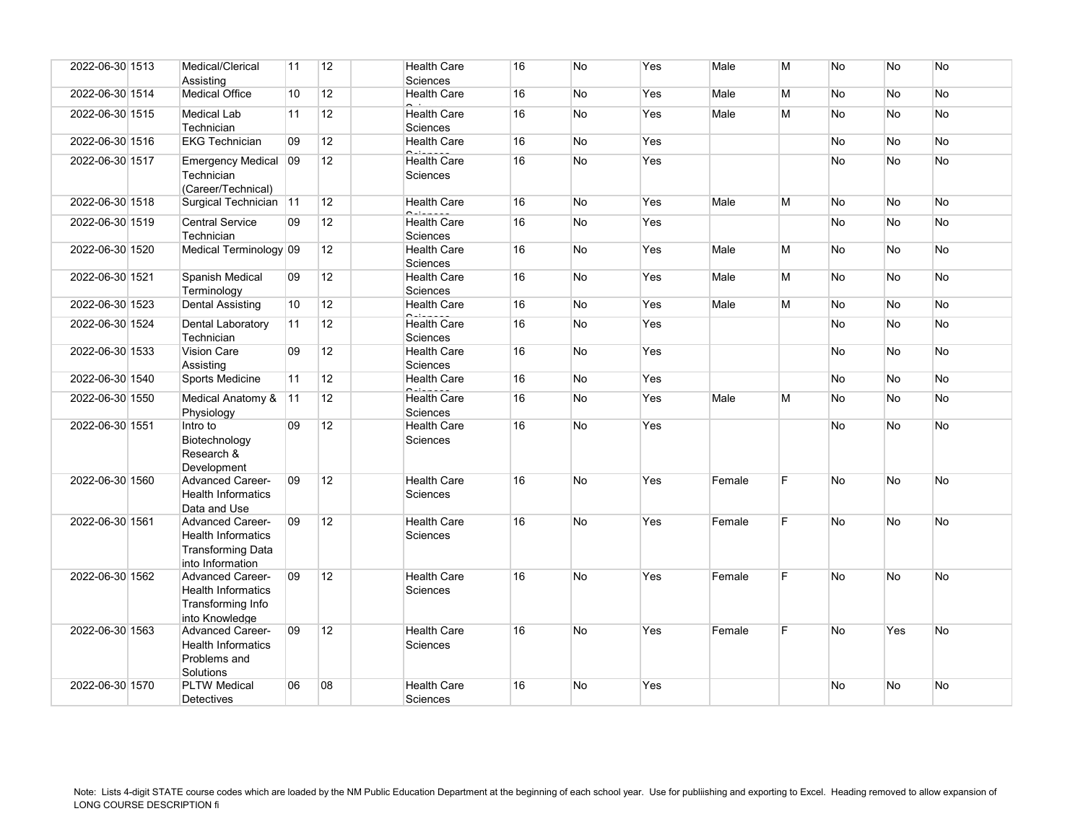| 2022-06-30 1513 | Medical/Clerical<br>Assisting                                                                        | 11 | 12              | <b>Health Care</b><br><b>Sciences</b> | 16 | No        | Yes | Male   | M  | No        | No        | <b>No</b> |
|-----------------|------------------------------------------------------------------------------------------------------|----|-----------------|---------------------------------------|----|-----------|-----|--------|----|-----------|-----------|-----------|
| 2022-06-30 1514 | <b>Medical Office</b>                                                                                | 10 | 12              | <b>Health Care</b>                    | 16 | No        | Yes | Male   | M  | <b>No</b> | No        | No        |
| 2022-06-30 1515 | Medical Lab<br>Technician                                                                            | 11 | 12              | <b>Health Care</b><br><b>Sciences</b> | 16 | No        | Yes | Male   | M  | No        | No        | No        |
| 2022-06-30 1516 | <b>EKG Technician</b>                                                                                | 09 | 12              | <b>Health Care</b>                    | 16 | No        | Yes |        |    | No        | <b>No</b> | No        |
| 2022-06-30 1517 | Emergency Medical 09<br>Technician<br>(Career/Technical)                                             |    | 12              | <b>Health Care</b><br><b>Sciences</b> | 16 | No        | Yes |        |    | No        | <b>No</b> | No        |
| 2022-06-30 1518 | Surgical Technician 11                                                                               |    | 12              | <b>Health Care</b>                    | 16 | No        | Yes | Male   | M  | No        | No        | <b>No</b> |
| 2022-06-30 1519 | <b>Central Service</b><br>Technician                                                                 | 09 | 12              | <b>Health Care</b><br><b>Sciences</b> | 16 | No        | Yes |        |    | No        | No        | No        |
| 2022-06-30 1520 | Medical Terminology 09                                                                               |    | 12 <sup>2</sup> | <b>Health Care</b><br><b>Sciences</b> | 16 | No        | Yes | Male   | M  | No        | <b>No</b> | <b>No</b> |
| 2022-06-30 1521 | Spanish Medical<br>Terminology                                                                       | 09 | 12              | <b>Health Care</b><br><b>Sciences</b> | 16 | No        | Yes | Male   | M  | No        | No        | No        |
| 2022-06-30 1523 | <b>Dental Assisting</b>                                                                              | 10 | 12              | <b>Health Care</b>                    | 16 | No        | Yes | Male   | M  | No.       | <b>No</b> | <b>No</b> |
| 2022-06-30 1524 | Dental Laboratory<br>Technician                                                                      | 11 | 12              | <b>Health Care</b><br><b>Sciences</b> | 16 | No        | Yes |        |    | No        | No        | No        |
| 2022-06-30 1533 | <b>Vision Care</b><br>Assisting                                                                      | 09 | 12              | <b>Health Care</b><br>Sciences        | 16 | <b>No</b> | Yes |        |    | <b>No</b> | <b>No</b> | <b>No</b> |
| 2022-06-30 1540 | Sports Medicine                                                                                      | 11 | 12              | <b>Health Care</b>                    | 16 | <b>No</b> | Yes |        |    | <b>No</b> | <b>No</b> | <b>No</b> |
| 2022-06-30 1550 | Medical Anatomy &<br>Physiology                                                                      | 11 | 12              | <b>Health Care</b><br><b>Sciences</b> | 16 | No        | Yes | Male   | M  | No        | <b>No</b> | No        |
| 2022-06-30 1551 | Intro to<br>Biotechnology<br>Research &<br>Development                                               | 09 | 12              | <b>Health Care</b><br>Sciences        | 16 | No        | Yes |        |    | No        | No        | <b>No</b> |
| 2022-06-30 1560 | <b>Advanced Career-</b><br><b>Health Informatics</b><br>Data and Use                                 | 09 | 12              | <b>Health Care</b><br><b>Sciences</b> | 16 | No        | Yes | Female | F. | No        | No        | <b>No</b> |
| 2022-06-30 1561 | <b>Advanced Career-</b><br><b>Health Informatics</b><br><b>Transforming Data</b><br>into Information | 09 | 12              | <b>Health Care</b><br><b>Sciences</b> | 16 | No        | Yes | Female | F. | <b>No</b> | <b>No</b> | <b>No</b> |
| 2022-06-30 1562 | <b>Advanced Career-</b><br><b>Health Informatics</b><br>Transforming Info<br>into Knowledge          | 09 | 12              | <b>Health Care</b><br><b>Sciences</b> | 16 | <b>No</b> | Yes | Female | F. | <b>No</b> | No        | No        |
| 2022-06-30 1563 | <b>Advanced Career-</b><br><b>Health Informatics</b><br>Problems and<br>Solutions                    | 09 | 12              | <b>Health Care</b><br>Sciences        | 16 | No        | Yes | Female | E  | No        | Yes       | No        |
| 2022-06-30 1570 | <b>PLTW Medical</b><br><b>Detectives</b>                                                             | 06 | 08              | <b>Health Care</b><br><b>Sciences</b> | 16 | No        | Yes |        |    | No        | No        | No        |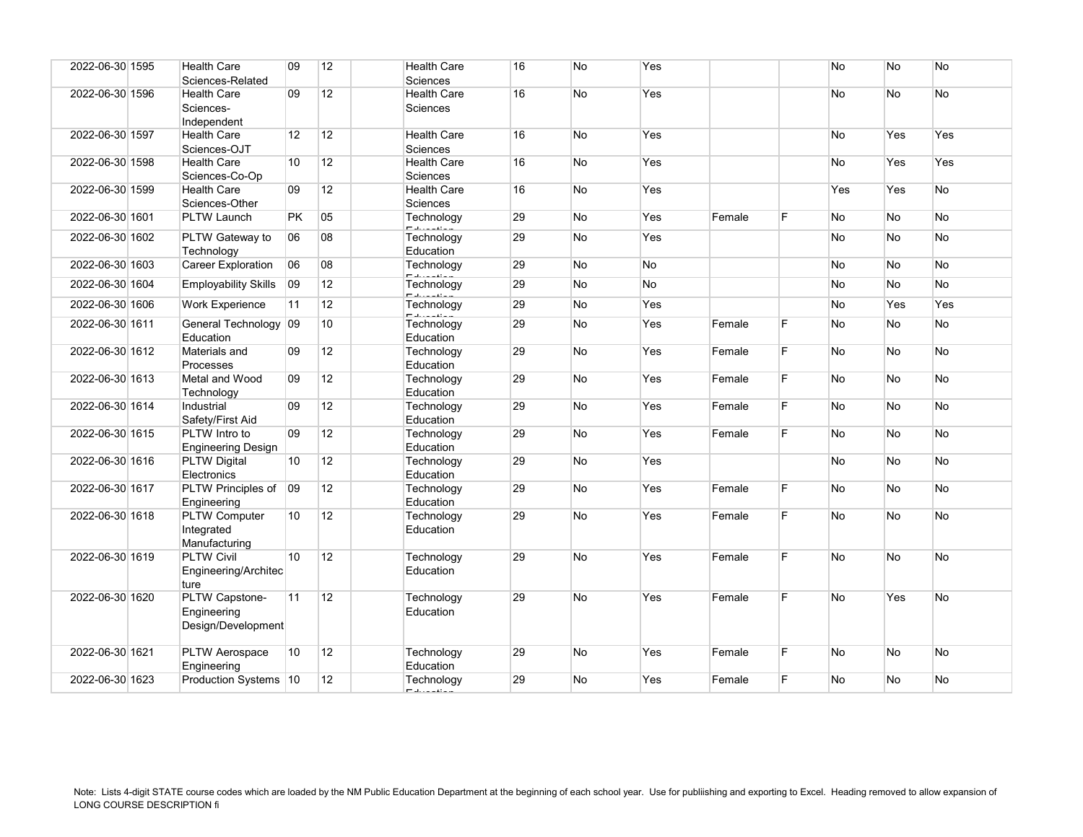| 2022-06-30 1595 | <b>Health Care</b><br>Sciences-Related              | 09        | 12              | <b>Health Care</b><br>Sciences        | 16 | No | Yes       |        |    | No  | No        | No  |
|-----------------|-----------------------------------------------------|-----------|-----------------|---------------------------------------|----|----|-----------|--------|----|-----|-----------|-----|
| 2022-06-30 1596 | <b>Health Care</b><br>Sciences-<br>Independent      | 09        | 12              | <b>Health Care</b><br><b>Sciences</b> | 16 | No | Yes       |        |    | No  | No        | No  |
| 2022-06-30 1597 | <b>Health Care</b><br>Sciences-OJT                  | 12        | 12              | <b>Health Care</b><br>Sciences        | 16 | No | Yes       |        |    | No  | Yes       | Yes |
| 2022-06-30 1598 | <b>Health Care</b><br>Sciences-Co-Op                | 10        | 12              | <b>Health Care</b><br>Sciences        | 16 | No | Yes       |        |    | No  | Yes       | Yes |
| 2022-06-30 1599 | <b>Health Care</b><br>Sciences-Other                | 09        | 12              | <b>Health Care</b><br><b>Sciences</b> | 16 | No | Yes       |        |    | Yes | Yes       | No  |
| 2022-06-30 1601 | <b>PLTW Launch</b>                                  | <b>PK</b> | 05              | Technology                            | 29 | No | Yes       | Female | E  | No  | No        | No  |
| 2022-06-30 1602 | PLTW Gateway to<br>Technology                       | 06        | 08              | Technology<br>Education               | 29 | No | Yes       |        |    | No  | No        | No  |
| 2022-06-30 1603 | <b>Career Exploration</b>                           | 06        | 08              | Technology                            | 29 | No | <b>No</b> |        |    | No  | <b>No</b> | No  |
| 2022-06-30 1604 | <b>Employability Skills</b>                         | 09        | 12              | Technology                            | 29 | No | No        |        |    | No  | No        | No  |
| 2022-06-30 1606 | <b>Work Experience</b>                              | 11        | 12              | Technology                            | 29 | No | Yes       |        |    | No  | Yes       | Yes |
|                 |                                                     |           |                 |                                       |    |    |           |        |    |     |           |     |
| 2022-06-30 1611 | General Technology 09<br>Education                  |           | 10 <sup>°</sup> | Technology<br>Education               | 29 | No | Yes       | Female | F  | No  | <b>No</b> | No  |
| 2022-06-30 1612 | Materials and<br>Processes                          | 09        | 12              | Technology<br>Education               | 29 | No | Yes       | Female | E  | No  | No        | No  |
| 2022-06-30 1613 | Metal and Wood<br>Technology                        | 09        | 12              | Technology<br>Education               | 29 | No | Yes       | Female | F  | No  | No        | No  |
| 2022-06-30 1614 | Industrial<br>Safety/First Aid                      | 09        | 12              | Technology<br>Education               | 29 | No | Yes       | Female | F  | No  | No        | No  |
| 2022-06-30 1615 | PLTW Intro to<br><b>Engineering Design</b>          | 09        | 12              | Technology<br>Education               | 29 | No | Yes       | Female | F. | No  | <b>No</b> | No  |
| 2022-06-30 1616 | <b>PLTW Digital</b><br>Electronics                  | 10        | 12              | Technology<br>Education               | 29 | No | Yes       |        |    | No  | No        | No  |
| 2022-06-30 1617 | PLTW Principles of<br>Engineering                   | 09        | 12 <sup>2</sup> | Technology<br>Education               | 29 | No | Yes       | Female | E  | No  | No        | No  |
| 2022-06-30 1618 | <b>PLTW Computer</b><br>Integrated<br>Manufacturing | 10        | 12              | Technology<br>Education               | 29 | No | Yes       | Female | F  | No  | No        | No  |
| 2022-06-30 1619 | <b>PLTW Civil</b><br>Engineering/Architec<br>ture   | 10        | 12              | Technology<br>Education               | 29 | No | Yes       | Female | E  | No  | No        | No  |
| 2022-06-30 1620 | PLTW Capstone-<br>Engineering<br>Design/Development | 11        | 12              | Technology<br>Education               | 29 | No | Yes       | Female | E  | No  | Yes       | No  |
| 2022-06-30 1621 | PLTW Aerospace<br>Engineering                       | 10        | 12              | Technology<br>Education               | 29 | No | Yes       | Female | F  | No  | No        | No  |
| 2022-06-30 1623 | Production Systems   10                             |           | 12              | Technology<br>فالمستنبذ فللمستن       | 29 | No | Yes       | Female | F  | No  | No        | No  |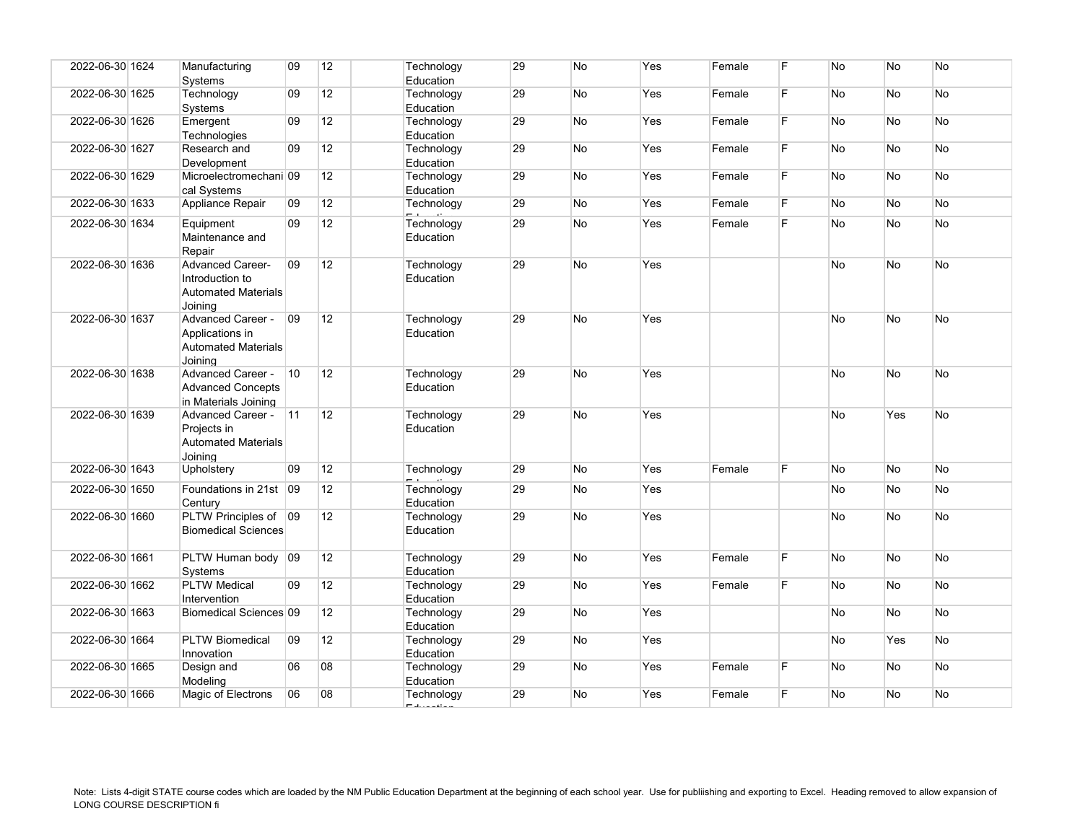| 2022-06-30 1624 | Manufacturing<br>Systems                                                             | 09           | 12              | Technology<br>Education | 29 | No        | Yes | Female | E  | <b>No</b> | <b>No</b> | No        |
|-----------------|--------------------------------------------------------------------------------------|--------------|-----------------|-------------------------|----|-----------|-----|--------|----|-----------|-----------|-----------|
| 2022-06-30 1625 | Technology<br>Systems                                                                | 09           | 12              | Technology<br>Education | 29 | <b>No</b> | Yes | Female | F  | No        | <b>No</b> | No        |
| 2022-06-30 1626 | Emergent<br>Technologies                                                             | 09           | 12 <sup>°</sup> | Technology<br>Education | 29 | No        | Yes | Female | F. | No        | <b>No</b> | No        |
| 2022-06-30 1627 | Research and<br>Development                                                          | 09           | 12              | Technology<br>Education | 29 | No        | Yes | Female | F  | No        | <b>No</b> | No        |
| 2022-06-30 1629 | Microelectromechani 09<br>cal Systems                                                |              | 12 <sup>2</sup> | Technology<br>Education | 29 | No        | Yes | Female | F. | No        | <b>No</b> | No        |
| 2022-06-30 1633 | Appliance Repair                                                                     | 09           | 12              | Technology              | 29 | No        | Yes | Female | F  | No        | <b>No</b> | No        |
| 2022-06-30 1634 | Equipment<br>Maintenance and<br>Repair                                               | 09           | 12              | Technology<br>Education | 29 | <b>No</b> | Yes | Female | E  | No        | <b>No</b> | No        |
| 2022-06-30 1636 | <b>Advanced Career-</b><br>Introduction to<br><b>Automated Materials</b><br>Joining  | 09           | 12 <sup>2</sup> | Technology<br>Education | 29 | <b>No</b> | Yes |        |    | No        | <b>No</b> | No        |
| 2022-06-30 1637 | <b>Advanced Career -</b><br>Applications in<br><b>Automated Materials</b><br>Joinina | $ 09\rangle$ | 12              | Technology<br>Education | 29 | <b>No</b> | Yes |        |    | <b>No</b> | <b>No</b> | <b>No</b> |
| 2022-06-30 1638 | Advanced Career -<br><b>Advanced Concepts</b><br>in Materials Joining                | 10           | 12              | Technology<br>Education | 29 | <b>No</b> | Yes |        |    | <b>No</b> | <b>No</b> | <b>No</b> |
| 2022-06-30 1639 | <b>Advanced Career -</b><br>Projects in<br><b>Automated Materials</b><br>Joinina     | 11           | 12              | Technology<br>Education | 29 | <b>No</b> | Yes |        |    | No        | Yes       | No        |
| 2022-06-30 1643 | Upholstery                                                                           | 09           | 12              | Technology              | 29 | <b>No</b> | Yes | Female | F  | No        | <b>No</b> | <b>No</b> |
| 2022-06-30 1650 | Foundations in 21st 09                                                               |              | 12              | Technology              | 29 | No        | Yes |        |    | No        | No        | No        |
|                 | Centurv                                                                              |              |                 | Education               |    |           |     |        |    |           |           |           |
| 2022-06-30 1660 | PLTW Principles of<br><b>Biomedical Sciences</b>                                     | $ 09\rangle$ | 12 <sup>2</sup> | Technology<br>Education | 29 | <b>No</b> | Yes |        |    | <b>No</b> | No        | No        |
| 2022-06-30 1661 | PLTW Human body 09<br><b>Systems</b>                                                 |              | 12              | Technology<br>Education | 29 | No        | Yes | Female | F. | No        | No        | No        |
| 2022-06-30 1662 | <b>PLTW Medical</b><br>Intervention                                                  | 09           | 12 <sup>2</sup> | Technology<br>Education | 29 | <b>No</b> | Yes | Female | F. | No        | <b>No</b> | <b>No</b> |
| 2022-06-30 1663 | Biomedical Sciences 09                                                               |              | 12 <sup>°</sup> | Technology<br>Education | 29 | No        | Yes |        |    | No        | No        | No        |
| 2022-06-30 1664 | <b>PLTW Biomedical</b><br>Innovation                                                 | 09           | 12              | Technology<br>Education | 29 | <b>No</b> | Yes |        |    | No        | Yes       | No        |
| 2022-06-30 1665 | Design and<br>Modeling                                                               | 06           | 08              | Technology<br>Education | 29 | No        | Yes | Female | F  | No        | <b>No</b> | No        |
| 2022-06-30 1666 | Magic of Electrons                                                                   | 06           | 08              | Technology              | 29 | No.       | Yes | Female | F. | <b>No</b> | <b>No</b> | <b>No</b> |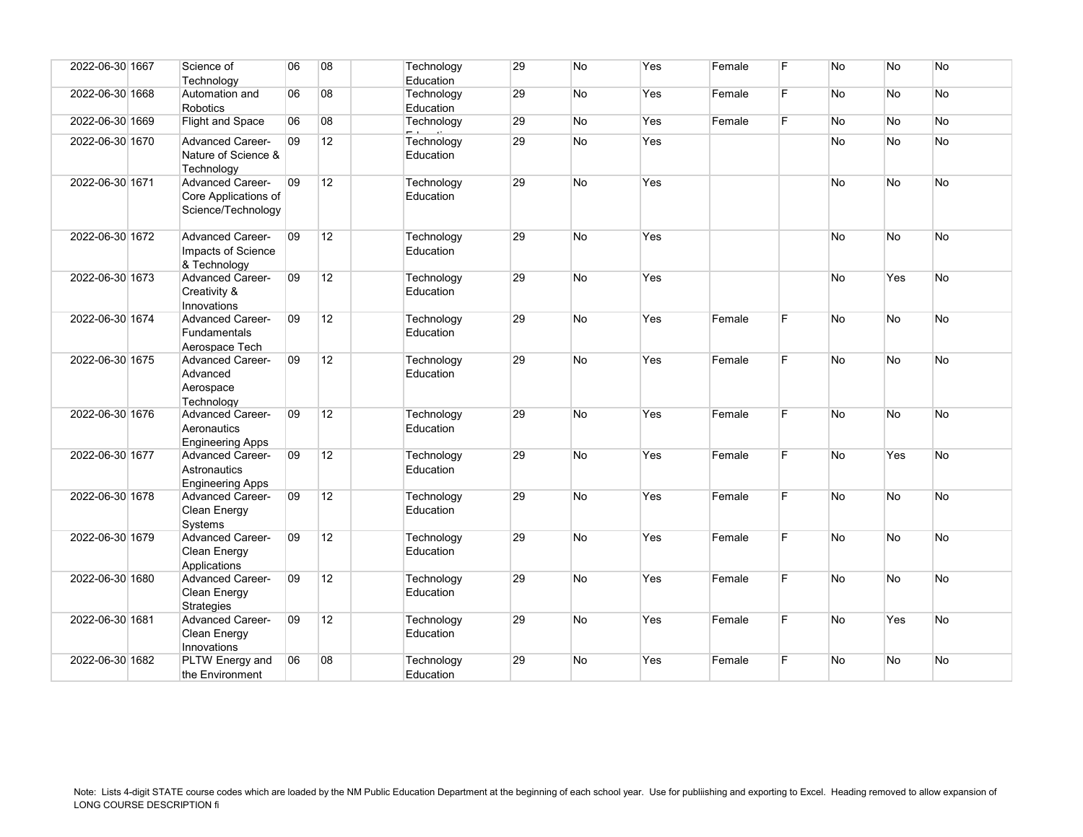| 2022-06-30 1667 | Science of<br>Technology                                                  | 06 | 08 | Technology<br>Education | 29 | No        | Yes | Female | F  | <b>No</b> | No.       | <b>No</b> |
|-----------------|---------------------------------------------------------------------------|----|----|-------------------------|----|-----------|-----|--------|----|-----------|-----------|-----------|
| 2022-06-30 1668 | Automation and<br>Robotics                                                | 06 | 08 | Technology<br>Education | 29 | No        | Yes | Female | F. | <b>No</b> | No        | No        |
| 2022-06-30 1669 | <b>Flight and Space</b>                                                   | 06 | 08 | Technology              | 29 | <b>No</b> | Yes | Female | F  | <b>No</b> | No        | <b>No</b> |
| 2022-06-30 1670 | <b>Advanced Career-</b><br>Nature of Science &<br>Technology              | 09 | 12 | Technology<br>Education | 29 | No        | Yes |        |    | <b>No</b> | <b>No</b> | No        |
| 2022-06-30 1671 | <b>Advanced Career-</b><br>Core Applications of<br>Science/Technology     | 09 | 12 | Technology<br>Education | 29 | <b>No</b> | Yes |        |    | <b>No</b> | <b>No</b> | <b>No</b> |
| 2022-06-30 1672 | <b>Advanced Career-</b><br>Impacts of Science<br>& Technology             | 09 | 12 | Technology<br>Education | 29 | No        | Yes |        |    | <b>No</b> | <b>No</b> | No        |
| 2022-06-30 1673 | <b>Advanced Career-</b><br>Creativity &<br>Innovations                    | 09 | 12 | Technology<br>Education | 29 | <b>No</b> | Yes |        |    | No        | Yes       | No        |
| 2022-06-30 1674 | <b>Advanced Career-</b><br><b>Fundamentals</b><br>Aerospace Tech          | 09 | 12 | Technology<br>Education | 29 | <b>No</b> | Yes | Female | F. | <b>No</b> | <b>No</b> | No        |
| 2022-06-30 1675 | <b>Advanced Career-</b><br>Advanced<br>Aerospace<br>Technology            | 09 | 12 | Technology<br>Education | 29 | <b>No</b> | Yes | Female | F. | <b>No</b> | <b>No</b> | No.       |
| 2022-06-30 1676 | <b>Advanced Career-</b><br>Aeronautics<br><b>Engineering Apps</b>         | 09 | 12 | Technology<br>Education | 29 | <b>No</b> | Yes | Female | F. | <b>No</b> | <b>No</b> | No        |
| 2022-06-30 1677 | <b>Advanced Career-</b><br><b>Astronautics</b><br><b>Engineering Apps</b> | 09 | 12 | Technology<br>Education | 29 | <b>No</b> | Yes | Female | F. | <b>No</b> | Yes       | <b>No</b> |
| 2022-06-30 1678 | <b>Advanced Career-</b><br>Clean Energy<br>Systems                        | 09 | 12 | Technology<br>Education | 29 | No        | Yes | Female | F. | No        | <b>No</b> | <b>No</b> |
| 2022-06-30 1679 | <b>Advanced Career-</b><br>Clean Energy<br>Applications                   | 09 | 12 | Technology<br>Education | 29 | <b>No</b> | Yes | Female | F. | <b>No</b> | <b>No</b> | <b>No</b> |
| 2022-06-30 1680 | <b>Advanced Career-</b><br>Clean Energy<br><b>Strategies</b>              | 09 | 12 | Technology<br>Education | 29 | No        | Yes | Female | F  | <b>No</b> | <b>No</b> | <b>No</b> |
| 2022-06-30 1681 | <b>Advanced Career-</b><br>Clean Energy<br>Innovations                    | 09 | 12 | Technology<br>Education | 29 | <b>No</b> | Yes | Female | F  | No        | Yes       | No        |
| 2022-06-30 1682 | PLTW Energy and<br>the Environment                                        | 06 | 08 | Technology<br>Education | 29 | No        | Yes | Female | F. | <b>No</b> | No        | No        |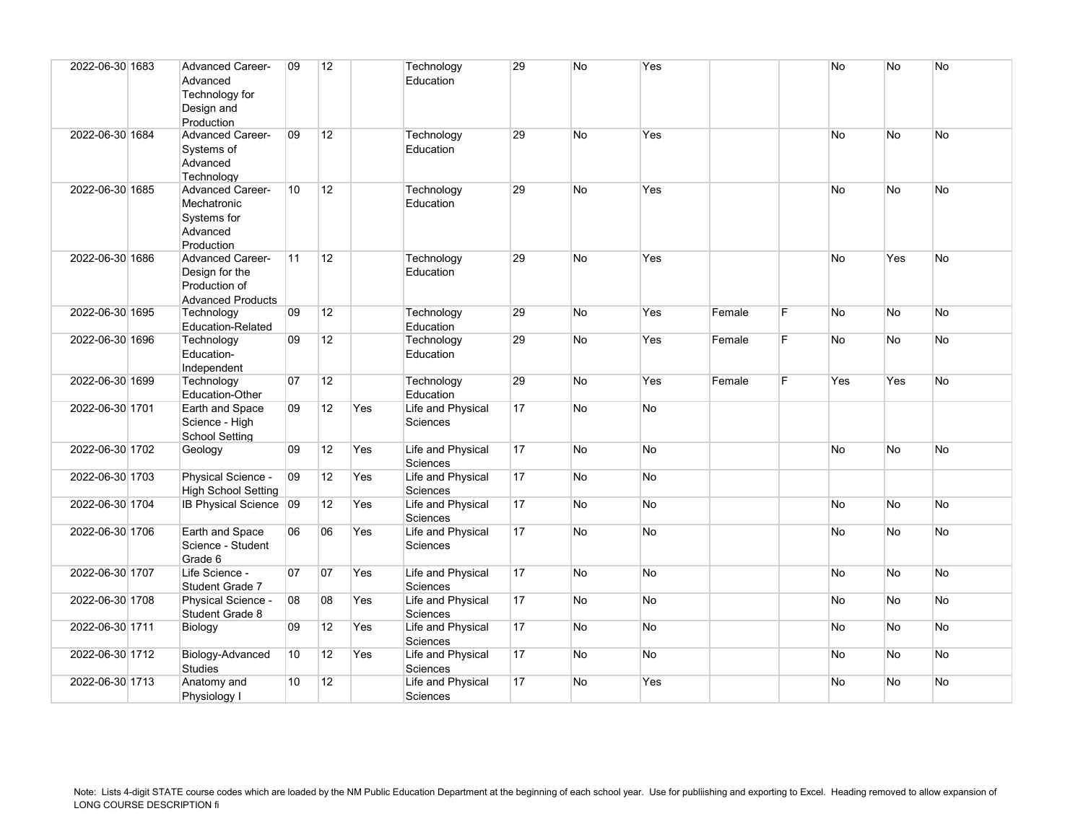| 2022-06-30 1683 | <b>Advanced Career-</b><br>Advanced<br>Technology for<br>Design and<br>Production      | 09              | 12 |     | Technology<br>Education       | 29 | No        | Yes       |        |    | No        | <b>No</b>      | No        |
|-----------------|----------------------------------------------------------------------------------------|-----------------|----|-----|-------------------------------|----|-----------|-----------|--------|----|-----------|----------------|-----------|
| 2022-06-30 1684 | <b>Advanced Career-</b><br>Systems of<br>Advanced<br>Technology                        | 09              | 12 |     | Technology<br>Education       | 29 | <b>No</b> | Yes       |        |    | <b>No</b> | <b>No</b>      | <b>No</b> |
| 2022-06-30 1685 | <b>Advanced Career-</b><br>Mechatronic<br>Systems for<br>Advanced<br>Production        | 10 <sup>°</sup> | 12 |     | Technology<br>Education       | 29 | No        | Yes       |        |    | <b>No</b> | <b>No</b>      | No        |
| 2022-06-30 1686 | <b>Advanced Career-</b><br>Design for the<br>Production of<br><b>Advanced Products</b> | 11              | 12 |     | Technology<br>Education       | 29 | No        | Yes       |        |    | <b>No</b> | Yes            | <b>No</b> |
| 2022-06-30 1695 | Technology<br>Education-Related                                                        | 09              | 12 |     | Technology<br>Education       | 29 | No        | Yes       | Female | F. | <b>No</b> | <b>No</b>      | <b>No</b> |
| 2022-06-30 1696 | Technology<br>Education-<br>Independent                                                | 09              | 12 |     | Technology<br>Education       | 29 | No        | Yes       | Female | F  | <b>No</b> | No             | No        |
| 2022-06-30 1699 | Technology<br><b>Education-Other</b>                                                   | 07              | 12 |     | Technology<br>Education       | 29 | No        | Yes       | Female | F. | Yes       | Yes            | No        |
| 2022-06-30 1701 | Earth and Space<br>Science - High<br><b>School Setting</b>                             | 09              | 12 | Yes | Life and Physical<br>Sciences | 17 | No        | No        |        |    |           |                |           |
| 2022-06-30 1702 | Geology                                                                                | 09              | 12 | Yes | Life and Physical<br>Sciences | 17 | No        | No        |        |    | <b>No</b> | N <sub>o</sub> | No        |
| 2022-06-30 1703 | Physical Science -<br><b>High School Setting</b>                                       | 09              | 12 | Yes | Life and Physical<br>Sciences | 17 | No        | <b>No</b> |        |    |           |                |           |
| 2022-06-30 1704 | IB Physical Science 09                                                                 |                 | 12 | Yes | Life and Physical<br>Sciences | 17 | No        | No        |        |    | <b>No</b> | <b>No</b>      | No        |
| 2022-06-30 1706 | Earth and Space<br>Science - Student<br>Grade 6                                        | 06              | 06 | Yes | Life and Physical<br>Sciences | 17 | <b>No</b> | No        |        |    | No.       | No.            | <b>No</b> |
| 2022-06-30 1707 | Life Science -<br>Student Grade 7                                                      | 07              | 07 | Yes | Life and Physical<br>Sciences | 17 | <b>No</b> | <b>No</b> |        |    | <b>No</b> | <b>No</b>      | <b>No</b> |
| 2022-06-30 1708 | Physical Science -<br>Student Grade 8                                                  | 08              | 08 | Yes | Life and Physical<br>Sciences | 17 | No        | <b>No</b> |        |    | No        | N <sub>o</sub> | No        |
| 2022-06-30 1711 | Biology                                                                                | 09              | 12 | Yes | Life and Physical<br>Sciences | 17 | No        | No        |        |    | No        | No             | No        |
| 2022-06-30 1712 | Biology-Advanced<br><b>Studies</b>                                                     | 10 <sup>°</sup> | 12 | Yes | Life and Physical<br>Sciences | 17 | No        | No        |        |    | <b>No</b> | <b>No</b>      | No        |
| 2022-06-30 1713 | Anatomy and<br>Physiology I                                                            | 10 <sup>1</sup> | 12 |     | Life and Physical<br>Sciences | 17 | No        | Yes       |        |    | <b>No</b> | No.            | No        |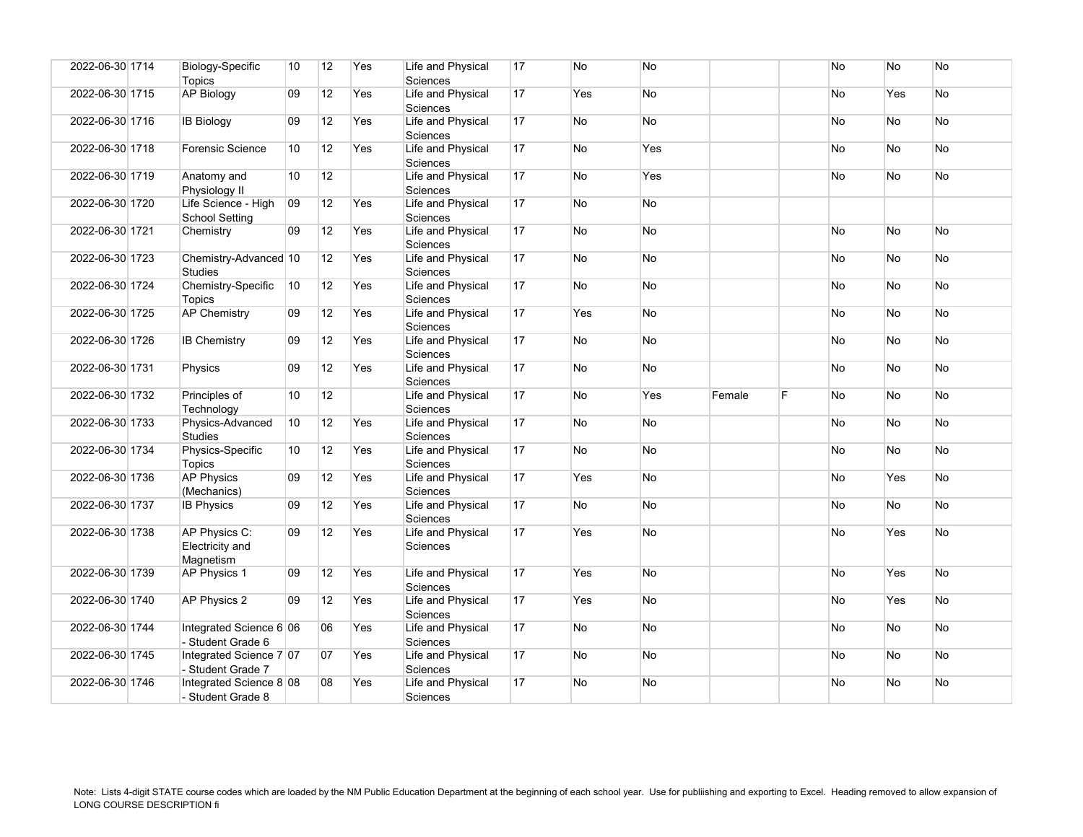| 2022-06-30 1714 | Biology-Specific<br><b>Topics</b>             | 10 | 12 | Yes | Life and Physical<br>Sciences        | 17 | No        | <b>No</b> |        |   | <b>No</b> | <b>No</b> | <b>No</b> |
|-----------------|-----------------------------------------------|----|----|-----|--------------------------------------|----|-----------|-----------|--------|---|-----------|-----------|-----------|
| 2022-06-30 1715 | <b>AP Biology</b>                             | 09 | 12 | Yes | Life and Physical<br><b>Sciences</b> | 17 | Yes       | No        |        |   | No        | Yes       | No        |
| 2022-06-30 1716 | <b>IB Biology</b>                             | 09 | 12 | Yes | Life and Physical<br><b>Sciences</b> | 17 | No        | <b>No</b> |        |   | No        | <b>No</b> | <b>No</b> |
| 2022-06-30 1718 | <b>Forensic Science</b>                       | 10 | 12 | Yes | Life and Physical<br><b>Sciences</b> | 17 | No        | Yes       |        |   | No        | <b>No</b> | No        |
| 2022-06-30 1719 | Anatomy and<br>Physiology II                  | 10 | 12 |     | Life and Physical<br>Sciences        | 17 | No        | Yes       |        |   | No        | <b>No</b> | No.       |
| 2022-06-30 1720 | Life Science - High<br><b>School Setting</b>  | 09 | 12 | Yes | Life and Physical<br>Sciences        | 17 | No        | No        |        |   |           |           |           |
| 2022-06-30 1721 | Chemistry                                     | 09 | 12 | Yes | Life and Physical<br>Sciences        | 17 | No        | No        |        |   | No        | <b>No</b> | No.       |
| 2022-06-30 1723 | Chemistry-Advanced 10<br><b>Studies</b>       |    | 12 | Yes | Life and Physical<br><b>Sciences</b> | 17 | No        | <b>No</b> |        |   | No        | <b>No</b> | <b>No</b> |
| 2022-06-30 1724 | Chemistry-Specific<br><b>Topics</b>           | 10 | 12 | Yes | Life and Physical<br>Sciences        | 17 | No        | No        |        |   | No        | No        | No        |
| 2022-06-30 1725 | <b>AP Chemistry</b>                           | 09 | 12 | Yes | Life and Physical<br><b>Sciences</b> | 17 | Yes       | <b>No</b> |        |   | No        | <b>No</b> | <b>No</b> |
| 2022-06-30 1726 | <b>IB Chemistry</b>                           | 09 | 12 | Yes | Life and Physical<br><b>Sciences</b> | 17 | No        | No        |        |   | No        | No        | <b>No</b> |
| 2022-06-30 1731 | Physics                                       | 09 | 12 | Yes | Life and Physical<br>Sciences        | 17 | No        | <b>No</b> |        |   | <b>No</b> | <b>No</b> | <b>No</b> |
| 2022-06-30 1732 | Principles of<br>Technology                   | 10 | 12 |     | Life and Physical<br>Sciences        | 17 | No        | Yes       | Female | F | No        | <b>No</b> | <b>No</b> |
| 2022-06-30 1733 | Physics-Advanced<br><b>Studies</b>            | 10 | 12 | Yes | Life and Physical<br>Sciences        | 17 | No        | No        |        |   | No        | <b>No</b> | <b>No</b> |
| 2022-06-30 1734 | Physics-Specific<br>Topics                    | 10 | 12 | Yes | Life and Physical<br>Sciences        | 17 | No        | <b>No</b> |        |   | No        | <b>No</b> | <b>No</b> |
| 2022-06-30 1736 | <b>AP Physics</b><br>(Mechanics)              | 09 | 12 | Yes | Life and Physical<br>Sciences        | 17 | Yes       | No        |        |   | No        | Yes       | No        |
| 2022-06-30 1737 | <b>IB Physics</b>                             | 09 | 12 | Yes | Life and Physical<br>Sciences        | 17 | <b>No</b> | <b>No</b> |        |   | No        | <b>No</b> | <b>No</b> |
| 2022-06-30 1738 | AP Physics C:<br>Electricity and<br>Magnetism | 09 | 12 | Yes | Life and Physical<br><b>Sciences</b> | 17 | Yes       | <b>No</b> |        |   | No        | Yes       | <b>No</b> |
| 2022-06-30 1739 | AP Physics 1                                  | 09 | 12 | Yes | Life and Physical<br><b>Sciences</b> | 17 | Yes       | No        |        |   | No        | Yes       | <b>No</b> |
| 2022-06-30 1740 | AP Physics 2                                  | 09 | 12 | Yes | Life and Physical<br>Sciences        | 17 | Yes       | <b>No</b> |        |   | No        | Yes       | <b>No</b> |
| 2022-06-30 1744 | Integrated Science 6 06<br>- Student Grade 6  |    | 06 | Yes | Life and Physical<br><b>Sciences</b> | 17 | No        | No        |        |   | No        | No        | No        |
| 2022-06-30 1745 | Integrated Science 7 07<br>- Student Grade 7  |    | 07 | Yes | Life and Physical<br>Sciences        | 17 | No        | <b>No</b> |        |   | No        | <b>No</b> | No        |
| 2022-06-30 1746 | Integrated Science 8 08<br>- Student Grade 8  |    | 08 | Yes | Life and Physical<br>Sciences        | 17 | No        | <b>No</b> |        |   | No        | <b>No</b> | No        |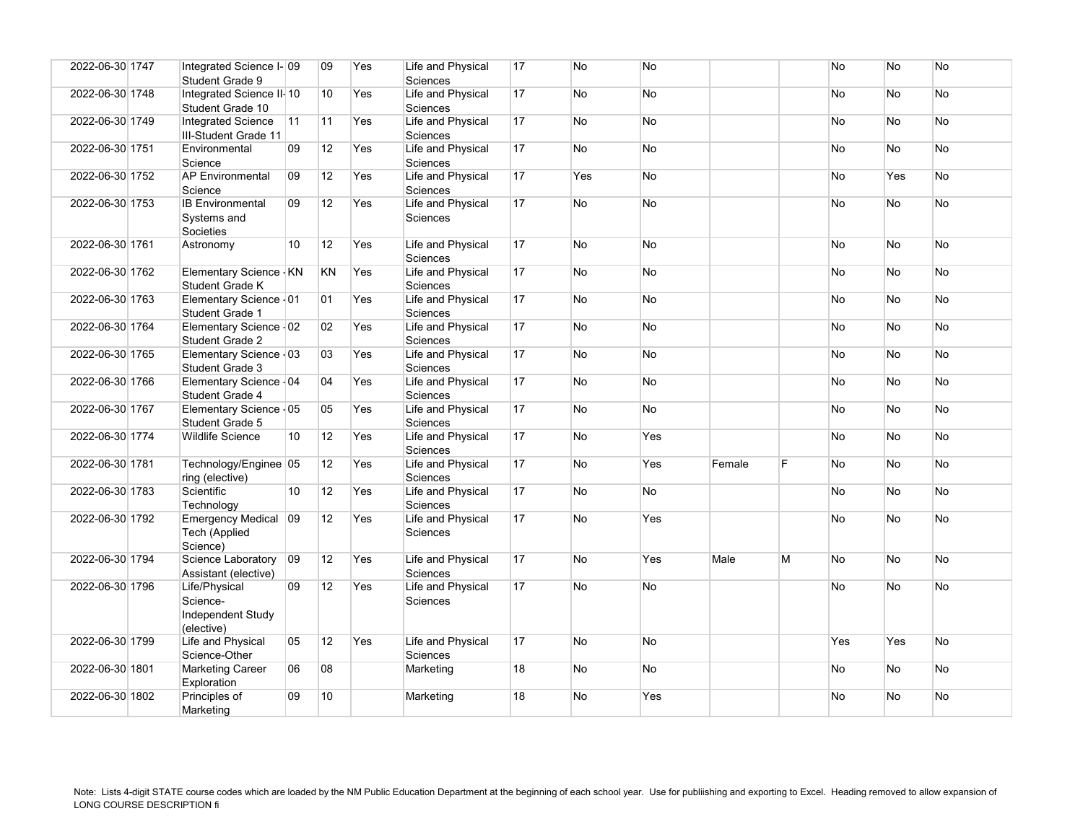| 2022-06-30 1747 | Integrated Science I- 09<br>Student Grade 9                  |                 | 09 | Yes | Life and Physical<br><b>Sciences</b> | 17 | No        | <b>No</b> |        |    | <b>No</b> | <b>No</b>      | <b>No</b> |
|-----------------|--------------------------------------------------------------|-----------------|----|-----|--------------------------------------|----|-----------|-----------|--------|----|-----------|----------------|-----------|
| 2022-06-30 1748 | Integrated Science II-10<br>Student Grade 10                 |                 | 10 | Yes | Life and Physical<br><b>Sciences</b> | 17 | <b>No</b> | <b>No</b> |        |    | <b>No</b> | No.            | <b>No</b> |
| 2022-06-30 1749 | <b>Integrated Science</b><br>III-Student Grade 11            | 11              | 11 | Yes | Life and Physical<br><b>Sciences</b> | 17 | No        | No        |        |    | No        | No.            | No        |
| 2022-06-30 1751 | Environmental<br>Science                                     | 09              | 12 | Yes | Life and Physical<br>Sciences        | 17 | <b>No</b> | <b>No</b> |        |    | <b>No</b> | N <sub>o</sub> | No.       |
| 2022-06-30 1752 | <b>AP Environmental</b><br>Science                           | 09              | 12 | Yes | Life and Physical<br>Sciences        | 17 | Yes       | <b>No</b> |        |    | <b>No</b> | Yes            | No        |
| 2022-06-30 1753 | <b>IB Environmental</b><br>Systems and<br>Societies          | 09              | 12 | Yes | Life and Physical<br><b>Sciences</b> | 17 | <b>No</b> | <b>No</b> |        |    | No        | <b>No</b>      | No        |
| 2022-06-30 1761 | Astronomy                                                    | 10 <sup>1</sup> | 12 | Yes | Life and Physical<br><b>Sciences</b> | 17 | <b>No</b> | <b>No</b> |        |    | <b>No</b> | <b>No</b>      | <b>No</b> |
| 2022-06-30 1762 | Elementary Science - KN<br>Student Grade K                   |                 | KN | Yes | Life and Physical<br>Sciences        | 17 | <b>No</b> | <b>No</b> |        |    | No        | <b>No</b>      | No        |
| 2022-06-30 1763 | Elementary Science - 01<br>Student Grade 1                   |                 | 01 | Yes | Life and Physical<br>Sciences        | 17 | No        | No        |        |    | <b>No</b> | No.            | No        |
| 2022-06-30 1764 | Elementary Science - 02<br>Student Grade 2                   |                 | 02 | Yes | Life and Physical<br><b>Sciences</b> | 17 | <b>No</b> | <b>No</b> |        |    | <b>No</b> | <b>No</b>      | No        |
| 2022-06-30 1765 | Elementary Science - 03<br>Student Grade 3                   |                 | 03 | Yes | Life and Physical<br>Sciences        | 17 | <b>No</b> | <b>No</b> |        |    | <b>No</b> | No.            | No        |
| 2022-06-30 1766 | Elementary Science - 04<br>Student Grade 4                   |                 | 04 | Yes | Life and Physical<br>Sciences        | 17 | No        | No        |        |    | No        | No             | No        |
| 2022-06-30 1767 | Elementary Science - 05<br>Student Grade 5                   |                 | 05 | Yes | Life and Physical<br><b>Sciences</b> | 17 | <b>No</b> | No        |        |    | No.       | <b>No</b>      | <b>No</b> |
| 2022-06-30 1774 | <b>Wildlife Science</b>                                      | 10              | 12 | Yes | Life and Physical<br><b>Sciences</b> | 17 | <b>No</b> | Yes       |        |    | <b>No</b> | <b>No</b>      | No        |
| 2022-06-30 1781 | Technology/Enginee 05<br>ring (elective)                     |                 | 12 | Yes | Life and Physical<br>Sciences        | 17 | <b>No</b> | Yes       | Female | F. | <b>No</b> | N <sub>o</sub> | No.       |
| 2022-06-30 1783 | Scientific<br>Technology                                     | 10 <sup>1</sup> | 12 | Yes | Life and Physical<br><b>Sciences</b> | 17 | No        | No        |        |    | <b>No</b> | No             | No        |
| 2022-06-30 1792 | <b>Emergency Medical</b><br>Tech (Applied<br>Science)        | $ 09\rangle$    | 12 | Yes | Life and Physical<br><b>Sciences</b> | 17 | <b>No</b> | Yes       |        |    | <b>No</b> | N <sub>o</sub> | No        |
| 2022-06-30 1794 | Science Laboratory<br>Assistant (elective)                   | $ 09\rangle$    | 12 | Yes | Life and Physical<br>Sciences        | 17 | No        | Yes       | Male   | M  | <b>No</b> | N <sub>o</sub> | <b>No</b> |
| 2022-06-30 1796 | Life/Physical<br>Science-<br>Independent Study<br>(elective) | 09              | 12 | Yes | Life and Physical<br><b>Sciences</b> | 17 | <b>No</b> | No        |        |    | <b>No</b> | N <sub>o</sub> | <b>No</b> |
| 2022-06-30 1799 | Life and Physical<br>Science-Other                           | 05              | 12 | Yes | Life and Physical<br>Sciences        | 17 | <b>No</b> | <b>No</b> |        |    | Yes       | Yes            | No        |
| 2022-06-30 1801 | <b>Marketing Career</b><br>Exploration                       | 06              | 08 |     | Marketing                            | 18 | No        | No        |        |    | No.       | N <sub>o</sub> | No        |
| 2022-06-30 1802 | Principles of<br>Marketing                                   | 09              | 10 |     | Marketing                            | 18 | <b>No</b> | Yes       |        |    | <b>No</b> | N <sub>o</sub> | No        |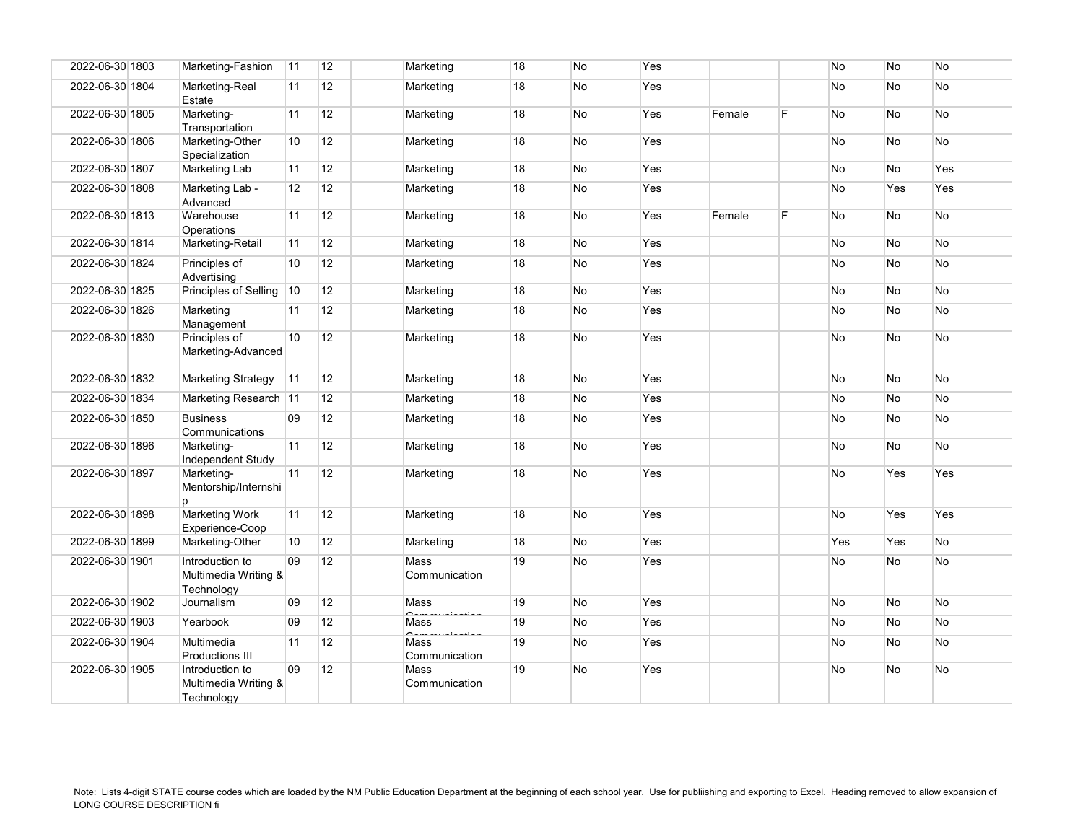| 2022-06-30 1803 | Marketing-Fashion                                     | 11 | 12 | Marketing             | 18 | <b>No</b> | Yes        |        |    | No  | No        | No         |
|-----------------|-------------------------------------------------------|----|----|-----------------------|----|-----------|------------|--------|----|-----|-----------|------------|
| 2022-06-30 1804 | Marketing-Real<br>Estate                              | 11 | 12 | Marketing             | 18 | <b>No</b> | Yes        |        |    | No  | No        | No         |
| 2022-06-30 1805 | Marketing-<br>Transportation                          | 11 | 12 | Marketing             | 18 | No        | Yes        | Female | F  | No  | No        | No         |
| 2022-06-30 1806 | Marketing-Other<br>Specialization                     | 10 | 12 | Marketing             | 18 | No        | Yes        |        |    | No  | No        | No         |
| 2022-06-30 1807 | Marketing Lab                                         | 11 | 12 | Marketing             | 18 | <b>No</b> | Yes        |        |    | No  | No        | Yes        |
| 2022-06-30 1808 | Marketing Lab -<br>Advanced                           | 12 | 12 | Marketing             | 18 | No        | Yes        |        |    | No  | Yes       | Yes        |
| 2022-06-30 1813 | Warehouse<br>Operations                               | 11 | 12 | Marketing             | 18 | No        | Yes        | Female | F. | No  | No        | No         |
| 2022-06-30 1814 | Marketing-Retail                                      | 11 | 12 | Marketing             | 18 | <b>No</b> | Yes        |        |    | No  | No        | No         |
| 2022-06-30 1824 | Principles of<br>Advertising                          | 10 | 12 | Marketing             | 18 | <b>No</b> | Yes        |        |    | No  | No        | No         |
| 2022-06-30 1825 | Principles of Selling                                 | 10 | 12 | Marketing             | 18 | <b>No</b> | Yes        |        |    | No  | <b>No</b> | No         |
| 2022-06-30 1826 | Marketing<br>Management                               | 11 | 12 | Marketing             | 18 | No        | Yes        |        |    | No  | No        | No         |
| 2022-06-30 1830 | Principles of<br>Marketing-Advanced                   | 10 | 12 | Marketing             | 18 | No        | Yes        |        |    | No  | No        | No         |
| 2022-06-30 1832 | <b>Marketing Strategy</b>                             | 11 | 12 | Marketing             | 18 | <b>No</b> | Yes        |        |    | No  | No        | No         |
| 2022-06-30 1834 | Marketing Research 11                                 |    | 12 | Marketing             | 18 | No        | Yes        |        |    | No  | No        | No         |
| 2022-06-30 1850 | <b>Business</b><br>Communications                     | 09 | 12 | Marketing             | 18 | No        | Yes        |        |    | No  | No        | No         |
| 2022-06-30 1896 | Marketing-<br>Independent Study                       | 11 | 12 | Marketing             | 18 | <b>No</b> | Yes        |        |    | No  | <b>No</b> | No         |
| 2022-06-30 1897 | Marketing-<br>Mentorship/Internshi<br>D               | 11 | 12 | Marketing             | 18 | <b>No</b> | Yes        |        |    | No  | Yes       | Yes        |
| 2022-06-30 1898 | <b>Marketing Work</b><br>Experience-Coop              | 11 | 12 | Marketing             | 18 | <b>No</b> | Yes        |        |    | No  | Yes       | <b>Yes</b> |
| 2022-06-30 1899 | Marketing-Other                                       | 10 | 12 | Marketing             | 18 | <b>No</b> | Yes        |        |    | Yes | Yes       | No         |
| 2022-06-30 1901 | Introduction to<br>Multimedia Writing &<br>Technology | 09 | 12 | Mass<br>Communication | 19 | No        | Yes        |        |    | No  | No        | No         |
| 2022-06-30 1902 | Journalism                                            | 09 | 12 | Mass                  | 19 | <b>No</b> | Yes        |        |    | No  | No        | No         |
| 2022-06-30 1903 | Yearbook                                              | 09 | 12 | Mass                  | 19 | No        | Yes        |        |    | No  | No        | No         |
| 2022-06-30 1904 | Multimedia<br><b>Productions III</b>                  | 11 | 12 | Mass<br>Communication | 19 | No        | Yes        |        |    | No  | No        | No         |
| 2022-06-30 1905 | Introduction to<br>Multimedia Writing &<br>Technology | 09 | 12 | Mass<br>Communication | 19 | No        | <b>Yes</b> |        |    | No  | No        | No.        |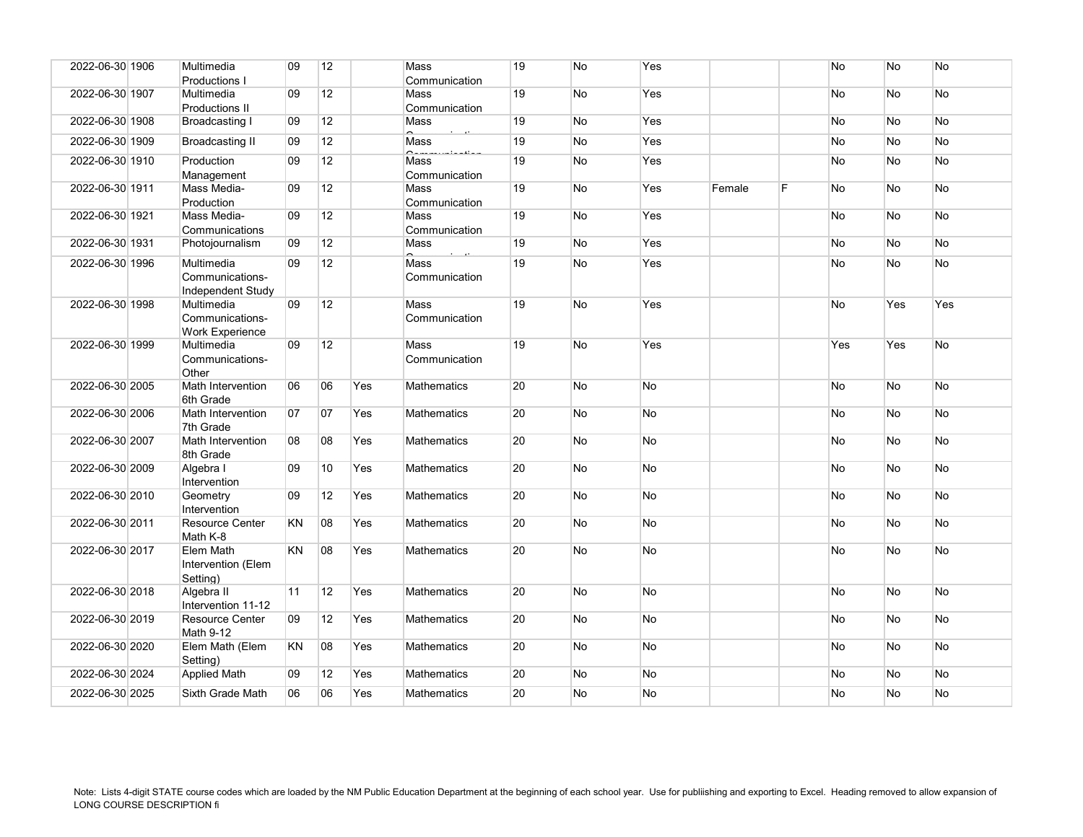| 2022-06-30 1906 | Multimedia                                              | 09        | 12              |     | Mass                  | 19 | No        | Yes       |        |   | No        | <b>No</b> | <b>No</b> |
|-----------------|---------------------------------------------------------|-----------|-----------------|-----|-----------------------|----|-----------|-----------|--------|---|-----------|-----------|-----------|
|                 | Productions I                                           |           |                 |     | Communication         |    |           |           |        |   |           |           |           |
| 2022-06-30 1907 | Multimedia                                              | 09        | 12              |     | Mass                  | 19 | No        | Yes       |        |   | No        | <b>No</b> | No        |
| 2022-06-30 1908 | Productions II<br>Broadcasting I                        | 09        | 12              |     | Communication<br>Mass | 19 | No        | Yes       |        |   | No        | <b>No</b> | <b>No</b> |
| 2022-06-30 1909 | <b>Broadcasting II</b>                                  | 09        | 12              |     | Mass                  | 19 | No        | Yes       |        |   | No        | <b>No</b> | <b>No</b> |
|                 |                                                         |           | 12              |     |                       |    |           |           |        |   |           |           |           |
| 2022-06-30 1910 | Production<br>Management                                | 09        |                 |     | Mass<br>Communication | 19 | No        | Yes       |        |   | No        | <b>No</b> | <b>No</b> |
| 2022-06-30 1911 | Mass Media-<br>Production                               | 09        | 12              |     | Mass<br>Communication | 19 | No        | Yes       | Female | F | No        | <b>No</b> | <b>No</b> |
| 2022-06-30 1921 | Mass Media-<br>Communications                           | 09        | 12              |     | Mass<br>Communication | 19 | No        | Yes       |        |   | No        | <b>No</b> | <b>No</b> |
| 2022-06-30 1931 | Photojournalism                                         | 09        | 12              |     | Mass                  | 19 | No        | Yes       |        |   | No        | <b>No</b> | <b>No</b> |
| 2022-06-30 1996 | Multimedia<br>Communications-<br>Independent Study      | 09        | 12              |     | Mass<br>Communication | 19 | No        | Yes       |        |   | No        | <b>No</b> | No        |
| 2022-06-30 1998 | Multimedia<br>Communications-<br><b>Work Experience</b> | 09        | 12              |     | Mass<br>Communication | 19 | No        | Yes       |        |   | No        | Yes       | Yes       |
| 2022-06-30 1999 | Multimedia<br>Communications-<br>Other                  | 09        | 12              |     | Mass<br>Communication | 19 | No        | Yes       |        |   | Yes       | Yes       | <b>No</b> |
| 2022-06-30 2005 | Math Intervention<br>6th Grade                          | 06        | 06              | Yes | <b>Mathematics</b>    | 20 | No        | <b>No</b> |        |   | No        | <b>No</b> | <b>No</b> |
| 2022-06-30 2006 | Math Intervention<br>7th Grade                          | 07        | 07              | Yes | <b>Mathematics</b>    | 20 | <b>No</b> | <b>No</b> |        |   | <b>No</b> | <b>No</b> | No.       |
| 2022-06-30 2007 | Math Intervention<br>8th Grade                          | 08        | 08              | Yes | <b>Mathematics</b>    | 20 | No        | <b>No</b> |        |   | No        | <b>No</b> | <b>No</b> |
| 2022-06-30 2009 | Algebra I<br>Intervention                               | 09        | 10 <sup>°</sup> | Yes | <b>Mathematics</b>    | 20 | No        | <b>No</b> |        |   | No        | <b>No</b> | <b>No</b> |
| 2022-06-30 2010 | Geometry<br>Intervention                                | 09        | 12              | Yes | <b>Mathematics</b>    | 20 | No        | <b>No</b> |        |   | No        | <b>No</b> | <b>No</b> |
| 2022-06-30 2011 | <b>Resource Center</b><br>Math K-8                      | <b>KN</b> | 08              | Yes | <b>Mathematics</b>    | 20 | No        | <b>No</b> |        |   | No        | <b>No</b> | No        |
| 2022-06-30 2017 | Elem Math<br>Intervention (Elem<br>Setting)             | <b>KN</b> | 08              | Yes | Mathematics           | 20 | <b>No</b> | <b>No</b> |        |   | No        | <b>No</b> | <b>No</b> |
| 2022-06-30 2018 | Algebra II<br>Intervention 11-12                        | 11        | 12              | Yes | <b>Mathematics</b>    | 20 | No        | <b>No</b> |        |   | No        | <b>No</b> | No        |
| 2022-06-30 2019 | <b>Resource Center</b><br>Math 9-12                     | 09        | 12              | Yes | <b>Mathematics</b>    | 20 | No        | <b>No</b> |        |   | No        | <b>No</b> | No        |
| 2022-06-30 2020 | Elem Math (Elem<br>Setting)                             | KN        | 08              | Yes | <b>Mathematics</b>    | 20 | No        | <b>No</b> |        |   | No        | <b>No</b> | <b>No</b> |
| 2022-06-30 2024 | <b>Applied Math</b>                                     | 09        | 12              | Yes | <b>Mathematics</b>    | 20 | No        | <b>No</b> |        |   | No        | <b>No</b> | <b>No</b> |
| 2022-06-30 2025 | Sixth Grade Math                                        | 06        | 06              | Yes | Mathematics           | 20 | No.       | No        |        |   | No.       | <b>No</b> | No        |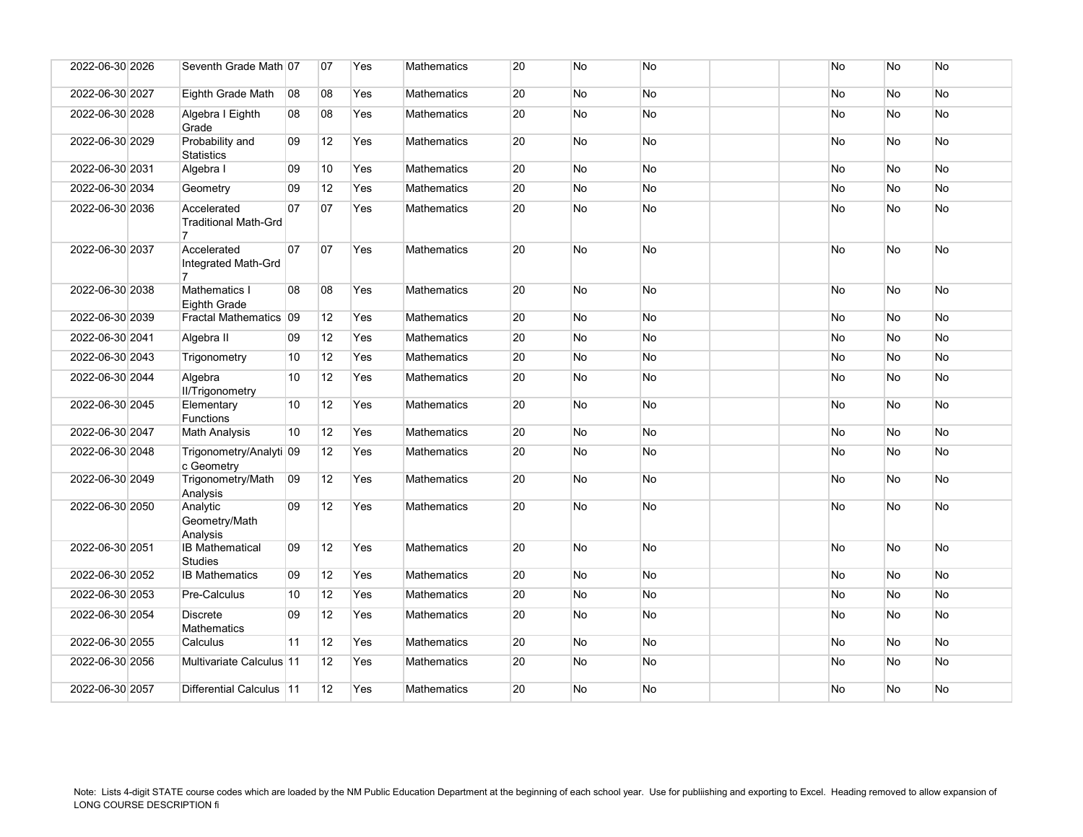| 2022-06-30 2026 | Seventh Grade Math 07                                        |              | 07 | Yes | <b>Mathematics</b> | 20 | <b>No</b> | No        |  | No | No        | No        |
|-----------------|--------------------------------------------------------------|--------------|----|-----|--------------------|----|-----------|-----------|--|----|-----------|-----------|
| 2022-06-30 2027 | Eighth Grade Math                                            | 08           | 08 | Yes | <b>Mathematics</b> | 20 | No        | <b>No</b> |  | No | No        | No        |
| 2022-06-30 2028 | Algebra I Eighth<br>Grade                                    | 08           | 08 | Yes | <b>Mathematics</b> | 20 | <b>No</b> | <b>No</b> |  | No | No        | <b>No</b> |
| 2022-06-30 2029 | Probability and<br><b>Statistics</b>                         | 09           | 12 | Yes | <b>Mathematics</b> | 20 | <b>No</b> | <b>No</b> |  | No | No        | No        |
| 2022-06-30 2031 | Algebra I                                                    | 09           | 10 | Yes | Mathematics        | 20 | <b>No</b> | No        |  | No | No        | <b>No</b> |
| 2022-06-30 2034 | Geometry                                                     | 09           | 12 | Yes | Mathematics        | 20 | No        | No        |  | No | No        | No        |
| 2022-06-30 2036 | Accelerated<br><b>Traditional Math-Grd</b><br>$\overline{7}$ | 07           | 07 | Yes | <b>Mathematics</b> | 20 | <b>No</b> | <b>No</b> |  | No | No        | No        |
| 2022-06-30 2037 | Accelerated<br>Integrated Math-Grd                           | 07           | 07 | Yes | <b>Mathematics</b> | 20 | <b>No</b> | <b>No</b> |  | No | No        | No        |
| 2022-06-30 2038 | Mathematics I<br><b>Eighth Grade</b>                         | 08           | 08 | Yes | <b>Mathematics</b> | 20 | <b>No</b> | No        |  | No | No        | No        |
| 2022-06-30 2039 | Fractal Mathematics 09                                       |              | 12 | Yes | Mathematics        | 20 | No        | No        |  | No | No        | No        |
| 2022-06-30 2041 | Algebra II                                                   | 09           | 12 | Yes | <b>Mathematics</b> | 20 | <b>No</b> | <b>No</b> |  | No | No        | <b>No</b> |
| 2022-06-30 2043 | Trigonometry                                                 | 10           | 12 | Yes | Mathematics        | 20 | No        | <b>No</b> |  | No | No        | <b>No</b> |
| 2022-06-30 2044 | Algebra<br>II/Trigonometry                                   | 10           | 12 | Yes | <b>Mathematics</b> | 20 | <b>No</b> | No        |  | No | No        | No        |
| 2022-06-30 2045 | Elementary<br><b>Functions</b>                               | 10           | 12 | Yes | <b>Mathematics</b> | 20 | <b>No</b> | <b>No</b> |  | No | No        | No        |
| 2022-06-30 2047 | <b>Math Analysis</b>                                         | 10           | 12 | Yes | <b>Mathematics</b> | 20 | <b>No</b> | No        |  | No | No        | No        |
| 2022-06-30 2048 | Trigonometry/Analyti 09<br>c Geometry                        |              | 12 | Yes | Mathematics        | 20 | <b>No</b> | <b>No</b> |  | No | No        | No        |
| 2022-06-30 2049 | Trigonometry/Math<br>Analysis                                | $ 09\rangle$ | 12 | Yes | Mathematics        | 20 | <b>No</b> | No        |  | No | No        | No        |
| 2022-06-30 2050 | Analytic<br>Geometry/Math<br>Analysis                        | 09           | 12 | Yes | <b>Mathematics</b> | 20 | <b>No</b> | <b>No</b> |  | No | No        | No        |
| 2022-06-30 2051 | <b>IB Mathematical</b><br><b>Studies</b>                     | 09           | 12 | Yes | <b>Mathematics</b> | 20 | <b>No</b> | <b>No</b> |  | No | <b>No</b> | <b>No</b> |
| 2022-06-30 2052 | <b>IB Mathematics</b>                                        | 09           | 12 | Yes | <b>Mathematics</b> | 20 | <b>No</b> | <b>No</b> |  | No | No        | <b>No</b> |
| 2022-06-30 2053 | Pre-Calculus                                                 | 10           | 12 | Yes | Mathematics        | 20 | No        | No        |  | No | No        | No        |
| 2022-06-30 2054 | <b>Discrete</b><br><b>Mathematics</b>                        | 09           | 12 | Yes | Mathematics        | 20 | No        | No        |  | No | No        | No        |
| 2022-06-30 2055 | Calculus                                                     | 11           | 12 | Yes | <b>Mathematics</b> | 20 | <b>No</b> | <b>No</b> |  | No | <b>No</b> | <b>No</b> |
| 2022-06-30 2056 | Multivariate Calculus 11                                     |              | 12 | Yes | Mathematics        | 20 | No        | No        |  | No | No        | No        |
| 2022-06-30 2057 | Differential Calculus   11                                   |              | 12 | Yes | Mathematics        | 20 | No        | <b>No</b> |  | No | No        | No        |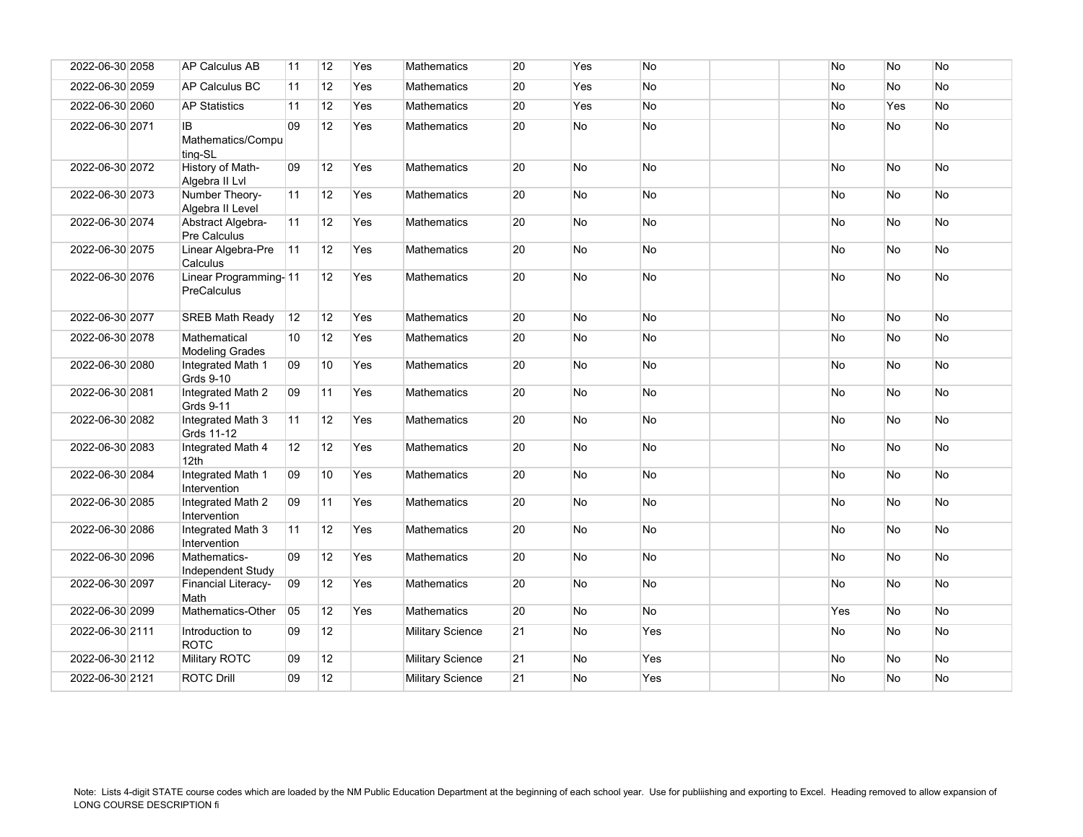| 2022-06-30 2058 | <b>AP Calculus AB</b>                  | 11 | 12 | Yes | <b>Mathematics</b>      | 20 | Yes       | N <sub>o</sub> | No        | <b>No</b>      | No        |
|-----------------|----------------------------------------|----|----|-----|-------------------------|----|-----------|----------------|-----------|----------------|-----------|
| 2022-06-30 2059 | AP Calculus BC                         | 11 | 12 | Yes | Mathematics             | 20 | Yes       | No             | No        | No             | No        |
| 2022-06-30 2060 | <b>AP Statistics</b>                   | 11 | 12 | Yes | <b>Mathematics</b>      | 20 | Yes       | <b>No</b>      | No        | Yes            | No        |
| 2022-06-30 2071 | IB.<br>Mathematics/Compu<br>ting-SL    | 09 | 12 | Yes | <b>Mathematics</b>      | 20 | <b>No</b> | No             | No        | <b>No</b>      | No        |
| 2022-06-30 2072 | History of Math-<br>Algebra II Lvl     | 09 | 12 | Yes | <b>Mathematics</b>      | 20 | No        | No             | No        | <b>No</b>      | No        |
| 2022-06-30 2073 | Number Theory-<br>Algebra II Level     | 11 | 12 | Yes | <b>Mathematics</b>      | 20 | No        | <b>No</b>      | No        | No             | No        |
| 2022-06-30 2074 | Abstract Algebra-<br>Pre Calculus      | 11 | 12 | Yes | Mathematics             | 20 | No        | No             | No        | No             | No        |
| 2022-06-30 2075 | Linear Algebra-Pre<br>Calculus         | 11 | 12 | Yes | <b>Mathematics</b>      | 20 | No        | <b>No</b>      | No        | No             | No        |
| 2022-06-30 2076 | Linear Programming-11<br>PreCalculus   |    | 12 | Yes | Mathematics             | 20 | No        | No             | No        | <b>No</b>      | No        |
| 2022-06-30 2077 | <b>SREB Math Ready</b>                 | 12 | 12 | Yes | <b>Mathematics</b>      | 20 | <b>No</b> | <b>No</b>      | <b>No</b> | N <sub>o</sub> | <b>No</b> |
| 2022-06-30 2078 | Mathematical<br><b>Modeling Grades</b> | 10 | 12 | Yes | <b>Mathematics</b>      | 20 | No        | No             | No        | No             | No        |
| 2022-06-30 2080 | Integrated Math 1<br>Grds 9-10         | 09 | 10 | Yes | <b>Mathematics</b>      | 20 | No        | <b>No</b>      | No        | No             | No        |
| 2022-06-30 2081 | Integrated Math 2<br>Grds 9-11         | 09 | 11 | Yes | <b>Mathematics</b>      | 20 | No        | <b>No</b>      | No        | <b>No</b>      | No        |
| 2022-06-30 2082 | Integrated Math 3<br>Grds 11-12        | 11 | 12 | Yes | Mathematics             | 20 | No        | No             | No        | No             | No        |
| 2022-06-30 2083 | Integrated Math 4<br>12 <sub>th</sub>  | 12 | 12 | Yes | <b>Mathematics</b>      | 20 | No        | No             | No        | <b>No</b>      | <b>No</b> |
| 2022-06-30 2084 | Integrated Math 1<br>Intervention      | 09 | 10 | Yes | Mathematics             | 20 | No        | <b>No</b>      | No        | No             | No        |
| 2022-06-30 2085 | Integrated Math 2<br>Intervention      | 09 | 11 | Yes | Mathematics             | 20 | No        | <b>No</b>      | No        | <b>No</b>      | <b>No</b> |
| 2022-06-30 2086 | Integrated Math 3<br>Intervention      | 11 | 12 | Yes | <b>Mathematics</b>      | 20 | No        | No             | No        | <b>No</b>      | <b>No</b> |
| 2022-06-30 2096 | Mathematics-<br>Independent Study      | 09 | 12 | Yes | <b>Mathematics</b>      | 20 | No        | No             | No        | <b>No</b>      | No        |
| 2022-06-30 2097 | <b>Financial Literacy-</b><br>Math     | 09 | 12 | Yes | <b>Mathematics</b>      | 20 | <b>No</b> | <b>No</b>      | <b>No</b> | <b>No</b>      | <b>No</b> |
| 2022-06-30 2099 | Mathematics-Other                      | 05 | 12 | Yes | <b>Mathematics</b>      | 20 | No        | <b>No</b>      | Yes       | <b>No</b>      | No        |
| 2022-06-30 2111 | Introduction to<br><b>ROTC</b>         | 09 | 12 |     | <b>Military Science</b> | 21 | No        | Yes            | No        | No             | No        |
| 2022-06-30 2112 | Military ROTC                          | 09 | 12 |     | <b>Military Science</b> | 21 | No        | Yes            | No        | No             | No        |
| 2022-06-30 2121 | <b>ROTC Drill</b>                      | 09 | 12 |     | <b>Military Science</b> | 21 | No        | Yes            | No        | No             | No        |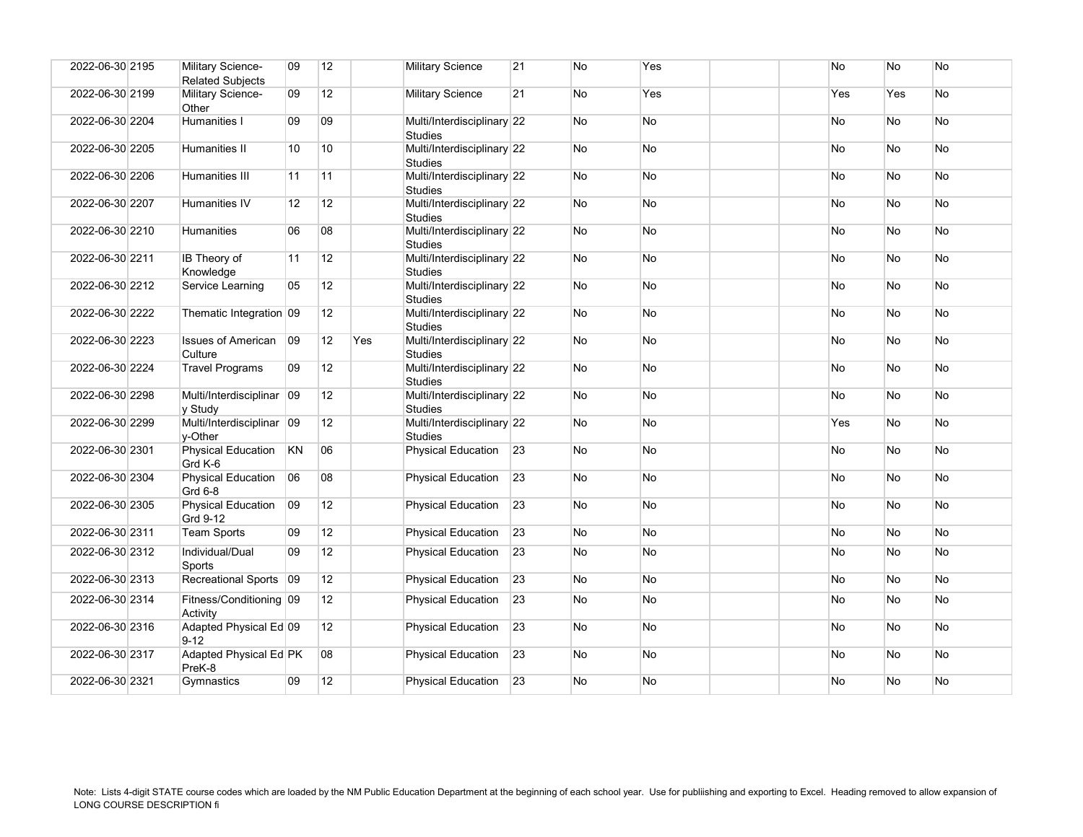| 2022-06-30 2195 | Military Science-<br><b>Related Subjects</b> | 09                | 12 |     | <b>Military Science</b>                      | 21              | No        | Yes       |  | No        | <b>No</b> | No        |
|-----------------|----------------------------------------------|-------------------|----|-----|----------------------------------------------|-----------------|-----------|-----------|--|-----------|-----------|-----------|
| 2022-06-30 2199 | Military Science-<br>Other                   | 09                | 12 |     | <b>Military Science</b>                      | 21              | <b>No</b> | Yes       |  | Yes       | Yes       | <b>No</b> |
| 2022-06-30 2204 | Humanities I                                 | 09                | 09 |     | Multi/Interdisciplinary 22<br><b>Studies</b> |                 | <b>No</b> | <b>No</b> |  | No        | <b>No</b> | <b>No</b> |
| 2022-06-30 2205 | Humanities II                                | 10                | 10 |     | Multi/Interdisciplinary 22<br><b>Studies</b> |                 | No        | No        |  | No        | No        | No        |
| 2022-06-30 2206 | Humanities III                               | 11                | 11 |     | Multi/Interdisciplinary 22<br><b>Studies</b> |                 | <b>No</b> | No        |  | No        | No        | No        |
| 2022-06-30 2207 | Humanities IV                                | $12 \overline{ }$ | 12 |     | Multi/Interdisciplinary 22<br><b>Studies</b> |                 | No        | No        |  | No        | No        | No        |
| 2022-06-30 2210 | Humanities                                   | 06                | 08 |     | Multi/Interdisciplinary 22<br><b>Studies</b> |                 | No        | No        |  | No        | No        | No        |
| 2022-06-30 2211 | IB Theory of<br>Knowledge                    | 11                | 12 |     | Multi/Interdisciplinary 22<br><b>Studies</b> |                 | <b>No</b> | No        |  | No        | <b>No</b> | <b>No</b> |
| 2022-06-30 2212 | Service Learning                             | 05                | 12 |     | Multi/Interdisciplinary 22<br><b>Studies</b> |                 | <b>No</b> | No        |  | No        | No        | No        |
| 2022-06-30 2222 | Thematic Integration 09                      |                   | 12 |     | Multi/Interdisciplinary 22<br><b>Studies</b> |                 | <b>No</b> | No        |  | <b>No</b> | <b>No</b> | <b>No</b> |
| 2022-06-30 2223 | <b>Issues of American</b><br>Culture         | 09                | 12 | Yes | Multi/Interdisciplinary 22<br><b>Studies</b> |                 | No        | No        |  | No        | No        | <b>No</b> |
| 2022-06-30 2224 | <b>Travel Programs</b>                       | 09                | 12 |     | Multi/Interdisciplinary 22<br><b>Studies</b> |                 | No        | No        |  | No        | <b>No</b> | <b>No</b> |
| 2022-06-30 2298 | Multi/Interdisciplinar 09<br>y Study         |                   | 12 |     | Multi/Interdisciplinary 22<br><b>Studies</b> |                 | No        | No        |  | No        | No        | No        |
| 2022-06-30 2299 | Multi/Interdisciplinar 09<br>v-Other         |                   | 12 |     | Multi/Interdisciplinary 22<br><b>Studies</b> |                 | No        | No        |  | Yes       | No        | No        |
| 2022-06-30 2301 | <b>Physical Education</b><br>Grd K-6         | KN                | 06 |     | <b>Physical Education</b>                    | 23              | No        | No        |  | No        | No        | No        |
| 2022-06-30 2304 | <b>Physical Education</b><br>Grd 6-8         | 06                | 08 |     | <b>Physical Education</b>                    | 23              | No        | No        |  | No        | No        | No        |
| 2022-06-30 2305 | <b>Physical Education</b><br>Grd 9-12        | 09                | 12 |     | <b>Physical Education</b>                    | 23              | <b>No</b> | No        |  | No        | <b>No</b> | No        |
| 2022-06-30 2311 | <b>Team Sports</b>                           | 09                | 12 |     | <b>Physical Education</b>                    | $\overline{23}$ | No.       | <b>No</b> |  | No        | <b>No</b> | <b>No</b> |
| 2022-06-30 2312 | Individual/Dual<br>Sports                    | 09                | 12 |     | <b>Physical Education</b>                    | 23              | No        | No        |  | No        | No        | No        |
| 2022-06-30 2313 | Recreational Sports 09                       |                   | 12 |     | <b>Physical Education</b>                    | 23              | <b>No</b> | No        |  | No        | No        | No        |
| 2022-06-30 2314 | Fitness/Conditioning 09<br>Activity          |                   | 12 |     | <b>Physical Education</b>                    | 23              | <b>No</b> | No        |  | No        | <b>No</b> | <b>No</b> |
| 2022-06-30 2316 | Adapted Physical Ed 09<br>$9 - 12$           |                   | 12 |     | <b>Physical Education</b>                    | 23              | <b>No</b> | No        |  | No        | <b>No</b> | No        |
| 2022-06-30 2317 | Adapted Physical Ed PK<br>PreK-8             |                   | 08 |     | <b>Physical Education</b>                    | 23              | <b>No</b> | No        |  | No        | <b>No</b> | <b>No</b> |
| 2022-06-30 2321 | Gymnastics                                   | 09                | 12 |     | Physical Education 23                        |                 | No        | No        |  | No        | <b>No</b> | No        |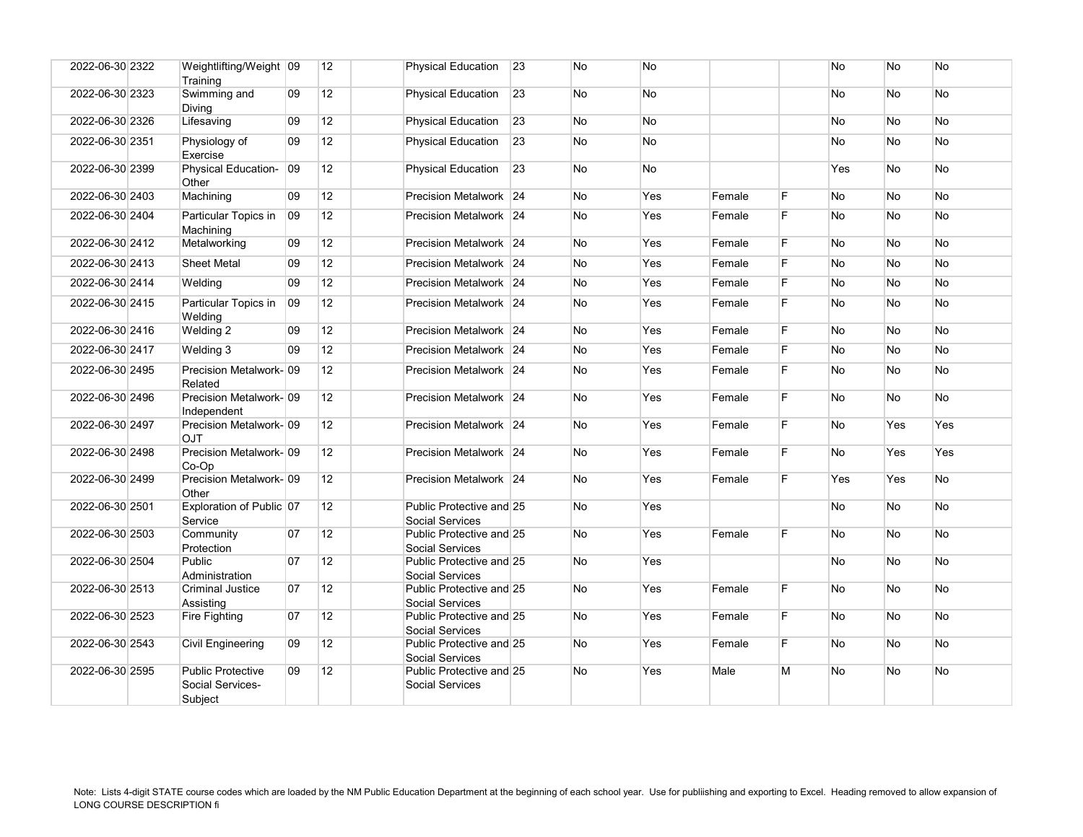| 2022-06-30 2322 | Weightlifting/Weight 09<br>Training                     |    | 12              | <b>Physical Education</b>                          | 23 | No        | <b>No</b> |        |    | <b>No</b> | <b>No</b> | <b>No</b>  |
|-----------------|---------------------------------------------------------|----|-----------------|----------------------------------------------------|----|-----------|-----------|--------|----|-----------|-----------|------------|
| 2022-06-30 2323 | Swimming and<br>Divina                                  | 09 | 12              | <b>Physical Education</b>                          | 23 | No        | No        |        |    | No        | No        | No         |
| 2022-06-30 2326 | Lifesaving                                              | 09 | 12              | <b>Physical Education</b>                          | 23 | No        | No        |        |    | No        | <b>No</b> | No         |
| 2022-06-30 2351 | Physiology of<br>Exercise                               | 09 | 12              | <b>Physical Education</b>                          | 23 | No        | No        |        |    | No        | No        | No         |
| 2022-06-30 2399 | Physical Education-<br>Other                            | 09 | 12 <sup>2</sup> | <b>Physical Education</b>                          | 23 | No        | <b>No</b> |        |    | Yes       | <b>No</b> | No         |
| 2022-06-30 2403 | Machining                                               | 09 | 12              | Precision Metalwork 24                             |    | <b>No</b> | Yes       | Female | F. | No        | No        | No         |
| 2022-06-30 2404 | Particular Topics in<br>Machining                       | 09 | 12 <sup>2</sup> | Precision Metalwork 24                             |    | <b>No</b> | Yes       | Female | F  | No        | No        | No         |
| 2022-06-30 2412 | Metalworking                                            | 09 | 12              | Precision Metalwork 24                             |    | No        | Yes       | Female | F. | No        | No        | No         |
| 2022-06-30 2413 | <b>Sheet Metal</b>                                      | 09 | 12              | Precision Metalwork 24                             |    | No        | Yes       | Female | F  | No        | No        | No         |
| 2022-06-30 2414 | Welding                                                 | 09 | 12              | Precision Metalwork 24                             |    | <b>No</b> | Yes       | Female | F. | No        | <b>No</b> | <b>No</b>  |
| 2022-06-30 2415 | Particular Topics in<br>Welding                         | 09 | 12 <sup>2</sup> | Precision Metalwork 24                             |    | No        | Yes       | Female | F  | No        | <b>No</b> | No         |
| 2022-06-30 2416 | Welding 2                                               | 09 | 12              | Precision Metalwork 24                             |    | No        | Yes       | Female | F  | No        | No        | No         |
| 2022-06-30 2417 | Welding 3                                               | 09 | 12              | Precision Metalwork 24                             |    | No        | Yes       | Female | F. | No        | <b>No</b> | No         |
| 2022-06-30 2495 | Precision Metalwork-109<br>Related                      |    | 12              | Precision Metalwork 24                             |    | <b>No</b> | Yes       | Female | F. | No        | <b>No</b> | <b>No</b>  |
| 2022-06-30 2496 | Precision Metalwork-09<br>Independent                   |    | 12              | Precision Metalwork 24                             |    | No        | Yes       | Female | F  | No        | No        | No         |
| 2022-06-30 2497 | Precision Metalwork-09<br><b>OJT</b>                    |    | 12              | Precision Metalwork 24                             |    | No        | Yes       | Female | F. | <b>No</b> | Yes       | Yes        |
| 2022-06-30 2498 | Precision Metalwork-109<br>Co-Op                        |    | 12 <sup>2</sup> | Precision Metalwork 24                             |    | No        | Yes       | Female | F. | <b>No</b> | Yes       | <b>Yes</b> |
| 2022-06-30 2499 | Precision Metalwork- 09<br>Other                        |    | 12              | Precision Metalwork 24                             |    | No        | Yes       | Female | F  | Yes       | Yes       | No         |
| 2022-06-30 2501 | Exploration of Public 07<br>Service                     |    | 12              | Public Protective and 25<br>Social Services        |    | <b>No</b> | Yes       |        |    | No        | <b>No</b> | No         |
| 2022-06-30 2503 | Community<br>Protection                                 | 07 | 12              | Public Protective and 25<br>Social Services        |    | No        | Yes       | Female | F  | No        | <b>No</b> | No.        |
| 2022-06-30 2504 | Public<br>Administration                                | 07 | 12 <sup>2</sup> | Public Protective and 25<br>Social Services        |    | No        | Yes       |        |    | No        | <b>No</b> | <b>No</b>  |
| 2022-06-30 2513 | Criminal Justice<br>Assisting                           | 07 | 12              | Public Protective and 25<br><b>Social Services</b> |    | No        | Yes       | Female | F. | No        | <b>No</b> | No         |
| 2022-06-30 2523 | Fire Fighting                                           | 07 | 12              | Public Protective and 25<br>Social Services        |    | No        | Yes       | Female | F  | No        | <b>No</b> | No         |
| 2022-06-30 2543 | Civil Engineering                                       | 09 | 12              | Public Protective and 25<br><b>Social Services</b> |    | No        | Yes       | Female | F  | No        | No        | No         |
| 2022-06-30 2595 | <b>Public Protective</b><br>Social Services-<br>Subject | 09 | 12 <sup>2</sup> | Public Protective and 25<br><b>Social Services</b> |    | No        | Yes       | Male   | M  | No.       | <b>No</b> | No         |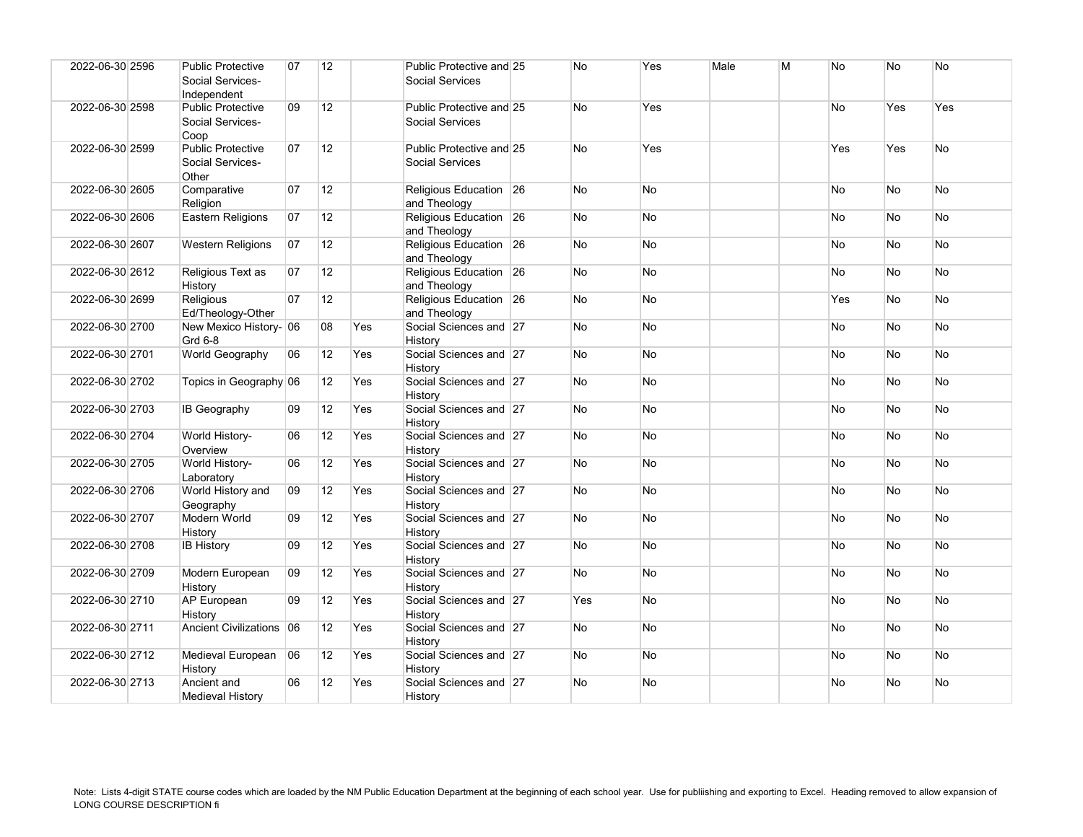| 2022-06-30 2596 | <b>Public Protective</b><br>Social Services-<br>Independent | 07 | 12              |     | Public Protective and 25<br><b>Social Services</b> | No        | Yes       | Male | M | <b>No</b> | No             | No        |
|-----------------|-------------------------------------------------------------|----|-----------------|-----|----------------------------------------------------|-----------|-----------|------|---|-----------|----------------|-----------|
| 2022-06-30 2598 | <b>Public Protective</b><br>Social Services-<br>Coop        | 09 | 12              |     | Public Protective and 25<br><b>Social Services</b> | <b>No</b> | Yes       |      |   | No        | Yes            | Yes       |
| 2022-06-30 2599 | <b>Public Protective</b><br>Social Services-<br>Other       | 07 | 12              |     | Public Protective and 25<br><b>Social Services</b> | <b>No</b> | Yes       |      |   | Yes       | Yes            | No        |
| 2022-06-30 2605 | Comparative<br>Religion                                     | 07 | 12 <sup>2</sup> |     | Religious Education 26<br>and Theology             | No        | No        |      |   | No        | No.            | No        |
| 2022-06-30 2606 | Eastern Religions                                           | 07 | 12              |     | Religious Education 26<br>and Theology             | <b>No</b> | No        |      |   | <b>No</b> | N <sub>o</sub> | No        |
| 2022-06-30 2607 | <b>Western Religions</b>                                    | 07 | 12 <sup>°</sup> |     | Religious Education 26<br>and Theology             | No        | No        |      |   | <b>No</b> | No.            | No        |
| 2022-06-30 2612 | Religious Text as<br>History                                | 07 | 12 <sup>2</sup> |     | Religious Education 26<br>and Theology             | No        | <b>No</b> |      |   | <b>No</b> | No.            | No        |
| 2022-06-30 2699 | Religious<br>Ed/Theology-Other                              | 07 | 12              |     | Religious Education 26<br>and Theology             | <b>No</b> | No        |      |   | Yes       | N <sub>o</sub> | No        |
| 2022-06-30 2700 | New Mexico History- 06<br>Grd 6-8                           |    | 08              | Yes | Social Sciences and 27<br>History                  | No        | <b>No</b> |      |   | No.       | N <sub>o</sub> | <b>No</b> |
| 2022-06-30 2701 | World Geography                                             | 06 | 12              | Yes | Social Sciences and 27<br>History                  | <b>No</b> | <b>No</b> |      |   | <b>No</b> | N <sub>o</sub> | No        |
| 2022-06-30 2702 | Topics in Geography 06                                      |    | 12              | Yes | Social Sciences and 27<br>History                  | No        | No        |      |   | No        | No.            | No        |
| 2022-06-30 2703 | IB Geography                                                | 09 | 12              | Yes | Social Sciences and 27<br>History                  | No        | No        |      |   | <b>No</b> | No.            | No        |
| 2022-06-30 2704 | World History-<br>Overview                                  | 06 | 12              | Yes | Social Sciences and 27<br>History                  | No        | <b>No</b> |      |   | No        | N <sub>o</sub> | No        |
| 2022-06-30 2705 | World History-<br>Laboratory                                | 06 | 12              | Yes | Social Sciences and 27<br>History                  | No        | <b>No</b> |      |   | <b>No</b> | N <sub>o</sub> | No        |
| 2022-06-30 2706 | World History and<br>Geography                              | 09 | 12              | Yes | Social Sciences and 27<br>History                  | <b>No</b> | No        |      |   | <b>No</b> | No.            | No        |
| 2022-06-30 2707 | Modern World<br>History                                     | 09 | 12              | Yes | Social Sciences and 27<br>History                  | No        | <b>No</b> |      |   | No.       | No.            | No        |
| 2022-06-30 2708 | <b>IB History</b>                                           | 09 | 12              | Yes | Social Sciences and 27<br>History                  | <b>No</b> | <b>No</b> |      |   | <b>No</b> | No.            | No        |
| 2022-06-30 2709 | Modern European<br>History                                  | 09 | 12              | Yes | Social Sciences and 27<br>History                  | No        | No        |      |   | No        | No.            | No        |
| 2022-06-30 2710 | AP European<br>History                                      | 09 | 12              | Yes | Social Sciences and 27<br>History                  | Yes       | No        |      |   | <b>No</b> | <b>No</b>      | <b>No</b> |
| 2022-06-30 2711 | Ancient Civilizations 06                                    |    | 12              | Yes | Social Sciences and 27<br>History                  | <b>No</b> | <b>No</b> |      |   | <b>No</b> | <b>No</b>      | <b>No</b> |
| 2022-06-30 2712 | Medieval European<br>History                                | 06 | 12 <sup>2</sup> | Yes | Social Sciences and 27<br>History                  | No        | No        |      |   | No        | No             | No        |
| 2022-06-30 2713 | Ancient and<br><b>Medieval History</b>                      | 06 | 12              | Yes | Social Sciences and 27<br>History                  | No        | <b>No</b> |      |   | <b>No</b> | No             | <b>No</b> |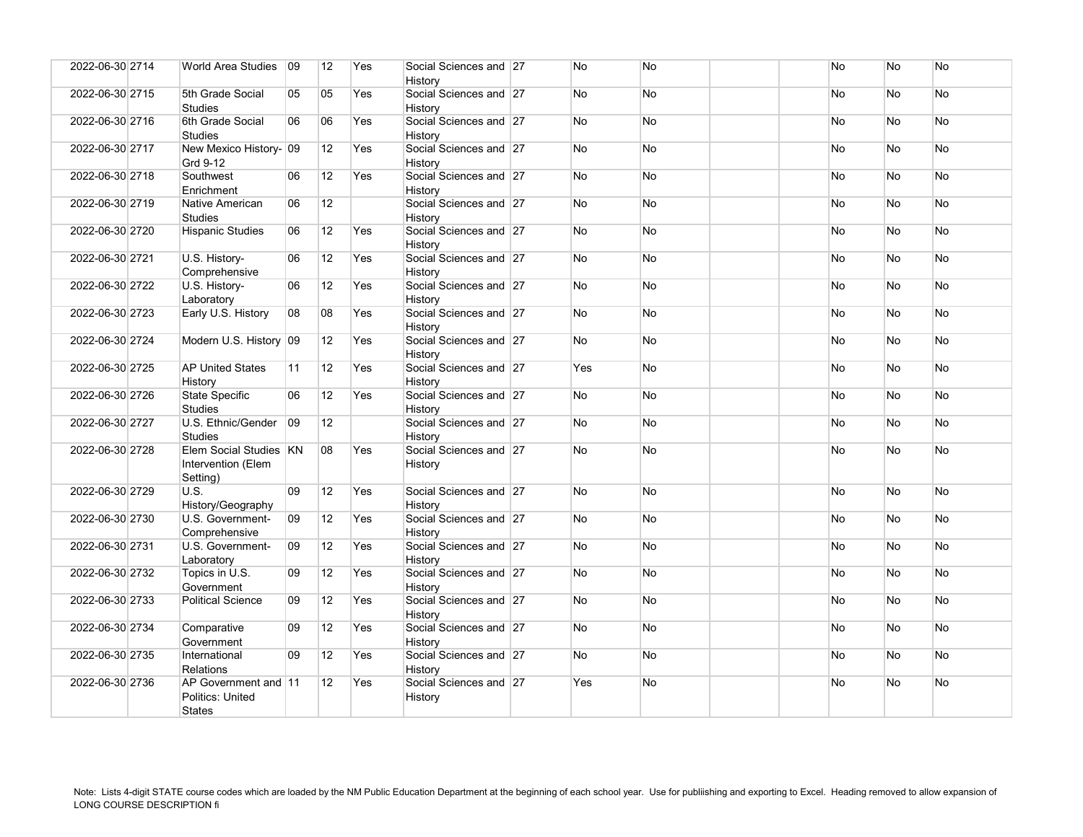| 2022-06-30 2714 | World Area Studies                                        | 09 | 12              | Yes | Social Sciences and 27<br>History | No        | <b>No</b> | No        | <b>No</b> | No        |
|-----------------|-----------------------------------------------------------|----|-----------------|-----|-----------------------------------|-----------|-----------|-----------|-----------|-----------|
| 2022-06-30 2715 | 5th Grade Social<br><b>Studies</b>                        | 05 | 05              | Yes | Social Sciences and 27<br>History | <b>No</b> | <b>No</b> | <b>No</b> | <b>No</b> | <b>No</b> |
| 2022-06-30 2716 | 6th Grade Social<br><b>Studies</b>                        | 06 | 06              | Yes | Social Sciences and 27<br>History | No        | <b>No</b> | No        | <b>No</b> | No        |
| 2022-06-30 2717 | New Mexico History- 09<br>Grd 9-12                        |    | 12 <sup>2</sup> | Yes | Social Sciences and 27<br>History | <b>No</b> | <b>No</b> | <b>No</b> | <b>No</b> | <b>No</b> |
| 2022-06-30 2718 | Southwest<br>Enrichment                                   | 06 | 12              | Yes | Social Sciences and 27<br>History | No        | <b>No</b> | No        | <b>No</b> | No        |
| 2022-06-30 2719 | Native American<br><b>Studies</b>                         | 06 | 12 <sup>2</sup> |     | Social Sciences and 27<br>History | No        | <b>No</b> | No        | No        | No        |
| 2022-06-30 2720 | <b>Hispanic Studies</b>                                   | 06 | 12              | Yes | Social Sciences and 27<br>History | No        | No        | No        | <b>No</b> | No        |
| 2022-06-30 2721 | U.S. History-<br>Comprehensive                            | 06 | 12              | Yes | Social Sciences and 27<br>History | No        | <b>No</b> | No        | No        | No        |
| 2022-06-30 2722 | U.S. History-<br>Laboratory                               | 06 | 12              | Yes | Social Sciences and 27<br>History | No        | <b>No</b> | <b>No</b> | <b>No</b> | <b>No</b> |
| 2022-06-30 2723 | Early U.S. History                                        | 08 | 08              | Yes | Social Sciences and 27<br>History | No        | No        | No        | No        | No        |
| 2022-06-30 2724 | Modern U.S. History 09                                    |    | 12 <sup>2</sup> | Yes | Social Sciences and 27<br>History | <b>No</b> | <b>No</b> | <b>No</b> | <b>No</b> | <b>No</b> |
| 2022-06-30 2725 | <b>AP United States</b><br>History                        | 11 | 12              | Yes | Social Sciences and 27<br>History | Yes       | <b>No</b> | No        | <b>No</b> | No        |
| 2022-06-30 2726 | State Specific<br><b>Studies</b>                          | 06 | 12 <sup>2</sup> | Yes | Social Sciences and 27<br>History | No        | <b>No</b> | No        | <b>No</b> | No        |
| 2022-06-30 2727 | U.S. Ethnic/Gender<br><b>Studies</b>                      | 09 | 12              |     | Social Sciences and 27<br>History | <b>No</b> | <b>No</b> | No        | <b>No</b> | <b>No</b> |
| 2022-06-30 2728 | Elem Social Studies KN<br>Intervention (Elem<br>Setting)  |    | 08              | Yes | Social Sciences and 27<br>History | No        | <b>No</b> | No        | <b>No</b> | No        |
| 2022-06-30 2729 | <b>U.S.</b><br>History/Geography                          | 09 | 12              | Yes | Social Sciences and 27<br>History | No        | <b>No</b> | No        | <b>No</b> | No        |
| 2022-06-30 2730 | U.S. Government-<br>Comprehensive                         | 09 | 12 <sup>2</sup> | Yes | Social Sciences and 27<br>History | <b>No</b> | <b>No</b> | <b>No</b> | <b>No</b> | <b>No</b> |
| 2022-06-30 2731 | U.S. Government-<br>Laboratory                            | 09 | 12              | Yes | Social Sciences and 27<br>History | No        | <b>No</b> | <b>No</b> | <b>No</b> | No        |
| 2022-06-30 2732 | Topics in U.S.<br>Government                              | 09 | 12              | Yes | Social Sciences and 27<br>History | No        | No        | No        | No        | No        |
| 2022-06-30 2733 | <b>Political Science</b>                                  | 09 | 12              | Yes | Social Sciences and 27<br>History | <b>No</b> | <b>No</b> | <b>No</b> | <b>No</b> | <b>No</b> |
| 2022-06-30 2734 | Comparative<br>Government                                 | 09 | 12              | Yes | Social Sciences and 27<br>History | No        | <b>No</b> | No        | No        | No        |
| 2022-06-30 2735 | International<br>Relations                                | 09 | 12              | Yes | Social Sciences and 27<br>History | No        | <b>No</b> | No        | No        | <b>No</b> |
| 2022-06-30 2736 | AP Government and 11<br>Politics: United<br><b>States</b> |    | 12 <sup>2</sup> | Yes | Social Sciences and 27<br>History | Yes       | <b>No</b> | No        | <b>No</b> | <b>No</b> |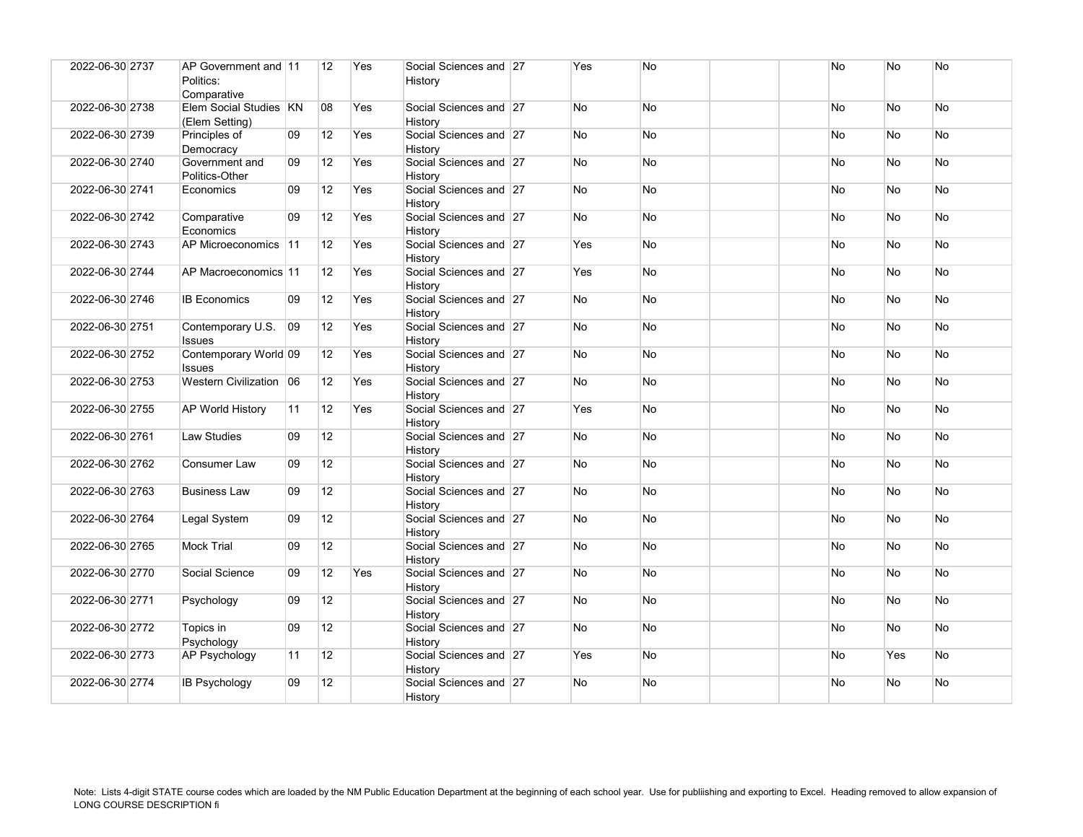| 2022-06-30 2737 | AP Government and 11<br>Politics:<br>Comparative |              | 12              | Yes | Social Sciences and 27<br>History | Yes        | <b>No</b> |  | No        | N <sub>o</sub> | No        |
|-----------------|--------------------------------------------------|--------------|-----------------|-----|-----------------------------------|------------|-----------|--|-----------|----------------|-----------|
| 2022-06-30 2738 | Elem Social Studies KN<br>(Elem Setting)         |              | 08              | Yes | Social Sciences and 27<br>History | No         | <b>No</b> |  | <b>No</b> | No.            | <b>No</b> |
| 2022-06-30 2739 | Principles of<br>Democracy                       | 09           | 12              | Yes | Social Sciences and 27<br>History | No         | <b>No</b> |  | No.       | N <sub>o</sub> | No        |
| 2022-06-30 2740 | Government and<br>Politics-Other                 | 09           | 12              | Yes | Social Sciences and 27<br>History | <b>No</b>  | <b>No</b> |  | <b>No</b> | N <sub>o</sub> | <b>No</b> |
| 2022-06-30 2741 | Economics                                        | 09           | 12              | Yes | Social Sciences and 27<br>History | No         | No        |  | No        | No             | No        |
| 2022-06-30 2742 | Comparative<br>Economics                         | 09           | 12              | Yes | Social Sciences and 27<br>History | <b>No</b>  | <b>No</b> |  | <b>No</b> | N <sub>o</sub> | <b>No</b> |
| 2022-06-30 2743 | AP Microeconomics 11                             |              | 12              | Yes | Social Sciences and 27<br>History | Yes        | <b>No</b> |  | <b>No</b> | N <sub>o</sub> | No        |
| 2022-06-30 2744 | AP Macroeconomics 11                             |              | 12              | Yes | Social Sciences and 27<br>History | <b>Yes</b> | <b>No</b> |  | No.       | No.            | <b>No</b> |
| 2022-06-30 2746 | <b>IB Economics</b>                              | 09           | 12              | Yes | Social Sciences and 27<br>History | <b>No</b>  | <b>No</b> |  | <b>No</b> | N <sub>o</sub> | <b>No</b> |
| 2022-06-30 2751 | Contemporary U.S.<br><b>Issues</b>               | $ 09\rangle$ | 12              | Yes | Social Sciences and 27<br>History | No         | <b>No</b> |  | No        | No.            | <b>No</b> |
| 2022-06-30 2752 | Contemporary World 09<br><b>Issues</b>           |              | 12              | Yes | Social Sciences and 27<br>History | <b>No</b>  | <b>No</b> |  | No.       | No.            | <b>No</b> |
| 2022-06-30 2753 | Western Civilization 06                          |              | 12              | Yes | Social Sciences and 27<br>History | <b>No</b>  | <b>No</b> |  | <b>No</b> | N <sub>o</sub> | No        |
| 2022-06-30 2755 | <b>AP World History</b>                          | 11           | 12              | Yes | Social Sciences and 27<br>History | Yes        | No        |  | No        | No             | No        |
| 2022-06-30 2761 | <b>Law Studies</b>                               | 09           | 12              |     | Social Sciences and 27<br>History | <b>No</b>  | <b>No</b> |  | <b>No</b> | <b>No</b>      | <b>No</b> |
| 2022-06-30 2762 | Consumer Law                                     | 09           | 12              |     | Social Sciences and 27<br>History | No         | <b>No</b> |  | <b>No</b> | N <sub>o</sub> | <b>No</b> |
| 2022-06-30 2763 | <b>Business Law</b>                              | 09           | 12 <sup>°</sup> |     | Social Sciences and 27<br>History | No         | No        |  | No.       | No.            | No.       |
| 2022-06-30 2764 | Legal System                                     | 09           | 12 <sup>2</sup> |     | Social Sciences and 27<br>History | No         | <b>No</b> |  | <b>No</b> | N <sub>o</sub> | No        |
| 2022-06-30 2765 | <b>Mock Trial</b>                                | 09           | 12              |     | Social Sciences and 27<br>History | <b>No</b>  | <b>No</b> |  | <b>No</b> | No.            | No        |
| 2022-06-30 2770 | Social Science                                   | 09           | 12              | Yes | Social Sciences and 27<br>History | <b>No</b>  | <b>No</b> |  | No        | N <sub>o</sub> | <b>No</b> |
| 2022-06-30 2771 | Psychology                                       | 09           | 12              |     | Social Sciences and 27<br>History | No         | No        |  | <b>No</b> | N <sub>o</sub> | No        |
| 2022-06-30 2772 | Topics in<br>Psychology                          | 09           | 12              |     | Social Sciences and 27<br>History | <b>No</b>  | No        |  | <b>No</b> | N <sub>o</sub> | No        |
| 2022-06-30 2773 | <b>AP Psychology</b>                             | 11           | 12 <sup>2</sup> |     | Social Sciences and 27<br>History | Yes        | <b>No</b> |  | <b>No</b> | Yes            | No        |
| 2022-06-30 2774 | <b>IB Psychology</b>                             | 09           | 12              |     | Social Sciences and 27<br>History | <b>No</b>  | No        |  | No        | N <sub>o</sub> | No        |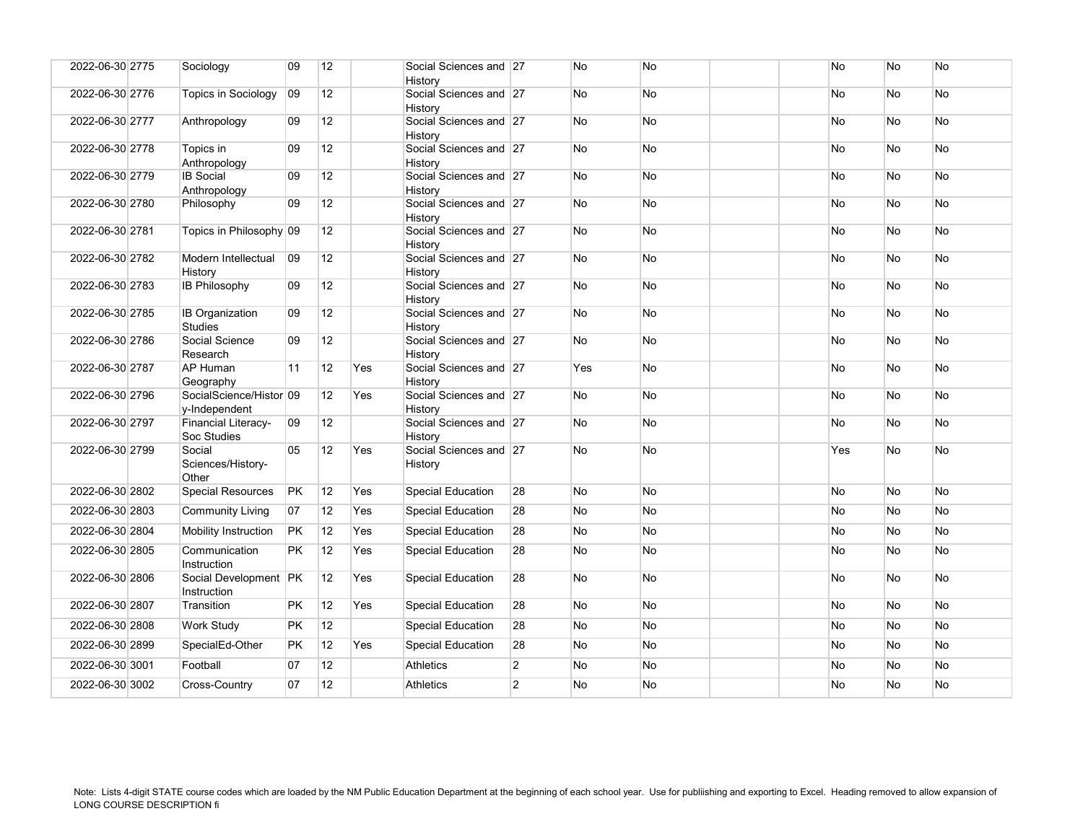| 2022-06-30 2775 | Sociology                                | 09        | 12              |     | Social Sciences and 27<br>History |                | No        | <b>No</b> |  | No        | No        | No        |
|-----------------|------------------------------------------|-----------|-----------------|-----|-----------------------------------|----------------|-----------|-----------|--|-----------|-----------|-----------|
| 2022-06-30 2776 | <b>Topics in Sociology</b>               | 09        | 12 <sup>2</sup> |     | Social Sciences and 27<br>History |                | No        | <b>No</b> |  | No        | No        | No        |
| 2022-06-30 2777 | Anthropology                             | 09        | 12              |     | Social Sciences and 27<br>History |                | No        | No        |  | No        | No        | No        |
| 2022-06-30 2778 | Topics in<br>Anthropology                | 09        | 12              |     | Social Sciences and 27<br>History |                | No        | <b>No</b> |  | No        | No        | No        |
| 2022-06-30 2779 | <b>IB</b> Social<br>Anthropology         | 09        | 12              |     | Social Sciences and 27<br>History |                | No.       | <b>No</b> |  | No        | <b>No</b> | <b>No</b> |
| 2022-06-30 2780 | Philosophy                               | 09        | 12              |     | Social Sciences and 27<br>History |                | No        | <b>No</b> |  | No        | No        | No        |
| 2022-06-30 2781 | Topics in Philosophy 09                  |           | 12 <sup>2</sup> |     | Social Sciences and 27<br>History |                | No        | <b>No</b> |  | No        | <b>No</b> | No        |
| 2022-06-30 2782 | Modern Intellectual<br>History           | 09        | 12              |     | Social Sciences and 27<br>History |                | No        | <b>No</b> |  | No        | <b>No</b> | No        |
| 2022-06-30 2783 | <b>IB Philosophy</b>                     | 09        | 12              |     | Social Sciences and 27<br>History |                | No        | <b>No</b> |  | No        | No        | No        |
| 2022-06-30 2785 | <b>IB Organization</b><br><b>Studies</b> | 09        | 12              |     | Social Sciences and 27<br>History |                | <b>No</b> | <b>No</b> |  | <b>No</b> | <b>No</b> | <b>No</b> |
| 2022-06-30 2786 | Social Science<br>Research               | 09        | 12              |     | Social Sciences and 27<br>History |                | No        | No        |  | No        | No        | No        |
| 2022-06-30 2787 | AP Human<br>Geography                    | 11        | 12              | Yes | Social Sciences and 27<br>History |                | Yes       | <b>No</b> |  | No        | No        | No        |
| 2022-06-30 2796 | SocialScience/Histor 09<br>y-Independent |           | 12              | Yes | Social Sciences and 27<br>History |                | No.       | <b>No</b> |  | No        | <b>No</b> | <b>No</b> |
| 2022-06-30 2797 | Financial Literacy-<br>Soc Studies       | 09        | 12              |     | Social Sciences and 27<br>History |                | No        | <b>No</b> |  | No        | No        | No        |
| 2022-06-30 2799 | Social<br>Sciences/History-<br>Other     | 05        | 12              | Yes | Social Sciences and 27<br>History |                | No        | <b>No</b> |  | Yes       | <b>No</b> | No        |
| 2022-06-30 2802 | <b>Special Resources</b>                 | <b>PK</b> | 12              | Yes | <b>Special Education</b>          | 28             | No        | <b>No</b> |  | No        | No        | No        |
| 2022-06-30 2803 | <b>Community Living</b>                  | 07        | 12              | Yes | <b>Special Education</b>          | 28             | <b>No</b> | <b>No</b> |  | No        | <b>No</b> | <b>No</b> |
| 2022-06-30 2804 | Mobility Instruction                     | <b>PK</b> | 12              | Yes | <b>Special Education</b>          | 28             | No        | No        |  | No        | No        | No        |
| 2022-06-30 2805 | Communication<br>Instruction             | <b>PK</b> | 12              | Yes | <b>Special Education</b>          | 28             | No        | <b>No</b> |  | No        | No        | No        |
| 2022-06-30 2806 | Social Development PK<br>Instruction     |           | 12              | Yes | <b>Special Education</b>          | 28             | No        | <b>No</b> |  | No        | No        | No        |
| 2022-06-30 2807 | Transition                               | <b>PK</b> | 12              | Yes | <b>Special Education</b>          | 28             | No        | <b>No</b> |  | No        | No        | <b>No</b> |
| 2022-06-30 2808 | <b>Work Study</b>                        | <b>PK</b> | 12              |     | <b>Special Education</b>          | 28             | No        | <b>No</b> |  | No        | No        | No        |
| 2022-06-30 2899 | SpecialEd-Other                          | <b>PK</b> | 12              | Yes | <b>Special Education</b>          | 28             | No        | <b>No</b> |  | No        | No        | No        |
| 2022-06-30 3001 | Football                                 | 07        | 12              |     | <b>Athletics</b>                  | $\overline{c}$ | No        | <b>No</b> |  | No        | No        | No        |
| 2022-06-30 3002 | Cross-Country                            | 07        | 12 <sup>°</sup> |     | <b>Athletics</b>                  | $\overline{2}$ | No        | No        |  | No        | No        | No        |